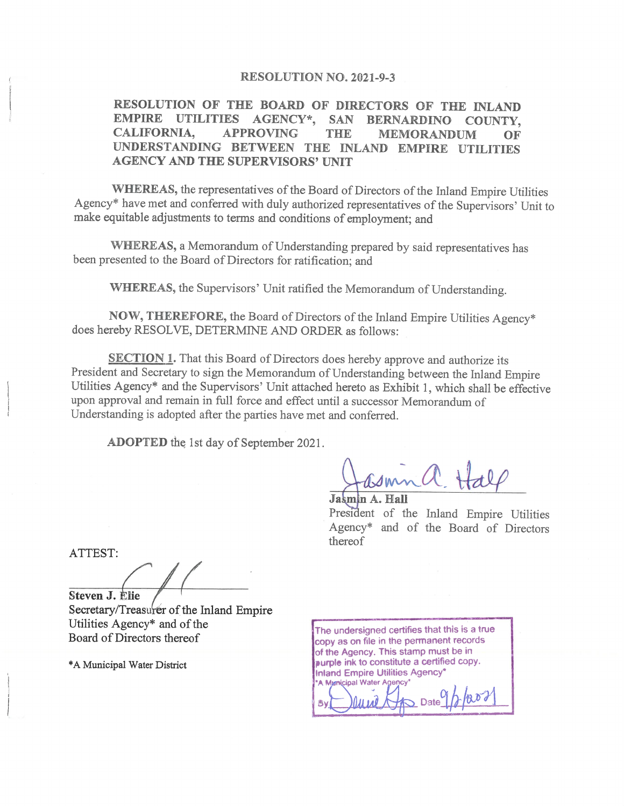#### **RESOLUTION NO. 2021-9-3**

RESOLUTION OF THE BOARD OF DIRECTORS OF THE INLAND **EMPIRE UTILITIES** AGENCY\*, SAN **BERNARDINO** COUNTY. CALIFORNIA, **APPROVING THE MEMORANDUM** OF UNDERSTANDING BETWEEN THE INLAND EMPIRE UTILITIES **AGENCY AND THE SUPERVISORS' UNIT** 

WHEREAS, the representatives of the Board of Directors of the Inland Empire Utilities Agency\* have met and conferred with duly authorized representatives of the Supervisors' Unit to make equitable adjustments to terms and conditions of employment; and

WHEREAS, a Memorandum of Understanding prepared by said representatives has been presented to the Board of Directors for ratification; and

WHEREAS, the Supervisors' Unit ratified the Memorandum of Understanding.

NOW, THEREFORE, the Board of Directors of the Inland Empire Utilities Agency\* does hereby RESOLVE, DETERMINE AND ORDER as follows:

**SECTION 1.** That this Board of Directors does hereby approve and authorize its President and Secretary to sign the Memorandum of Understanding between the Inland Empire Utilities Agency\* and the Supervisors' Unit attached hereto as Exhibit 1, which shall be effective upon approval and remain in full force and effect until a successor Memorandum of Understanding is adopted after the parties have met and conferred.

**ADOPTED** the 1st day of September 2021.

Jasmin A. Hall

President of the Inland Empire Utilities Agency\* and of the Board of Directors thereof

ATTEST:

Steven J. Elie Secretary/Treasurer of the Inland Empire Utilities Agency\* and of the Board of Directors thereof

\*A Municipal Water District

The undersigned certifies that this is a true copy as on file in the permanent records of the Agency. This stamp must be in purple ink to constitute a certified copy. **Inland Empire Utilities Agency\*** A Municipal Water Agency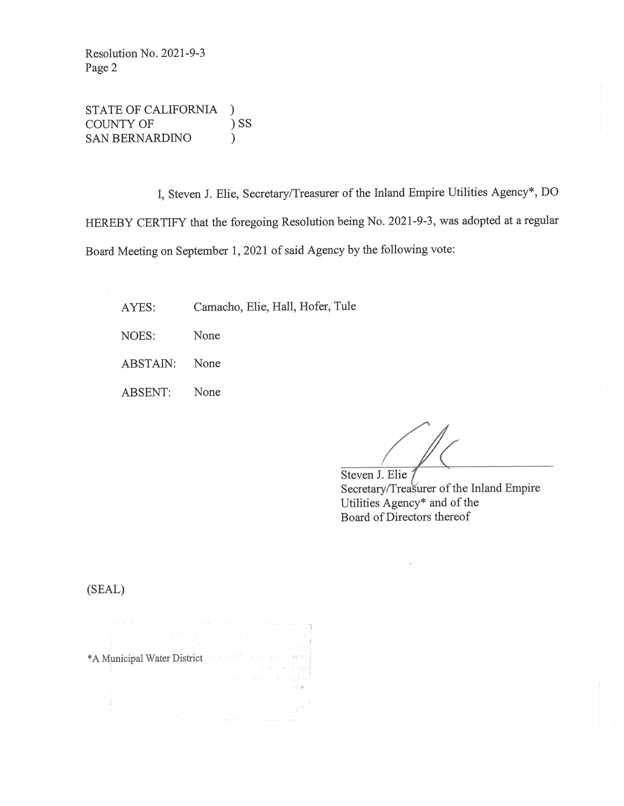Resolution No. 2021-9-3 Page 2

STATE OF CALIFORNIA  $\mathcal{L}$  $)$  SS **COUNTY OF SAN BERNARDINO**  $\lambda$ 

I, Steven J. Elie, Secretary/Treasurer of the Inland Empire Utilities Agency\*, DO HEREBY CERTIFY that the foregoing Resolution being No. 2021-9-3, was adopted at a regular Board Meeting on September 1, 2021 of said Agency by the following vote:

Camacho, Elie, Hall, Hofer, Tule AYES:

NOES: None

ABSTAIN: None

**ABSENT:** None

Steven J. Elie j Secretary/Treasurer of the Inland Empire Utilities Agency\* and of the Board of Directors thereof

(SEAL)

| Set of the conflict and conduction in the competency of the                                                                                                                                                                    |  |                                                  |  |
|--------------------------------------------------------------------------------------------------------------------------------------------------------------------------------------------------------------------------------|--|--------------------------------------------------|--|
|                                                                                                                                                                                                                                |  | e en sue l'empression de l'anciet de l'anciet de |  |
| *A Municipal Water District The anti- and the first of the first of the first of the first of the first of the first of the first of the first of the first of the first of the first of the first of the first of the first o |  |                                                  |  |
|                                                                                                                                                                                                                                |  | politically in the first of the present          |  |
|                                                                                                                                                                                                                                |  | a ha di se il velo l'avoire di megandi           |  |
|                                                                                                                                                                                                                                |  | complete a statute of a con-                     |  |
|                                                                                                                                                                                                                                |  |                                                  |  |
|                                                                                                                                                                                                                                |  |                                                  |  |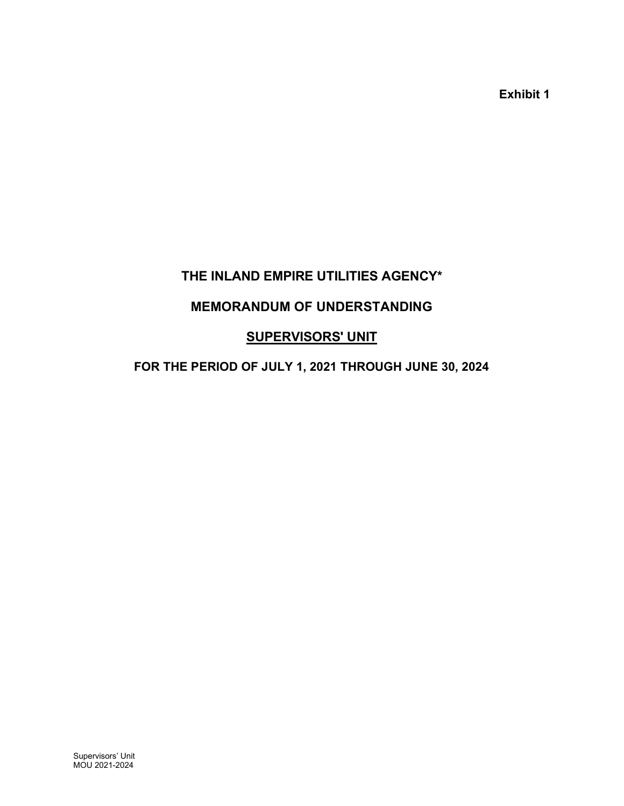Exhibit 1

# THE INLAND EMPIRE UTILITIES AGENCY\*

# MEMORANDUM OF UNDERSTANDING

# **SUPERVISORS' UNIT**

# FOR THE PERIOD OF JULY 1, 2021 THROUGH JUNE 30, 2024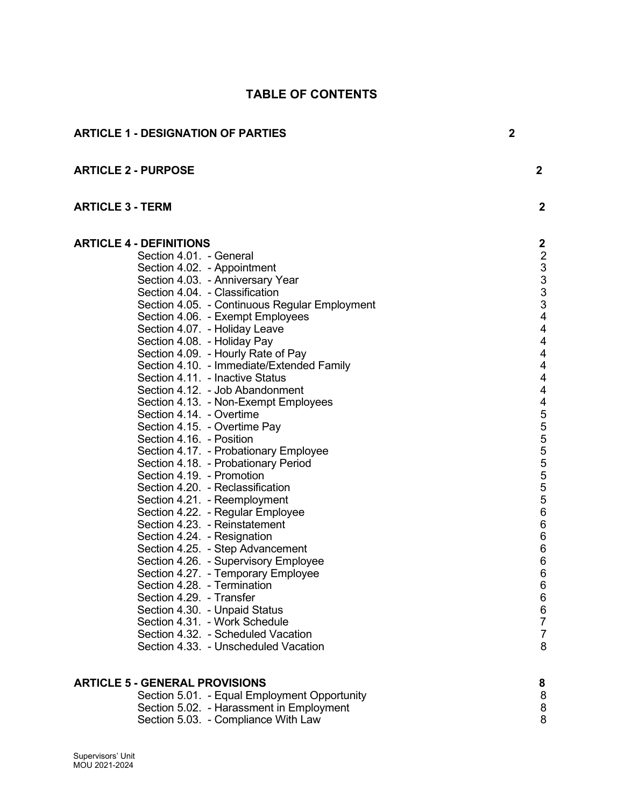|                         | <b>ARTICLE 1 - DESIGNATION OF PARTIES</b>                                                                                                                                                                                                                                                                                                                                                                                                                                                                                                                                                                                                                                                                                                                                                                                                                                                                                                                                                                                                                                                                                                                                                                                      | $\overline{2}$ |                                                                                                                                                                                                                                                                                                                                                                                                                    |
|-------------------------|--------------------------------------------------------------------------------------------------------------------------------------------------------------------------------------------------------------------------------------------------------------------------------------------------------------------------------------------------------------------------------------------------------------------------------------------------------------------------------------------------------------------------------------------------------------------------------------------------------------------------------------------------------------------------------------------------------------------------------------------------------------------------------------------------------------------------------------------------------------------------------------------------------------------------------------------------------------------------------------------------------------------------------------------------------------------------------------------------------------------------------------------------------------------------------------------------------------------------------|----------------|--------------------------------------------------------------------------------------------------------------------------------------------------------------------------------------------------------------------------------------------------------------------------------------------------------------------------------------------------------------------------------------------------------------------|
|                         | <b>ARTICLE 2 - PURPOSE</b>                                                                                                                                                                                                                                                                                                                                                                                                                                                                                                                                                                                                                                                                                                                                                                                                                                                                                                                                                                                                                                                                                                                                                                                                     |                | $\overline{2}$                                                                                                                                                                                                                                                                                                                                                                                                     |
| <b>ARTICLE 3 - TERM</b> |                                                                                                                                                                                                                                                                                                                                                                                                                                                                                                                                                                                                                                                                                                                                                                                                                                                                                                                                                                                                                                                                                                                                                                                                                                |                | $\mathbf{2}$                                                                                                                                                                                                                                                                                                                                                                                                       |
|                         | <b>ARTICLE 4 - DEFINITIONS</b><br>Section 4.01. - General<br>Section 4.02. - Appointment<br>Section 4.03. - Anniversary Year<br>Section 4.04. - Classification<br>Section 4.05. - Continuous Regular Employment<br>Section 4.06. - Exempt Employees<br>Section 4.07. - Holiday Leave<br>Section 4.08. - Holiday Pay<br>Section 4.09. - Hourly Rate of Pay<br>Section 4.10. - Immediate/Extended Family<br>Section 4.11. - Inactive Status<br>Section 4.12. - Job Abandonment<br>Section 4.13. - Non-Exempt Employees<br>Section 4.14. - Overtime<br>Section 4.15. - Overtime Pay<br>Section 4.16. - Position<br>Section 4.17. - Probationary Employee<br>Section 4.18. - Probationary Period<br>Section 4.19. - Promotion<br>Section 4.20. - Reclassification<br>Section 4.21. - Reemployment<br>Section 4.22. - Regular Employee<br>Section 4.23. - Reinstatement<br>Section 4.24. - Resignation<br>Section 4.25. - Step Advancement<br>Section 4.26. - Supervisory Employee<br>Section 4.27. - Temporary Employee<br>Section 4.28. - Termination<br>Section 4.29. - Transfer<br>Section 4.30. - Unpaid Status<br>Section 4.31. - Work Schedule<br>Section 4.32. - Scheduled Vacation<br>Section 4.33. - Unscheduled Vacation |                | $\boldsymbol{2}$<br>$\begin{array}{c} 2 \\ 3 \\ 3 \\ 3 \end{array}$<br>$\ensuremath{\mathsf{3}}$<br>$\overline{\mathbf{4}}$<br>$\overline{\mathbf{4}}$<br>$\overline{\mathbf{4}}$<br>4<br>4<br>$\overline{\mathbf{4}}$<br>4<br>4<br>$\mathbf 5$<br>$\frac{5}{5}$<br>$\frac{5}{5}$<br>$\mathbf 5$<br>$\sqrt{5}$<br>$\mathbf 5$<br>$\,6$<br>$\,6$<br>6<br>$\,6$<br>6<br>6<br>6<br>6<br>6<br>7<br>$\overline{7}$<br>8 |
|                         | <b>ARTICLE 5 - GENERAL PROVISIONS</b><br>Section 5.01. - Equal Employment Opportunity<br>Section 5.02. - Harassment in Employment<br>Section 5.03. - Compliance With Law                                                                                                                                                                                                                                                                                                                                                                                                                                                                                                                                                                                                                                                                                                                                                                                                                                                                                                                                                                                                                                                       |                | 8<br>8<br>8<br>8                                                                                                                                                                                                                                                                                                                                                                                                   |

# TABLE OF CONTENTS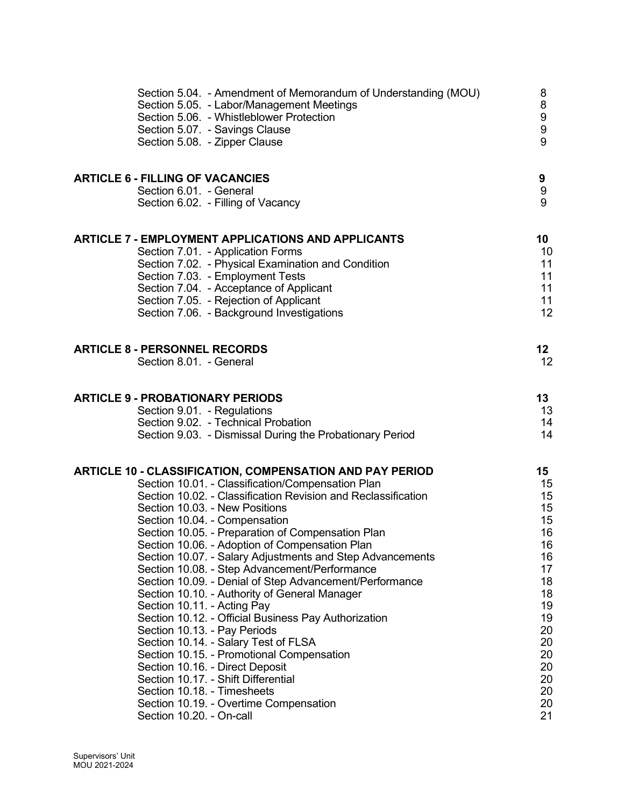| Section 5.04. - Amendment of Memorandum of Understanding (MOU)<br>Section 5.05. - Labor/Management Meetings<br>Section 5.06. - Whistleblower Protection<br>Section 5.07. - Savings Clause<br>Section 5.08. - Zipper Clause                                                                                                                                                                                                                                                                                                                                                                                                                                                                                                                                                                                                                                                                                                                                                    | 8<br>8<br>9<br>9<br>9                                                                                                                   |
|-------------------------------------------------------------------------------------------------------------------------------------------------------------------------------------------------------------------------------------------------------------------------------------------------------------------------------------------------------------------------------------------------------------------------------------------------------------------------------------------------------------------------------------------------------------------------------------------------------------------------------------------------------------------------------------------------------------------------------------------------------------------------------------------------------------------------------------------------------------------------------------------------------------------------------------------------------------------------------|-----------------------------------------------------------------------------------------------------------------------------------------|
| <b>ARTICLE 6 - FILLING OF VACANCIES</b><br>Section 6.01. - General                                                                                                                                                                                                                                                                                                                                                                                                                                                                                                                                                                                                                                                                                                                                                                                                                                                                                                            | 9<br>9                                                                                                                                  |
| Section 6.02. - Filling of Vacancy                                                                                                                                                                                                                                                                                                                                                                                                                                                                                                                                                                                                                                                                                                                                                                                                                                                                                                                                            | 9                                                                                                                                       |
| ARTICLE 7 - EMPLOYMENT APPLICATIONS AND APPLICANTS<br>Section 7.01. - Application Forms<br>Section 7.02. - Physical Examination and Condition<br>Section 7.03. - Employment Tests<br>Section 7.04. - Acceptance of Applicant<br>Section 7.05. - Rejection of Applicant<br>Section 7.06. - Background Investigations                                                                                                                                                                                                                                                                                                                                                                                                                                                                                                                                                                                                                                                           | 10<br>10<br>11<br>11<br>11<br>11<br>12                                                                                                  |
| <b>ARTICLE 8 - PERSONNEL RECORDS</b><br>Section 8.01. - General                                                                                                                                                                                                                                                                                                                                                                                                                                                                                                                                                                                                                                                                                                                                                                                                                                                                                                               | 12 <sub>2</sub><br>12                                                                                                                   |
| <b>ARTICLE 9 - PROBATIONARY PERIODS</b><br>Section 9.01. - Regulations<br>Section 9.02. - Technical Probation<br>Section 9.03. - Dismissal During the Probationary Period                                                                                                                                                                                                                                                                                                                                                                                                                                                                                                                                                                                                                                                                                                                                                                                                     | 13<br>13<br>14<br>14                                                                                                                    |
| ARTICLE 10 - CLASSIFICATION, COMPENSATION AND PAY PERIOD<br>Section 10.01. - Classification/Compensation Plan<br>Section 10.02. - Classification Revision and Reclassification<br>Section 10.03. - New Positions<br>Section 10.04. - Compensation<br>Section 10.05. - Preparation of Compensation Plan<br>Section 10.06. - Adoption of Compensation Plan<br>Section 10.07. - Salary Adjustments and Step Advancements<br>Section 10.08. - Step Advancement/Performance<br>Section 10.09. - Denial of Step Advancement/Performance<br>Section 10.10. - Authority of General Manager<br>Section 10.11. - Acting Pay<br>Section 10.12. - Official Business Pay Authorization<br>Section 10.13. - Pay Periods<br>Section 10.14. - Salary Test of FLSA<br>Section 10.15. - Promotional Compensation<br>Section 10.16. - Direct Deposit<br>Section 10.17. - Shift Differential<br>Section 10.18. - Timesheets<br>Section 10.19. - Overtime Compensation<br>Section 10.20. - On-call | 15 <sub>1</sub><br>15<br>15<br>15<br>15<br>16<br>16<br>16<br>17<br>18<br>18<br>19<br>19<br>20<br>20<br>20<br>20<br>20<br>20<br>20<br>21 |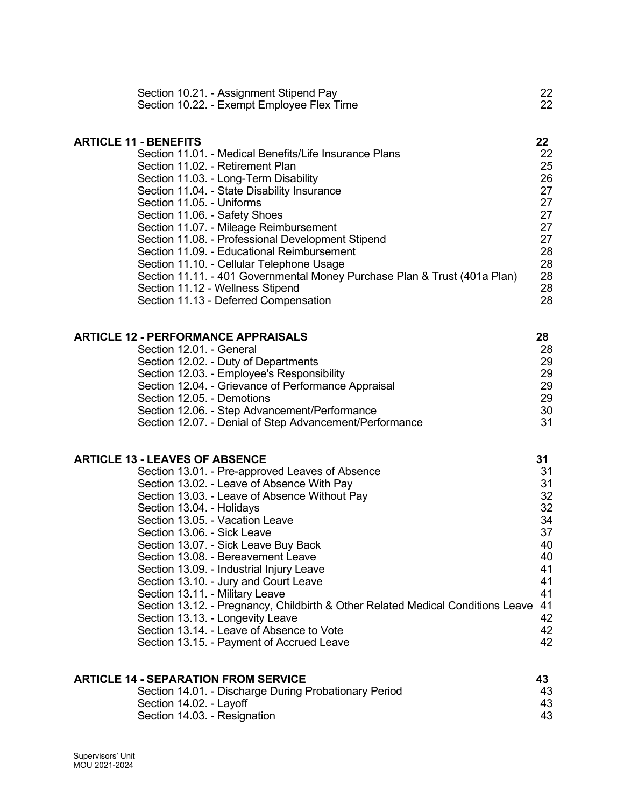| Section 10.21. - Assignment Stipend Pay                                   | 22 |
|---------------------------------------------------------------------------|----|
| Section 10.22. - Exempt Employee Flex Time                                | 22 |
| <b>ARTICLE 11 - BENEFITS</b>                                              | 22 |
| Section 11.01. - Medical Benefits/Life Insurance Plans                    | 22 |
| Section 11.02. - Retirement Plan                                          | 25 |
| Section 11.03. - Long-Term Disability                                     | 26 |
| Section 11.04. - State Disability Insurance                               | 27 |
| Section 11.05. - Uniforms                                                 | 27 |
| Section 11.06. - Safety Shoes                                             | 27 |
| Section 11.07. - Mileage Reimbursement                                    | 27 |
| Section 11.08. - Professional Development Stipend                         | 27 |
| Section 11.09. - Educational Reimbursement                                | 28 |
| Section 11.10. - Cellular Telephone Usage                                 | 28 |
| Section 11.11. - 401 Governmental Money Purchase Plan & Trust (401a Plan) | 28 |
| Section 11.12 - Wellness Stipend                                          | 28 |
| Section 11.13 - Deferred Compensation                                     | 28 |
| <b>ARTICLE 12 - PERFORMANCE APPRAISALS</b>                                | 28 |
| Section 12.01. - General                                                  | 28 |
| Costian 10.00 Duty of Departments                                         | nn |

| <u>UUULIVII IL.UI. UUIIUIUI</u>                         |    |
|---------------------------------------------------------|----|
| Section 12.02. - Duty of Departments                    | 29 |
| Section 12.03. - Employee's Responsibility              | 29 |
| Section 12.04. - Grievance of Performance Appraisal     | 29 |
| Section 12.05. - Demotions                              | 29 |
| Section 12.06. - Step Advancement/Performance           | 30 |
| Section 12.07. - Denial of Step Advancement/Performance | 31 |
|                                                         |    |

# ARTICLE 13 - LEAVES OF ABSENCE 31

| Section 13.01. - Pre-approved Leaves of Absence                                 | 31 |
|---------------------------------------------------------------------------------|----|
| Section 13.02. - Leave of Absence With Pay                                      | 31 |
| Section 13.03. - Leave of Absence Without Pay                                   | 32 |
| Section 13.04. - Holidays                                                       | 32 |
| Section 13.05. - Vacation Leave                                                 | 34 |
| Section 13.06. - Sick Leave                                                     | 37 |
| Section 13.07. - Sick Leave Buy Back                                            | 40 |
| Section 13.08. - Bereavement Leave                                              | 40 |
| Section 13.09. - Industrial Injury Leave                                        | 41 |
| Section 13.10. - Jury and Court Leave                                           | 41 |
| Section 13.11. - Military Leave                                                 | 41 |
| Section 13.12. - Pregnancy, Childbirth & Other Related Medical Conditions Leave | 41 |
| Section 13.13. - Longevity Leave                                                | 42 |
| Section 13.14. - Leave of Absence to Vote                                       | 42 |
| Section 13.15. - Payment of Accrued Leave                                       | 42 |

| <b>ARTICLE 14 - SEPARATION FROM SERVICE</b>           | 43  |
|-------------------------------------------------------|-----|
| Section 14.01. - Discharge During Probationary Period | 43  |
| Section 14.02. - Layoff                               | 43. |
| Section 14.03. - Resignation                          | 43  |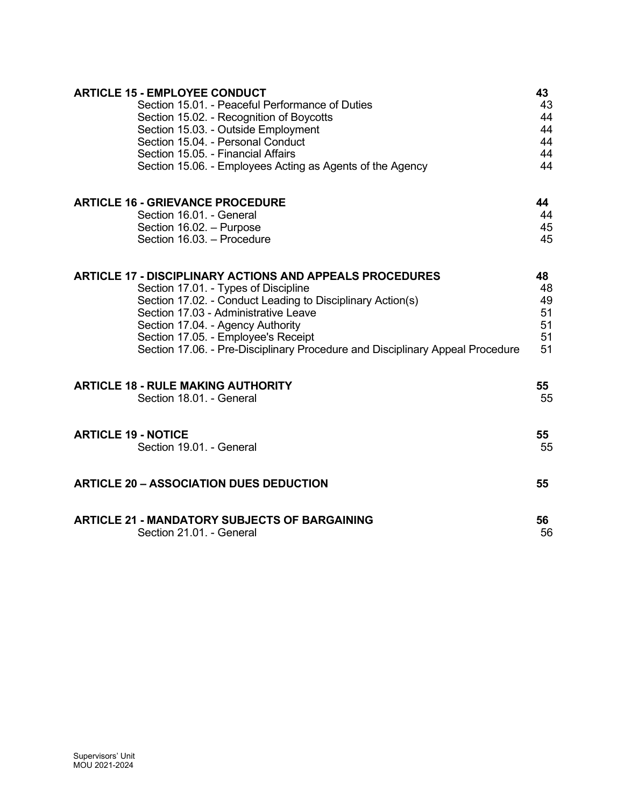| <b>ARTICLE 15 - EMPLOYEE CONDUCT</b>                                          | 43 |
|-------------------------------------------------------------------------------|----|
| Section 15.01. - Peaceful Performance of Duties                               | 43 |
| Section 15.02. - Recognition of Boycotts                                      | 44 |
| Section 15.03. - Outside Employment                                           | 44 |
| Section 15.04. - Personal Conduct                                             | 44 |
| Section 15.05. - Financial Affairs                                            | 44 |
| Section 15.06. - Employees Acting as Agents of the Agency                     | 44 |
| <b>ARTICLE 16 - GRIEVANCE PROCEDURE</b>                                       | 44 |
| Section 16.01. - General                                                      | 44 |
| Section 16.02. - Purpose                                                      | 45 |
| Section 16.03. - Procedure                                                    | 45 |
| <b>ARTICLE 17 - DISCIPLINARY ACTIONS AND APPEALS PROCEDURES</b>               | 48 |
| Section 17.01. - Types of Discipline                                          | 48 |
| Section 17.02. - Conduct Leading to Disciplinary Action(s)                    | 49 |
| Section 17.03 - Administrative Leave                                          | 51 |
| Section 17.04. - Agency Authority                                             | 51 |
| Section 17.05. - Employee's Receipt                                           | 51 |
| Section 17.06. - Pre-Disciplinary Procedure and Disciplinary Appeal Procedure | 51 |
| <b>ARTICLE 18 - RULE MAKING AUTHORITY</b>                                     | 55 |
| Section 18.01. - General                                                      | 55 |
| <b>ARTICLE 19 - NOTICE</b>                                                    | 55 |
| Section 19.01. - General                                                      | 55 |
| <b>ARTICLE 20 - ASSOCIATION DUES DEDUCTION</b>                                | 55 |
| <b>ARTICLE 21 - MANDATORY SUBJECTS OF BARGAINING</b>                          | 56 |
| Section 21.01. - General                                                      | 56 |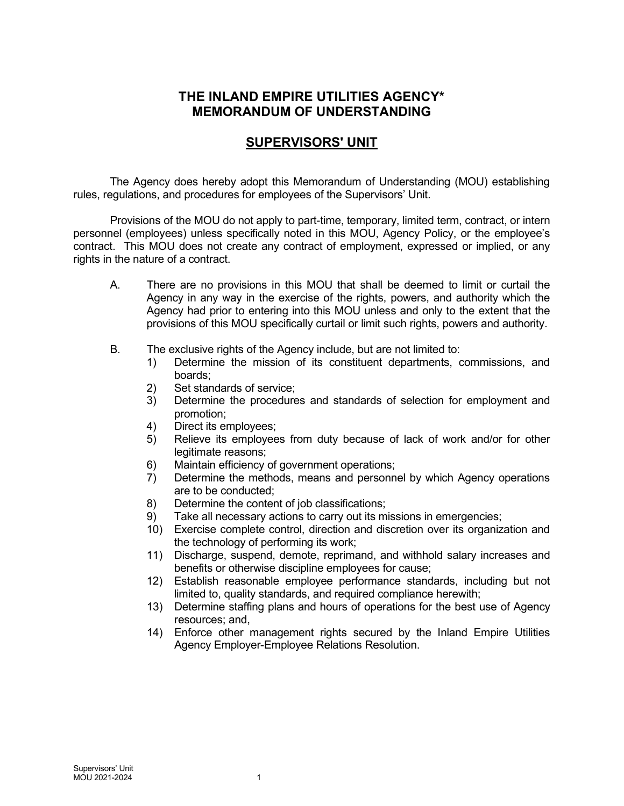# THE INLAND EMPIRE UTILITIES AGENCY\* MEMORANDUM OF UNDERSTANDING

# SUPERVISORS' UNIT

The Agency does hereby adopt this Memorandum of Understanding (MOU) establishing rules, regulations, and procedures for employees of the Supervisors' Unit.

Provisions of the MOU do not apply to part-time, temporary, limited term, contract, or intern personnel (employees) unless specifically noted in this MOU, Agency Policy, or the employee's contract. This MOU does not create any contract of employment, expressed or implied, or any rights in the nature of a contract.

- A. There are no provisions in this MOU that shall be deemed to limit or curtail the Agency in any way in the exercise of the rights, powers, and authority which the Agency had prior to entering into this MOU unless and only to the extent that the provisions of this MOU specifically curtail or limit such rights, powers and authority.
- B. The exclusive rights of the Agency include, but are not limited to:
	- 1) Determine the mission of its constituent departments, commissions, and boards;
	- 2) Set standards of service;
	- 3) Determine the procedures and standards of selection for employment and promotion;
	- 4) Direct its employees;<br>5) Relieve its employee
	- Relieve its employees from duty because of lack of work and/or for other legitimate reasons;
	- 6) Maintain efficiency of government operations;
	- 7) Determine the methods, means and personnel by which Agency operations are to be conducted;
	- 8) Determine the content of job classifications;
	- 9) Take all necessary actions to carry out its missions in emergencies;
	- 10) Exercise complete control, direction and discretion over its organization and the technology of performing its work;
	- 11) Discharge, suspend, demote, reprimand, and withhold salary increases and benefits or otherwise discipline employees for cause;
	- 12) Establish reasonable employee performance standards, including but not limited to, quality standards, and required compliance herewith;
	- 13) Determine staffing plans and hours of operations for the best use of Agency resources; and,
	- 14) Enforce other management rights secured by the Inland Empire Utilities Agency Employer-Employee Relations Resolution.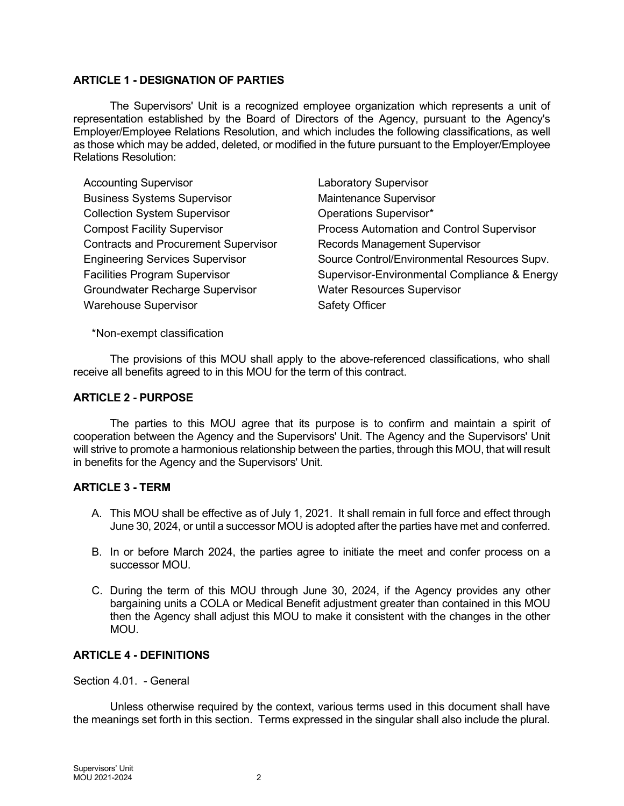# ARTICLE 1 - DESIGNATION OF PARTIES

The Supervisors' Unit is a recognized employee organization which represents a unit of representation established by the Board of Directors of the Agency, pursuant to the Agency's Employer/Employee Relations Resolution, and which includes the following classifications, as well as those which may be added, deleted, or modified in the future pursuant to the Employer/Employee Relations Resolution:

Accounting Supervisor **Laboratory Supervisor** Business Systems Supervisor **Maintenance Supervisor** Collection System Supervisor **Collection System Supervisor Operations Supervisor** \* Contracts and Procurement Supervisor Records Management Supervisor Groundwater Recharge Supervisor Water Resources Supervisor Warehouse Supervisor **Safety Officer** Safety Officer

Compost Facility Supervisor Process Automation and Control Supervisor Engineering Services Supervisor Source Control/Environmental Resources Supv. Facilities Program Supervisor Supervisor-Environmental Compliance & Energy

\*Non-exempt classification

The provisions of this MOU shall apply to the above-referenced classifications, who shall receive all benefits agreed to in this MOU for the term of this contract.

## ARTICLE 2 - PURPOSE

The parties to this MOU agree that its purpose is to confirm and maintain a spirit of cooperation between the Agency and the Supervisors' Unit. The Agency and the Supervisors' Unit will strive to promote a harmonious relationship between the parties, through this MOU, that will result in benefits for the Agency and the Supervisors' Unit.

# ARTICLE 3 - TERM

- A. This MOU shall be effective as of July 1, 2021. It shall remain in full force and effect through June 30, 2024, or until a successor MOU is adopted after the parties have met and conferred.
- B. In or before March 2024, the parties agree to initiate the meet and confer process on a successor MOU.
- C. During the term of this MOU through June 30, 2024, if the Agency provides any other bargaining units a COLA or Medical Benefit adjustment greater than contained in this MOU then the Agency shall adjust this MOU to make it consistent with the changes in the other MOU.

# ARTICLE 4 - DEFINITIONS

Section 4.01. - General

Unless otherwise required by the context, various terms used in this document shall have the meanings set forth in this section. Terms expressed in the singular shall also include the plural.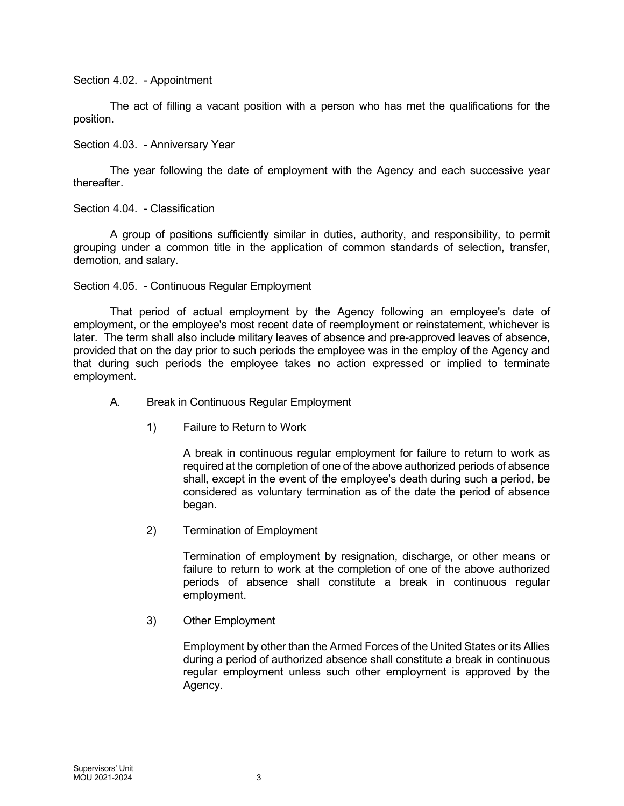Section 4.02. - Appointment

The act of filling a vacant position with a person who has met the qualifications for the position.

Section 4.03. - Anniversary Year

The year following the date of employment with the Agency and each successive year thereafter.

Section 4.04. - Classification

A group of positions sufficiently similar in duties, authority, and responsibility, to permit grouping under a common title in the application of common standards of selection, transfer, demotion, and salary.

Section 4.05. - Continuous Regular Employment

That period of actual employment by the Agency following an employee's date of employment, or the employee's most recent date of reemployment or reinstatement, whichever is later. The term shall also include military leaves of absence and pre-approved leaves of absence, provided that on the day prior to such periods the employee was in the employ of the Agency and that during such periods the employee takes no action expressed or implied to terminate employment.

- A. Break in Continuous Regular Employment
	- 1) Failure to Return to Work

A break in continuous regular employment for failure to return to work as required at the completion of one of the above authorized periods of absence shall, except in the event of the employee's death during such a period, be considered as voluntary termination as of the date the period of absence began.

2) Termination of Employment

Termination of employment by resignation, discharge, or other means or failure to return to work at the completion of one of the above authorized periods of absence shall constitute a break in continuous regular employment.

3) Other Employment

Employment by other than the Armed Forces of the United States or its Allies during a period of authorized absence shall constitute a break in continuous regular employment unless such other employment is approved by the Agency.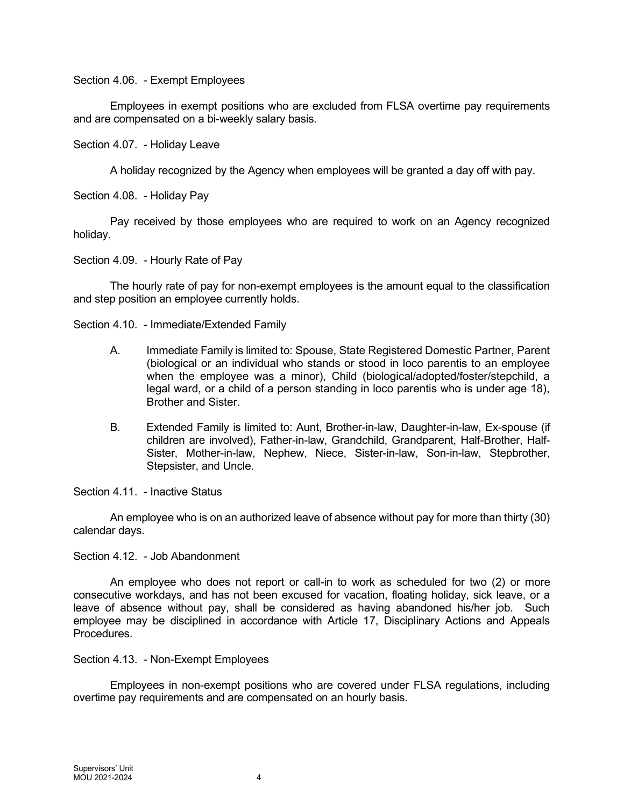Section 4.06. - Exempt Employees

Employees in exempt positions who are excluded from FLSA overtime pay requirements and are compensated on a bi-weekly salary basis.

Section 4.07. - Holiday Leave

A holiday recognized by the Agency when employees will be granted a day off with pay.

Section 4.08. - Holiday Pay

Pay received by those employees who are required to work on an Agency recognized holiday.

Section 4.09. - Hourly Rate of Pay

The hourly rate of pay for non-exempt employees is the amount equal to the classification and step position an employee currently holds.

Section 4.10. - Immediate/Extended Family

- A. Immediate Family is limited to: Spouse, State Registered Domestic Partner, Parent (biological or an individual who stands or stood in loco parentis to an employee when the employee was a minor), Child (biological/adopted/foster/stepchild, a legal ward, or a child of a person standing in loco parentis who is under age 18), Brother and Sister.
- B. Extended Family is limited to: Aunt, Brother-in-law, Daughter-in-law, Ex-spouse (if children are involved), Father-in-law, Grandchild, Grandparent, Half-Brother, Half-Sister, Mother-in-law, Nephew, Niece, Sister-in-law, Son-in-law, Stepbrother, Stepsister, and Uncle.

Section 4.11. - Inactive Status

An employee who is on an authorized leave of absence without pay for more than thirty (30) calendar days.

Section 4.12. - Job Abandonment

An employee who does not report or call-in to work as scheduled for two (2) or more consecutive workdays, and has not been excused for vacation, floating holiday, sick leave, or a leave of absence without pay, shall be considered as having abandoned his/her job. Such employee may be disciplined in accordance with Article 17, Disciplinary Actions and Appeals Procedures.

Section 4.13. - Non-Exempt Employees

Employees in non-exempt positions who are covered under FLSA regulations, including overtime pay requirements and are compensated on an hourly basis.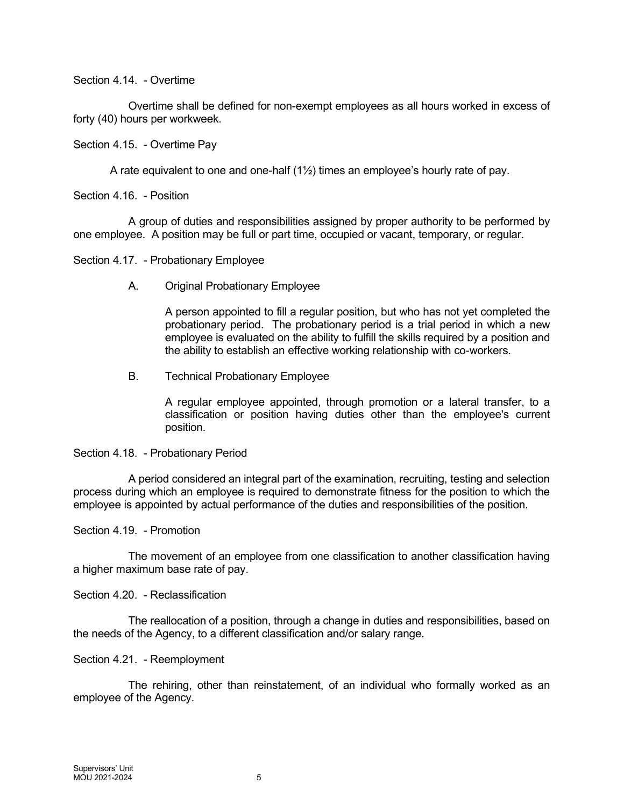Section 4.14. - Overtime

Overtime shall be defined for non-exempt employees as all hours worked in excess of forty (40) hours per workweek.

#### Section 4.15. - Overtime Pay

A rate equivalent to one and one-half (1½) times an employee's hourly rate of pay.

Section 4.16. - Position

A group of duties and responsibilities assigned by proper authority to be performed by one employee. A position may be full or part time, occupied or vacant, temporary, or regular.

Section 4.17. - Probationary Employee

A. Original Probationary Employee

A person appointed to fill a regular position, but who has not yet completed the probationary period. The probationary period is a trial period in which a new employee is evaluated on the ability to fulfill the skills required by a position and the ability to establish an effective working relationship with co-workers.

B. Technical Probationary Employee

A regular employee appointed, through promotion or a lateral transfer, to a classification or position having duties other than the employee's current position.

Section 4.18. - Probationary Period

A period considered an integral part of the examination, recruiting, testing and selection process during which an employee is required to demonstrate fitness for the position to which the employee is appointed by actual performance of the duties and responsibilities of the position.

Section 4.19. - Promotion

The movement of an employee from one classification to another classification having a higher maximum base rate of pay.

Section 4.20. - Reclassification

The reallocation of a position, through a change in duties and responsibilities, based on the needs of the Agency, to a different classification and/or salary range.

#### Section 4.21. - Reemployment

The rehiring, other than reinstatement, of an individual who formally worked as an employee of the Agency.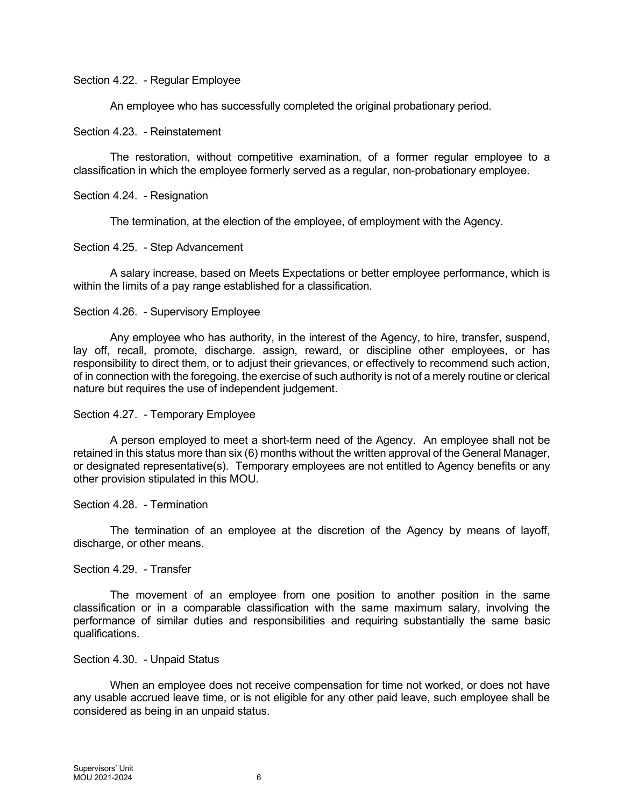#### Section 4.22. - Regular Employee

An employee who has successfully completed the original probationary period.

#### Section 4.23. - Reinstatement

The restoration, without competitive examination, of a former regular employee to a classification in which the employee formerly served as a regular, non-probationary employee.

#### Section 4.24. - Resignation

The termination, at the election of the employee, of employment with the Agency.

#### Section 4.25. - Step Advancement

A salary increase, based on Meets Expectations or better employee performance, which is within the limits of a pay range established for a classification.

#### Section 4.26. - Supervisory Employee

Any employee who has authority, in the interest of the Agency, to hire, transfer, suspend, lay off, recall, promote, discharge. assign, reward, or discipline other employees, or has responsibility to direct them, or to adjust their grievances, or effectively to recommend such action, of in connection with the foregoing, the exercise of such authority is not of a merely routine or clerical nature but requires the use of independent judgement.

#### Section 4.27. - Temporary Employee

A person employed to meet a short-term need of the Agency. An employee shall not be retained in this status more than six (6) months without the written approval of the General Manager, or designated representative(s). Temporary employees are not entitled to Agency benefits or any other provision stipulated in this MOU.

#### Section 4.28. - Termination

The termination of an employee at the discretion of the Agency by means of layoff, discharge, or other means.

#### Section 4.29. - Transfer

The movement of an employee from one position to another position in the same classification or in a comparable classification with the same maximum salary, involving the performance of similar duties and responsibilities and requiring substantially the same basic qualifications.

#### Section 4.30. - Unpaid Status

When an employee does not receive compensation for time not worked, or does not have any usable accrued leave time, or is not eligible for any other paid leave, such employee shall be considered as being in an unpaid status.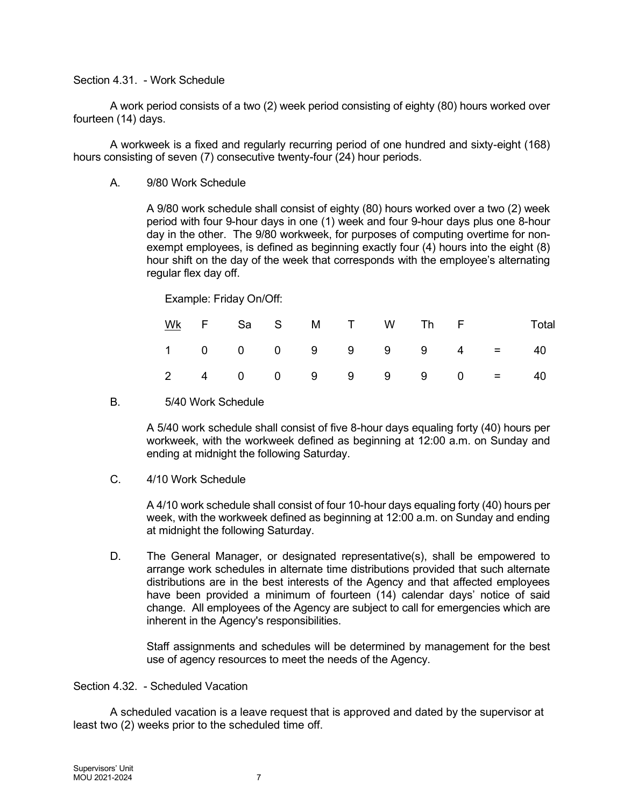#### Section 4.31. - Work Schedule

A work period consists of a two (2) week period consisting of eighty (80) hours worked over fourteen (14) days.

A workweek is a fixed and regularly recurring period of one hundred and sixty-eight (168) hours consisting of seven (7) consecutive twenty-four (24) hour periods.

A. 9/80 Work Schedule

A 9/80 work schedule shall consist of eighty (80) hours worked over a two (2) week period with four 9-hour days in one (1) week and four 9-hour days plus one 8-hour day in the other. The 9/80 workweek, for purposes of computing overtime for nonexempt employees, is defined as beginning exactly four (4) hours into the eight (8) hour shift on the day of the week that corresponds with the employee's alternating regular flex day off.

Example: Friday On/Off:

|  |  |  |  |  | WK F Sa S M T W Th F Total                       |
|--|--|--|--|--|--------------------------------------------------|
|  |  |  |  |  | $1 0 0 0 9 9 9 9 4 = 40$                         |
|  |  |  |  |  | $2 \t 4 \t 0 \t 0 \t 9 \t 9 \t 9 \t 9 \t 0 = 40$ |

#### B. 5/40 Work Schedule

A 5/40 work schedule shall consist of five 8-hour days equaling forty (40) hours per workweek, with the workweek defined as beginning at 12:00 a.m. on Sunday and ending at midnight the following Saturday.

C. 4/10 Work Schedule

A 4/10 work schedule shall consist of four 10-hour days equaling forty (40) hours per week, with the workweek defined as beginning at 12:00 a.m. on Sunday and ending at midnight the following Saturday.

D. The General Manager, or designated representative(s), shall be empowered to arrange work schedules in alternate time distributions provided that such alternate distributions are in the best interests of the Agency and that affected employees have been provided a minimum of fourteen (14) calendar days' notice of said change. All employees of the Agency are subject to call for emergencies which are inherent in the Agency's responsibilities.

Staff assignments and schedules will be determined by management for the best use of agency resources to meet the needs of the Agency.

Section 4.32. - Scheduled Vacation

A scheduled vacation is a leave request that is approved and dated by the supervisor at least two (2) weeks prior to the scheduled time off.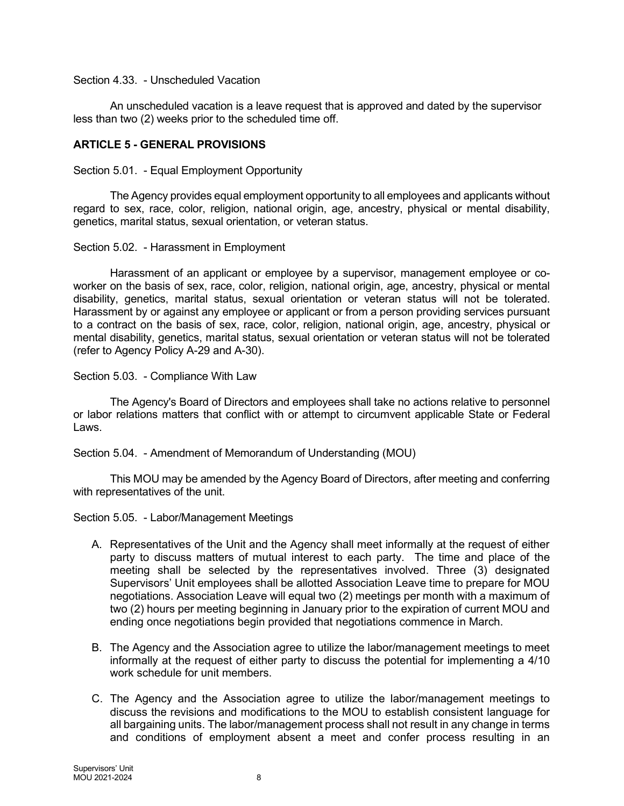### Section 4.33. - Unscheduled Vacation

An unscheduled vacation is a leave request that is approved and dated by the supervisor less than two (2) weeks prior to the scheduled time off.

## ARTICLE 5 - GENERAL PROVISIONS

Section 5.01. - Equal Employment Opportunity

The Agency provides equal employment opportunity to all employees and applicants without regard to sex, race, color, religion, national origin, age, ancestry, physical or mental disability, genetics, marital status, sexual orientation, or veteran status.

#### Section 5.02. - Harassment in Employment

Harassment of an applicant or employee by a supervisor, management employee or coworker on the basis of sex, race, color, religion, national origin, age, ancestry, physical or mental disability, genetics, marital status, sexual orientation or veteran status will not be tolerated. Harassment by or against any employee or applicant or from a person providing services pursuant to a contract on the basis of sex, race, color, religion, national origin, age, ancestry, physical or mental disability, genetics, marital status, sexual orientation or veteran status will not be tolerated (refer to Agency Policy A-29 and A-30).

#### Section 5.03. - Compliance With Law

The Agency's Board of Directors and employees shall take no actions relative to personnel or labor relations matters that conflict with or attempt to circumvent applicable State or Federal Laws.

Section 5.04. - Amendment of Memorandum of Understanding (MOU)

This MOU may be amended by the Agency Board of Directors, after meeting and conferring with representatives of the unit.

Section 5.05. - Labor/Management Meetings

- A. Representatives of the Unit and the Agency shall meet informally at the request of either party to discuss matters of mutual interest to each party. The time and place of the meeting shall be selected by the representatives involved. Three (3) designated Supervisors' Unit employees shall be allotted Association Leave time to prepare for MOU negotiations. Association Leave will equal two (2) meetings per month with a maximum of two (2) hours per meeting beginning in January prior to the expiration of current MOU and ending once negotiations begin provided that negotiations commence in March.
- B. The Agency and the Association agree to utilize the labor/management meetings to meet informally at the request of either party to discuss the potential for implementing a 4/10 work schedule for unit members.
- C. The Agency and the Association agree to utilize the labor/management meetings to discuss the revisions and modifications to the MOU to establish consistent language for all bargaining units. The labor/management process shall not result in any change in terms and conditions of employment absent a meet and confer process resulting in an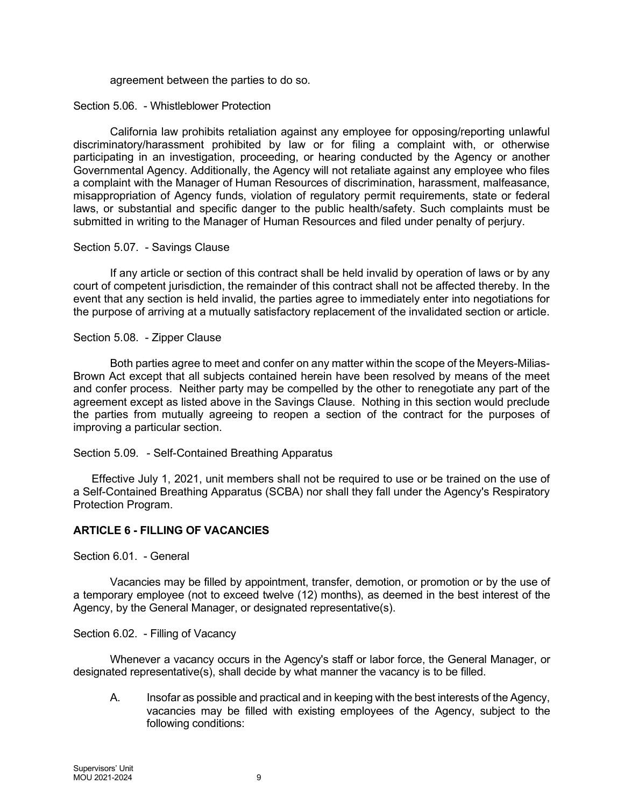#### agreement between the parties to do so.

#### Section 5.06. - Whistleblower Protection

California law prohibits retaliation against any employee for opposing/reporting unlawful discriminatory/harassment prohibited by law or for filing a complaint with, or otherwise participating in an investigation, proceeding, or hearing conducted by the Agency or another Governmental Agency. Additionally, the Agency will not retaliate against any employee who files a complaint with the Manager of Human Resources of discrimination, harassment, malfeasance, misappropriation of Agency funds, violation of regulatory permit requirements, state or federal laws, or substantial and specific danger to the public health/safety. Such complaints must be submitted in writing to the Manager of Human Resources and filed under penalty of perjury.

#### Section 5.07. - Savings Clause

If any article or section of this contract shall be held invalid by operation of laws or by any court of competent jurisdiction, the remainder of this contract shall not be affected thereby. In the event that any section is held invalid, the parties agree to immediately enter into negotiations for the purpose of arriving at a mutually satisfactory replacement of the invalidated section or article.

#### Section 5.08. - Zipper Clause

Both parties agree to meet and confer on any matter within the scope of the Meyers-Milias-Brown Act except that all subjects contained herein have been resolved by means of the meet and confer process. Neither party may be compelled by the other to renegotiate any part of the agreement except as listed above in the Savings Clause. Nothing in this section would preclude the parties from mutually agreeing to reopen a section of the contract for the purposes of improving a particular section.

#### Section 5.09. - Self-Contained Breathing Apparatus

Effective July 1, 2021, unit members shall not be required to use or be trained on the use of a Self-Contained Breathing Apparatus (SCBA) nor shall they fall under the Agency's Respiratory Protection Program.

#### ARTICLE 6 - FILLING OF VACANCIES

Section 6.01. - General

Vacancies may be filled by appointment, transfer, demotion, or promotion or by the use of a temporary employee (not to exceed twelve (12) months), as deemed in the best interest of the Agency, by the General Manager, or designated representative(s).

#### Section 6.02. - Filling of Vacancy

Whenever a vacancy occurs in the Agency's staff or labor force, the General Manager, or designated representative(s), shall decide by what manner the vacancy is to be filled.

A. Insofar as possible and practical and in keeping with the best interests of the Agency, vacancies may be filled with existing employees of the Agency, subject to the following conditions: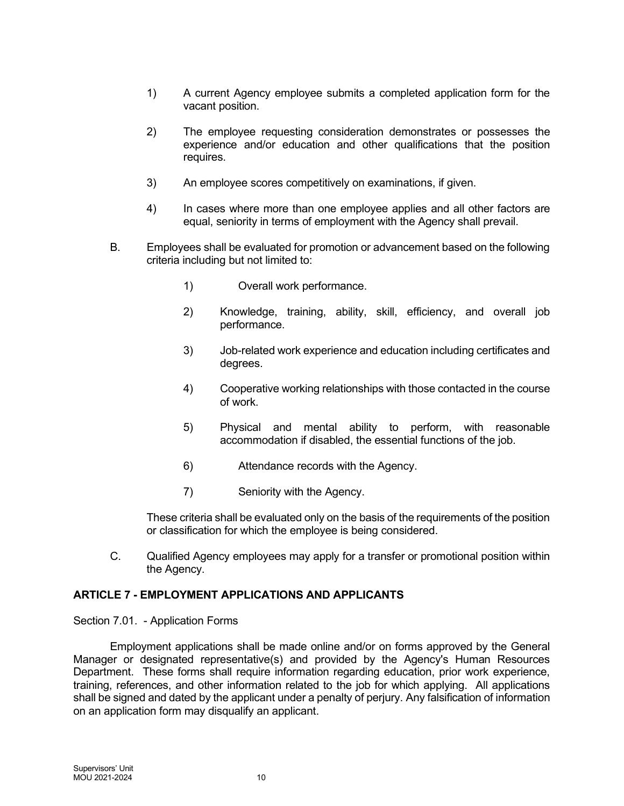- 1) A current Agency employee submits a completed application form for the vacant position.
- 2) The employee requesting consideration demonstrates or possesses the experience and/or education and other qualifications that the position requires.
- 3) An employee scores competitively on examinations, if given.
- 4) In cases where more than one employee applies and all other factors are equal, seniority in terms of employment with the Agency shall prevail.
- B. Employees shall be evaluated for promotion or advancement based on the following criteria including but not limited to:
	- 1) Overall work performance.
	- 2) Knowledge, training, ability, skill, efficiency, and overall job performance.
	- 3) Job-related work experience and education including certificates and degrees.
	- 4) Cooperative working relationships with those contacted in the course of work.
	- 5) Physical and mental ability to perform, with reasonable accommodation if disabled, the essential functions of the job.
	- 6) Attendance records with the Agency.
	- 7) Seniority with the Agency.

These criteria shall be evaluated only on the basis of the requirements of the position or classification for which the employee is being considered.

C. Qualified Agency employees may apply for a transfer or promotional position within the Agency.

#### ARTICLE 7 - EMPLOYMENT APPLICATIONS AND APPLICANTS

#### Section 7.01. - Application Forms

Employment applications shall be made online and/or on forms approved by the General Manager or designated representative(s) and provided by the Agency's Human Resources Department. These forms shall require information regarding education, prior work experience, training, references, and other information related to the job for which applying. All applications shall be signed and dated by the applicant under a penalty of perjury. Any falsification of information on an application form may disqualify an applicant.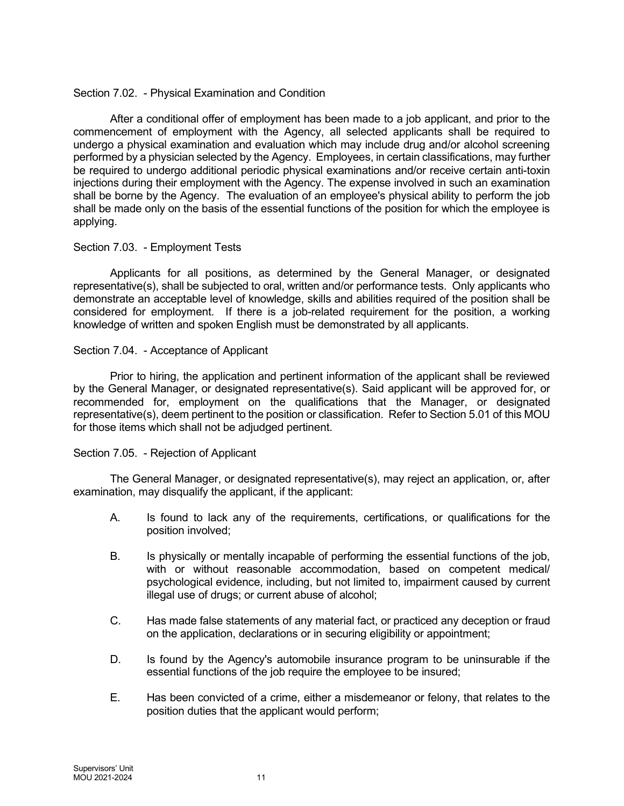## Section 7.02. - Physical Examination and Condition

After a conditional offer of employment has been made to a job applicant, and prior to the commencement of employment with the Agency, all selected applicants shall be required to undergo a physical examination and evaluation which may include drug and/or alcohol screening performed by a physician selected by the Agency. Employees, in certain classifications, may further be required to undergo additional periodic physical examinations and/or receive certain anti-toxin injections during their employment with the Agency. The expense involved in such an examination shall be borne by the Agency. The evaluation of an employee's physical ability to perform the job shall be made only on the basis of the essential functions of the position for which the employee is applying.

#### Section 7.03. - Employment Tests

Applicants for all positions, as determined by the General Manager, or designated representative(s), shall be subjected to oral, written and/or performance tests. Only applicants who demonstrate an acceptable level of knowledge, skills and abilities required of the position shall be considered for employment. If there is a job-related requirement for the position, a working knowledge of written and spoken English must be demonstrated by all applicants.

## Section 7.04. - Acceptance of Applicant

Prior to hiring, the application and pertinent information of the applicant shall be reviewed by the General Manager, or designated representative(s). Said applicant will be approved for, or recommended for, employment on the qualifications that the Manager, or designated representative(s), deem pertinent to the position or classification. Refer to Section 5.01 of this MOU for those items which shall not be adjudged pertinent.

# Section 7.05. - Rejection of Applicant

The General Manager, or designated representative(s), may reject an application, or, after examination, may disqualify the applicant, if the applicant:

- A. Is found to lack any of the requirements, certifications, or qualifications for the position involved;
- B. Is physically or mentally incapable of performing the essential functions of the job, with or without reasonable accommodation, based on competent medical/ psychological evidence, including, but not limited to, impairment caused by current illegal use of drugs; or current abuse of alcohol;
- C. Has made false statements of any material fact, or practiced any deception or fraud on the application, declarations or in securing eligibility or appointment;
- D. Is found by the Agency's automobile insurance program to be uninsurable if the essential functions of the job require the employee to be insured;
- E. Has been convicted of a crime, either a misdemeanor or felony, that relates to the position duties that the applicant would perform;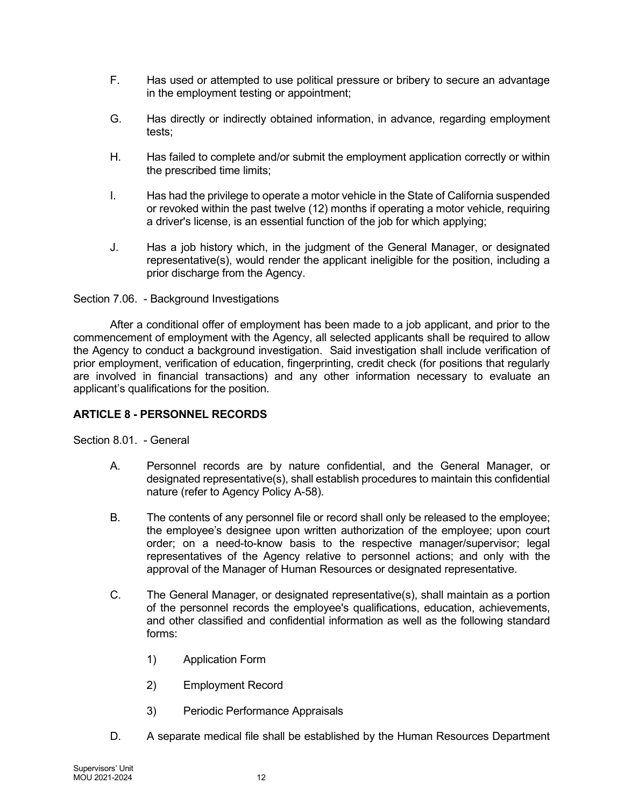- F. Has used or attempted to use political pressure or bribery to secure an advantage in the employment testing or appointment;
- G. Has directly or indirectly obtained information, in advance, regarding employment tests;
- H. Has failed to complete and/or submit the employment application correctly or within the prescribed time limits;
- I. Has had the privilege to operate a motor vehicle in the State of California suspended or revoked within the past twelve (12) months if operating a motor vehicle, requiring a driver's license, is an essential function of the job for which applying;
- J. Has a job history which, in the judgment of the General Manager, or designated representative(s), would render the applicant ineligible for the position, including a prior discharge from the Agency.

Section 7.06. - Background Investigations

After a conditional offer of employment has been made to a job applicant, and prior to the commencement of employment with the Agency, all selected applicants shall be required to allow the Agency to conduct a background investigation. Said investigation shall include verification of prior employment, verification of education, fingerprinting, credit check (for positions that regularly are involved in financial transactions) and any other information necessary to evaluate an applicant's qualifications for the position.

# ARTICLE 8 - PERSONNEL RECORDS

Section 8.01. - General

- A. Personnel records are by nature confidential, and the General Manager, or designated representative(s), shall establish procedures to maintain this confidential nature (refer to Agency Policy A-58).
- B. The contents of any personnel file or record shall only be released to the employee; the employee's designee upon written authorization of the employee; upon court order; on a need-to-know basis to the respective manager/supervisor; legal representatives of the Agency relative to personnel actions; and only with the approval of the Manager of Human Resources or designated representative.
- C. The General Manager, or designated representative(s), shall maintain as a portion of the personnel records the employee's qualifications, education, achievements, and other classified and confidential information as well as the following standard forms:
	- 1) Application Form
	- 2) Employment Record
	- 3) Periodic Performance Appraisals
- D. A separate medical file shall be established by the Human Resources Department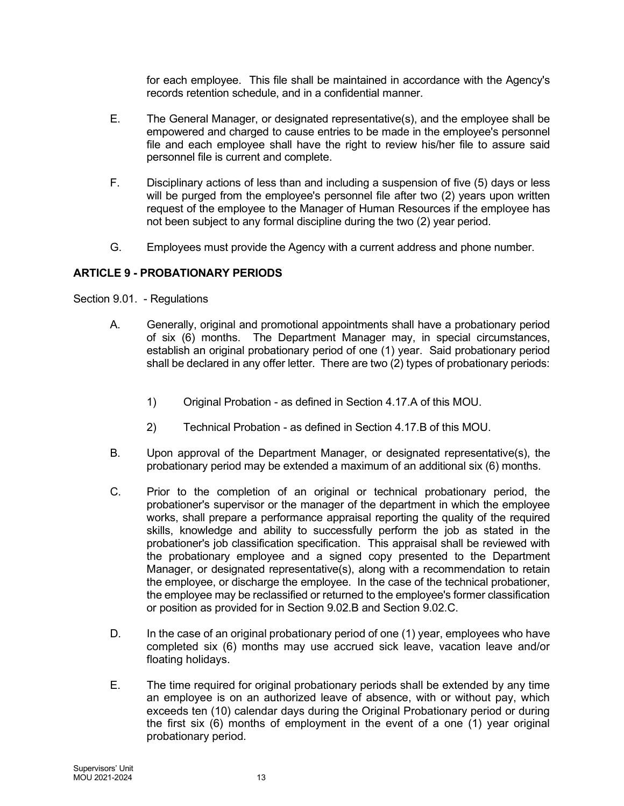for each employee. This file shall be maintained in accordance with the Agency's records retention schedule, and in a confidential manner.

- E. The General Manager, or designated representative(s), and the employee shall be empowered and charged to cause entries to be made in the employee's personnel file and each employee shall have the right to review his/her file to assure said personnel file is current and complete.
- F. Disciplinary actions of less than and including a suspension of five (5) days or less will be purged from the employee's personnel file after two (2) years upon written request of the employee to the Manager of Human Resources if the employee has not been subject to any formal discipline during the two (2) year period.
- G. Employees must provide the Agency with a current address and phone number.

# ARTICLE 9 - PROBATIONARY PERIODS

Section 9.01. - Regulations

- A. Generally, original and promotional appointments shall have a probationary period of six (6) months. The Department Manager may, in special circumstances, establish an original probationary period of one (1) year. Said probationary period shall be declared in any offer letter. There are two (2) types of probationary periods:
	- 1) Original Probation as defined in Section 4.17.A of this MOU.
	- 2) Technical Probation as defined in Section 4.17.B of this MOU.
- B. Upon approval of the Department Manager, or designated representative(s), the probationary period may be extended a maximum of an additional six (6) months.
- C. Prior to the completion of an original or technical probationary period, the probationer's supervisor or the manager of the department in which the employee works, shall prepare a performance appraisal reporting the quality of the required skills, knowledge and ability to successfully perform the job as stated in the probationer's job classification specification. This appraisal shall be reviewed with the probationary employee and a signed copy presented to the Department Manager, or designated representative(s), along with a recommendation to retain the employee, or discharge the employee. In the case of the technical probationer, the employee may be reclassified or returned to the employee's former classification or position as provided for in Section 9.02.B and Section 9.02.C.
- D. In the case of an original probationary period of one (1) year, employees who have completed six (6) months may use accrued sick leave, vacation leave and/or floating holidays.
- E. The time required for original probationary periods shall be extended by any time an employee is on an authorized leave of absence, with or without pay, which exceeds ten (10) calendar days during the Original Probationary period or during the first six (6) months of employment in the event of a one (1) year original probationary period.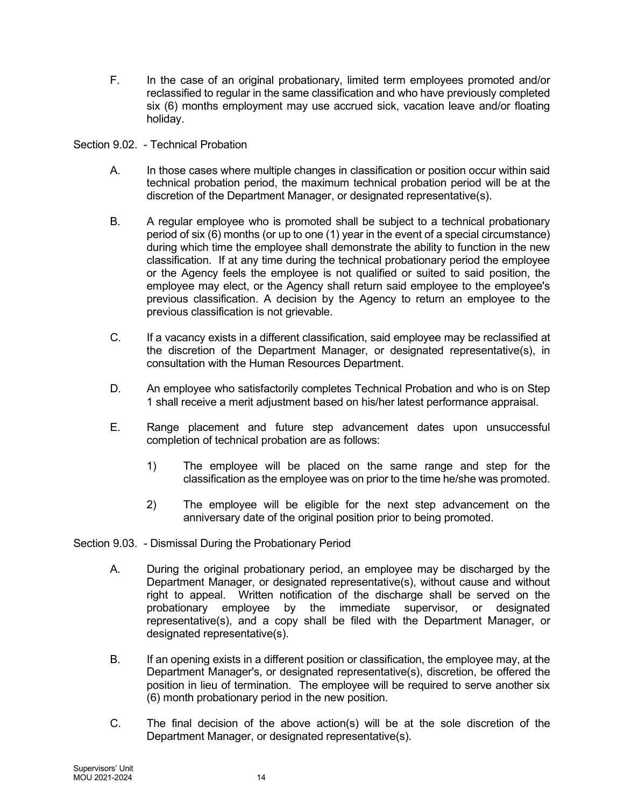F. In the case of an original probationary, limited term employees promoted and/or reclassified to regular in the same classification and who have previously completed six (6) months employment may use accrued sick, vacation leave and/or floating holiday.

Section 9.02. - Technical Probation

- A. In those cases where multiple changes in classification or position occur within said technical probation period, the maximum technical probation period will be at the discretion of the Department Manager, or designated representative(s).
- B. A regular employee who is promoted shall be subject to a technical probationary period of six (6) months (or up to one (1) year in the event of a special circumstance) during which time the employee shall demonstrate the ability to function in the new classification. If at any time during the technical probationary period the employee or the Agency feels the employee is not qualified or suited to said position, the employee may elect, or the Agency shall return said employee to the employee's previous classification. A decision by the Agency to return an employee to the previous classification is not grievable.
- C. If a vacancy exists in a different classification, said employee may be reclassified at the discretion of the Department Manager, or designated representative(s), in consultation with the Human Resources Department.
- D. An employee who satisfactorily completes Technical Probation and who is on Step 1 shall receive a merit adjustment based on his/her latest performance appraisal.
- E. Range placement and future step advancement dates upon unsuccessful completion of technical probation are as follows:
	- 1) The employee will be placed on the same range and step for the classification as the employee was on prior to the time he/she was promoted.
	- 2) The employee will be eligible for the next step advancement on the anniversary date of the original position prior to being promoted.

Section 9.03. - Dismissal During the Probationary Period

- A. During the original probationary period, an employee may be discharged by the Department Manager, or designated representative(s), without cause and without right to appeal. Written notification of the discharge shall be served on the probationary employee by the immediate supervisor, or designated representative(s), and a copy shall be filed with the Department Manager, or designated representative(s).
- B. If an opening exists in a different position or classification, the employee may, at the Department Manager's, or designated representative(s), discretion, be offered the position in lieu of termination. The employee will be required to serve another six (6) month probationary period in the new position.
- C. The final decision of the above action(s) will be at the sole discretion of the Department Manager, or designated representative(s).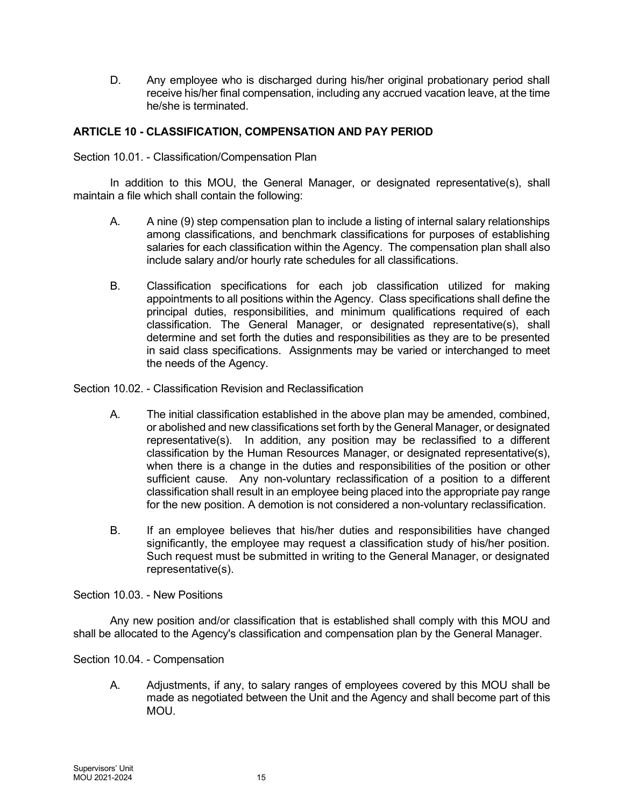D. Any employee who is discharged during his/her original probationary period shall receive his/her final compensation, including any accrued vacation leave, at the time he/she is terminated.

# ARTICLE 10 - CLASSIFICATION, COMPENSATION AND PAY PERIOD

Section 10.01. - Classification/Compensation Plan

In addition to this MOU, the General Manager, or designated representative(s), shall maintain a file which shall contain the following:

- A. A nine (9) step compensation plan to include a listing of internal salary relationships among classifications, and benchmark classifications for purposes of establishing salaries for each classification within the Agency. The compensation plan shall also include salary and/or hourly rate schedules for all classifications.
- B. Classification specifications for each job classification utilized for making appointments to all positions within the Agency. Class specifications shall define the principal duties, responsibilities, and minimum qualifications required of each classification. The General Manager, or designated representative(s), shall determine and set forth the duties and responsibilities as they are to be presented in said class specifications. Assignments may be varied or interchanged to meet the needs of the Agency.

Section 10.02. - Classification Revision and Reclassification

- A. The initial classification established in the above plan may be amended, combined, or abolished and new classifications set forth by the General Manager, or designated representative(s). In addition, any position may be reclassified to a different classification by the Human Resources Manager, or designated representative(s), when there is a change in the duties and responsibilities of the position or other sufficient cause. Any non-voluntary reclassification of a position to a different classification shall result in an employee being placed into the appropriate pay range for the new position. A demotion is not considered a non-voluntary reclassification.
- B. If an employee believes that his/her duties and responsibilities have changed significantly, the employee may request a classification study of his/her position. Such request must be submitted in writing to the General Manager, or designated representative(s).

Section 10.03. - New Positions

Any new position and/or classification that is established shall comply with this MOU and shall be allocated to the Agency's classification and compensation plan by the General Manager.

Section 10.04. - Compensation

A. Adjustments, if any, to salary ranges of employees covered by this MOU shall be made as negotiated between the Unit and the Agency and shall become part of this MOU.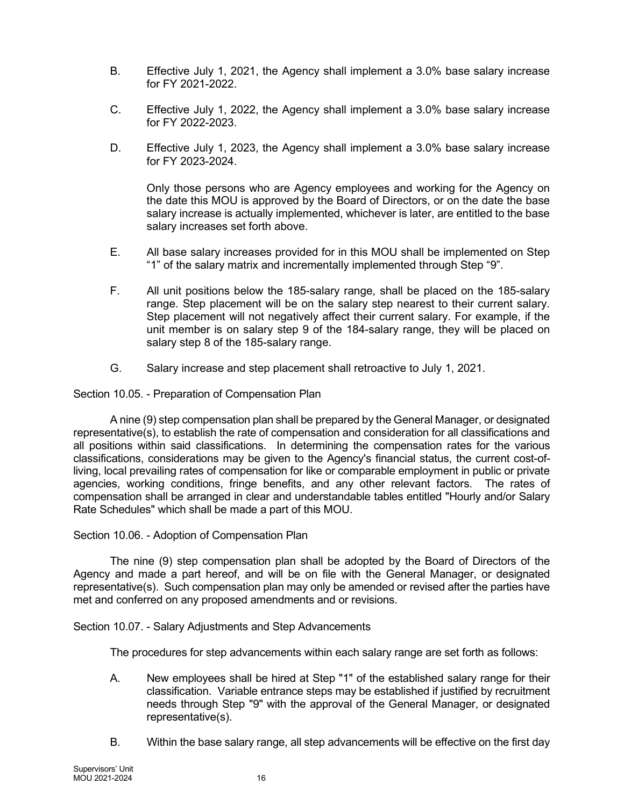- B. Effective July 1, 2021, the Agency shall implement a 3.0% base salary increase for FY 2021-2022.
- C. Effective July 1, 2022, the Agency shall implement a 3.0% base salary increase for FY 2022-2023.
- D. Effective July 1, 2023, the Agency shall implement a 3.0% base salary increase for FY 2023-2024.

Only those persons who are Agency employees and working for the Agency on the date this MOU is approved by the Board of Directors, or on the date the base salary increase is actually implemented, whichever is later, are entitled to the base salary increases set forth above.

- E. All base salary increases provided for in this MOU shall be implemented on Step "1" of the salary matrix and incrementally implemented through Step "9".
- F. All unit positions below the 185-salary range, shall be placed on the 185-salary range. Step placement will be on the salary step nearest to their current salary. Step placement will not negatively affect their current salary. For example, if the unit member is on salary step 9 of the 184-salary range, they will be placed on salary step 8 of the 185-salary range.
- G. Salary increase and step placement shall retroactive to July 1, 2021.

Section 10.05. - Preparation of Compensation Plan

A nine (9) step compensation plan shall be prepared by the General Manager, or designated representative(s), to establish the rate of compensation and consideration for all classifications and all positions within said classifications. In determining the compensation rates for the various classifications, considerations may be given to the Agency's financial status, the current cost-ofliving, local prevailing rates of compensation for like or comparable employment in public or private agencies, working conditions, fringe benefits, and any other relevant factors. The rates of compensation shall be arranged in clear and understandable tables entitled "Hourly and/or Salary Rate Schedules" which shall be made a part of this MOU.

Section 10.06. - Adoption of Compensation Plan

The nine (9) step compensation plan shall be adopted by the Board of Directors of the Agency and made a part hereof, and will be on file with the General Manager, or designated representative(s). Such compensation plan may only be amended or revised after the parties have met and conferred on any proposed amendments and or revisions.

Section 10.07. - Salary Adjustments and Step Advancements

The procedures for step advancements within each salary range are set forth as follows:

- A. New employees shall be hired at Step "1" of the established salary range for their classification. Variable entrance steps may be established if justified by recruitment needs through Step "9" with the approval of the General Manager, or designated representative(s).
- B. Within the base salary range, all step advancements will be effective on the first day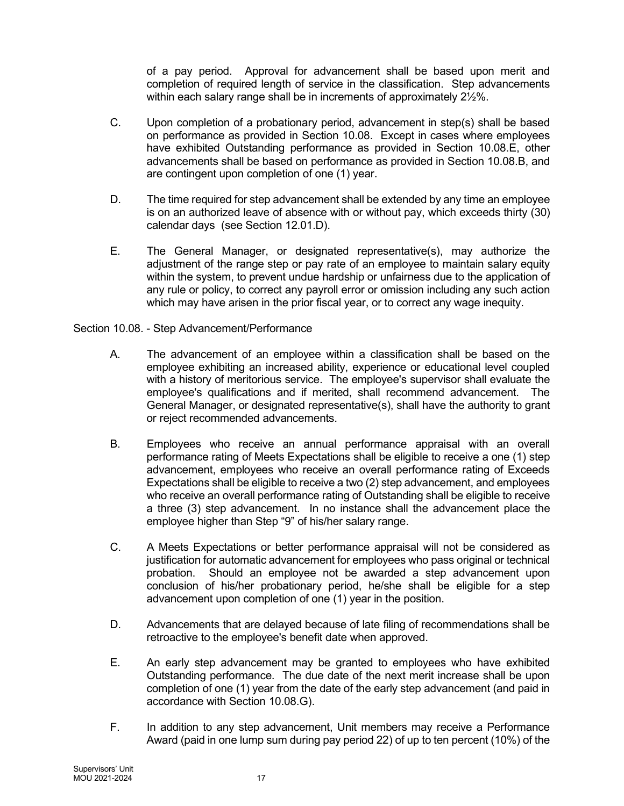of a pay period. Approval for advancement shall be based upon merit and completion of required length of service in the classification. Step advancements within each salary range shall be in increments of approximately 2½%.

- C. Upon completion of a probationary period, advancement in step(s) shall be based on performance as provided in Section 10.08. Except in cases where employees have exhibited Outstanding performance as provided in Section 10.08.E, other advancements shall be based on performance as provided in Section 10.08.B, and are contingent upon completion of one (1) year.
- D. The time required for step advancement shall be extended by any time an employee is on an authorized leave of absence with or without pay, which exceeds thirty (30) calendar days (see Section 12.01.D).
- E. The General Manager, or designated representative(s), may authorize the adjustment of the range step or pay rate of an employee to maintain salary equity within the system, to prevent undue hardship or unfairness due to the application of any rule or policy, to correct any payroll error or omission including any such action which may have arisen in the prior fiscal year, or to correct any wage inequity.

## Section 10.08. - Step Advancement/Performance

- A. The advancement of an employee within a classification shall be based on the employee exhibiting an increased ability, experience or educational level coupled with a history of meritorious service. The employee's supervisor shall evaluate the employee's qualifications and if merited, shall recommend advancement. The General Manager, or designated representative(s), shall have the authority to grant or reject recommended advancements.
- B. Employees who receive an annual performance appraisal with an overall performance rating of Meets Expectations shall be eligible to receive a one (1) step advancement, employees who receive an overall performance rating of Exceeds Expectations shall be eligible to receive a two (2) step advancement, and employees who receive an overall performance rating of Outstanding shall be eligible to receive a three (3) step advancement. In no instance shall the advancement place the employee higher than Step "9" of his/her salary range.
- C. A Meets Expectations or better performance appraisal will not be considered as justification for automatic advancement for employees who pass original or technical probation. Should an employee not be awarded a step advancement upon conclusion of his/her probationary period, he/she shall be eligible for a step advancement upon completion of one (1) year in the position.
- D. Advancements that are delayed because of late filing of recommendations shall be retroactive to the employee's benefit date when approved.
- E. An early step advancement may be granted to employees who have exhibited Outstanding performance. The due date of the next merit increase shall be upon completion of one (1) year from the date of the early step advancement (and paid in accordance with Section 10.08.G).
- F. In addition to any step advancement, Unit members may receive a Performance Award (paid in one lump sum during pay period 22) of up to ten percent (10%) of the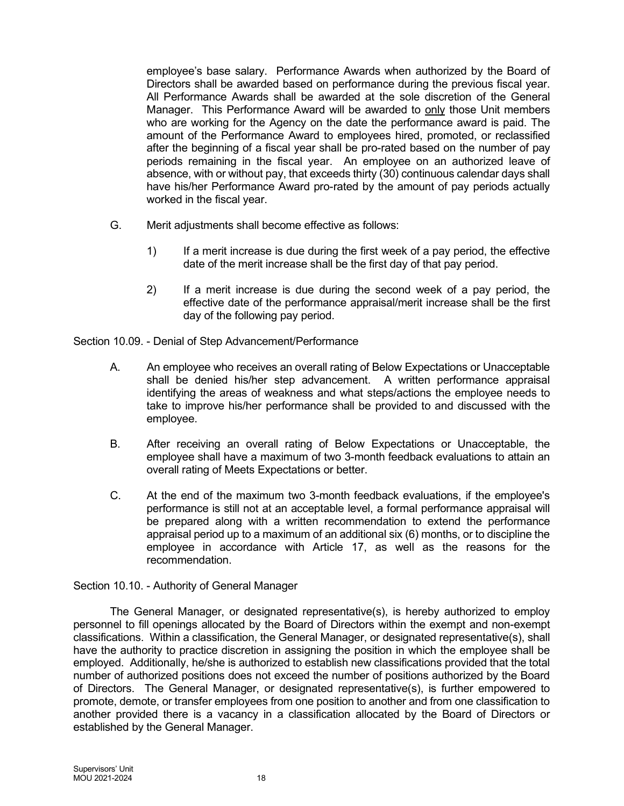employee's base salary. Performance Awards when authorized by the Board of Directors shall be awarded based on performance during the previous fiscal year. All Performance Awards shall be awarded at the sole discretion of the General Manager. This Performance Award will be awarded to only those Unit members who are working for the Agency on the date the performance award is paid. The amount of the Performance Award to employees hired, promoted, or reclassified after the beginning of a fiscal year shall be pro-rated based on the number of pay periods remaining in the fiscal year. An employee on an authorized leave of absence, with or without pay, that exceeds thirty (30) continuous calendar days shall have his/her Performance Award pro-rated by the amount of pay periods actually worked in the fiscal year.

- G. Merit adjustments shall become effective as follows:
	- 1) If a merit increase is due during the first week of a pay period, the effective date of the merit increase shall be the first day of that pay period.
	- 2) If a merit increase is due during the second week of a pay period, the effective date of the performance appraisal/merit increase shall be the first day of the following pay period.

Section 10.09. - Denial of Step Advancement/Performance

- A. An employee who receives an overall rating of Below Expectations or Unacceptable shall be denied his/her step advancement. A written performance appraisal identifying the areas of weakness and what steps/actions the employee needs to take to improve his/her performance shall be provided to and discussed with the employee.
- B. After receiving an overall rating of Below Expectations or Unacceptable, the employee shall have a maximum of two 3-month feedback evaluations to attain an overall rating of Meets Expectations or better.
- C. At the end of the maximum two 3-month feedback evaluations, if the employee's performance is still not at an acceptable level, a formal performance appraisal will be prepared along with a written recommendation to extend the performance appraisal period up to a maximum of an additional six (6) months, or to discipline the employee in accordance with Article 17, as well as the reasons for the recommendation.

Section 10.10. - Authority of General Manager

The General Manager, or designated representative(s), is hereby authorized to employ personnel to fill openings allocated by the Board of Directors within the exempt and non-exempt classifications. Within a classification, the General Manager, or designated representative(s), shall have the authority to practice discretion in assigning the position in which the employee shall be employed. Additionally, he/she is authorized to establish new classifications provided that the total number of authorized positions does not exceed the number of positions authorized by the Board of Directors. The General Manager, or designated representative(s), is further empowered to promote, demote, or transfer employees from one position to another and from one classification to another provided there is a vacancy in a classification allocated by the Board of Directors or established by the General Manager.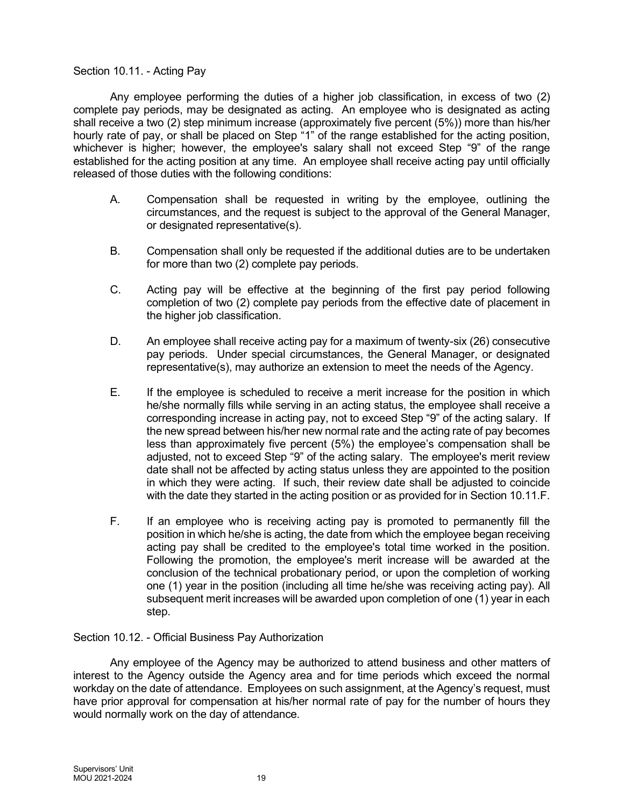## Section 10.11. - Acting Pay

Any employee performing the duties of a higher job classification, in excess of two (2) complete pay periods, may be designated as acting. An employee who is designated as acting shall receive a two (2) step minimum increase (approximately five percent (5%)) more than his/her hourly rate of pay, or shall be placed on Step "1" of the range established for the acting position, whichever is higher; however, the employee's salary shall not exceed Step "9" of the range established for the acting position at any time. An employee shall receive acting pay until officially released of those duties with the following conditions:

- A. Compensation shall be requested in writing by the employee, outlining the circumstances, and the request is subject to the approval of the General Manager, or designated representative(s).
- B. Compensation shall only be requested if the additional duties are to be undertaken for more than two (2) complete pay periods.
- C. Acting pay will be effective at the beginning of the first pay period following completion of two (2) complete pay periods from the effective date of placement in the higher job classification.
- D. An employee shall receive acting pay for a maximum of twenty-six (26) consecutive pay periods. Under special circumstances, the General Manager, or designated representative(s), may authorize an extension to meet the needs of the Agency.
- E. If the employee is scheduled to receive a merit increase for the position in which he/she normally fills while serving in an acting status, the employee shall receive a corresponding increase in acting pay, not to exceed Step "9" of the acting salary. If the new spread between his/her new normal rate and the acting rate of pay becomes less than approximately five percent (5%) the employee's compensation shall be adjusted, not to exceed Step "9" of the acting salary. The employee's merit review date shall not be affected by acting status unless they are appointed to the position in which they were acting. If such, their review date shall be adjusted to coincide with the date they started in the acting position or as provided for in Section 10.11.F.
- F. If an employee who is receiving acting pay is promoted to permanently fill the position in which he/she is acting, the date from which the employee began receiving acting pay shall be credited to the employee's total time worked in the position. Following the promotion, the employee's merit increase will be awarded at the conclusion of the technical probationary period, or upon the completion of working one (1) year in the position (including all time he/she was receiving acting pay). All subsequent merit increases will be awarded upon completion of one (1) year in each step.

Section 10.12. - Official Business Pay Authorization

Any employee of the Agency may be authorized to attend business and other matters of interest to the Agency outside the Agency area and for time periods which exceed the normal workday on the date of attendance. Employees on such assignment, at the Agency's request, must have prior approval for compensation at his/her normal rate of pay for the number of hours they would normally work on the day of attendance.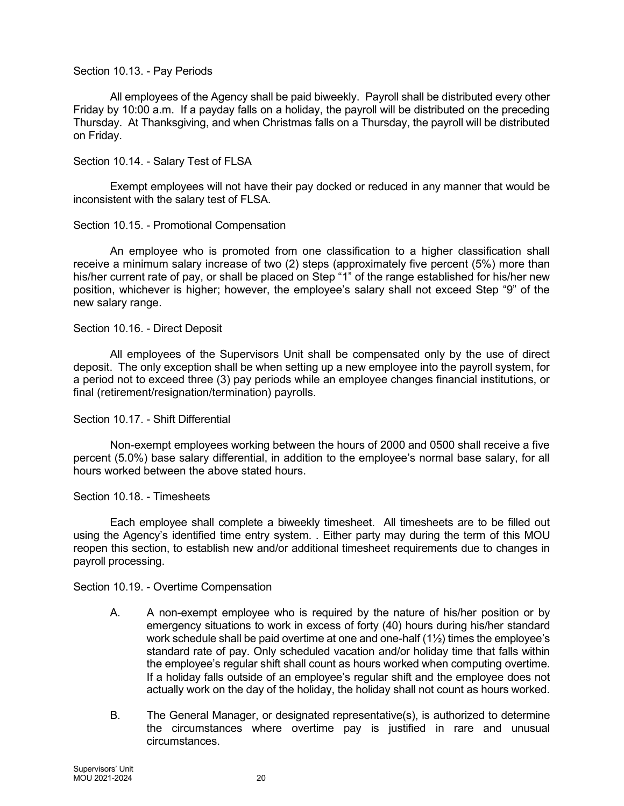## Section 10.13. - Pay Periods

All employees of the Agency shall be paid biweekly. Payroll shall be distributed every other Friday by 10:00 a.m. If a payday falls on a holiday, the payroll will be distributed on the preceding Thursday. At Thanksgiving, and when Christmas falls on a Thursday, the payroll will be distributed on Friday.

## Section 10.14. - Salary Test of FLSA

Exempt employees will not have their pay docked or reduced in any manner that would be inconsistent with the salary test of FLSA.

## Section 10.15. - Promotional Compensation

An employee who is promoted from one classification to a higher classification shall receive a minimum salary increase of two (2) steps (approximately five percent (5%) more than his/her current rate of pay, or shall be placed on Step "1" of the range established for his/her new position, whichever is higher; however, the employee's salary shall not exceed Step "9" of the new salary range.

#### Section 10.16. - Direct Deposit

All employees of the Supervisors Unit shall be compensated only by the use of direct deposit. The only exception shall be when setting up a new employee into the payroll system, for a period not to exceed three (3) pay periods while an employee changes financial institutions, or final (retirement/resignation/termination) payrolls.

#### Section 10.17. - Shift Differential

Non-exempt employees working between the hours of 2000 and 0500 shall receive a five percent (5.0%) base salary differential, in addition to the employee's normal base salary, for all hours worked between the above stated hours.

#### Section 10.18. - Timesheets

Each employee shall complete a biweekly timesheet. All timesheets are to be filled out using the Agency's identified time entry system. . Either party may during the term of this MOU reopen this section, to establish new and/or additional timesheet requirements due to changes in payroll processing.

Section 10.19. - Overtime Compensation

- A. A non-exempt employee who is required by the nature of his/her position or by emergency situations to work in excess of forty (40) hours during his/her standard work schedule shall be paid overtime at one and one-half (1½) times the employee's standard rate of pay. Only scheduled vacation and/or holiday time that falls within the employee's regular shift shall count as hours worked when computing overtime. If a holiday falls outside of an employee's regular shift and the employee does not actually work on the day of the holiday, the holiday shall not count as hours worked.
- B. The General Manager, or designated representative(s), is authorized to determine the circumstances where overtime pay is justified in rare and unusual circumstances.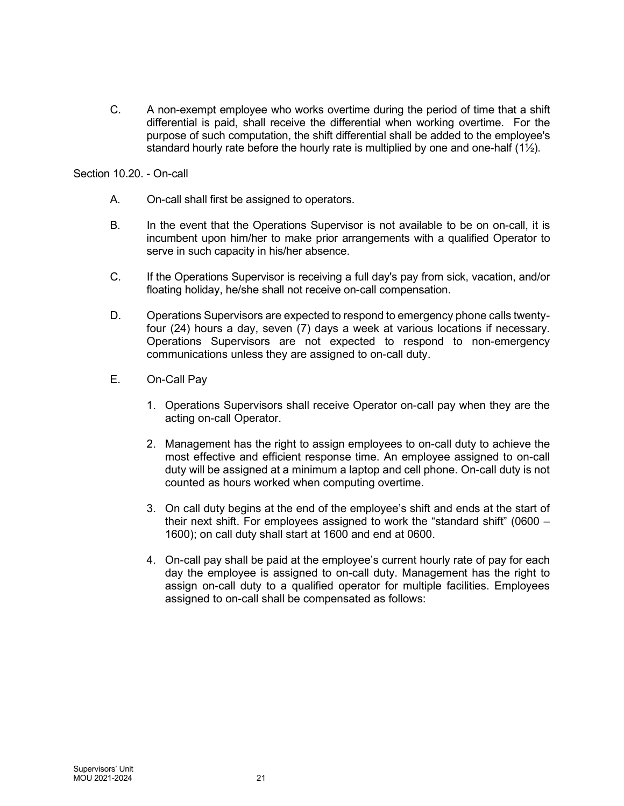C. A non-exempt employee who works overtime during the period of time that a shift differential is paid, shall receive the differential when working overtime. For the purpose of such computation, the shift differential shall be added to the employee's standard hourly rate before the hourly rate is multiplied by one and one-half  $(1\frac{1}{2})$ .

Section 10.20. - On-call

- A. On-call shall first be assigned to operators.
- B. In the event that the Operations Supervisor is not available to be on on-call, it is incumbent upon him/her to make prior arrangements with a qualified Operator to serve in such capacity in his/her absence.
- C. If the Operations Supervisor is receiving a full day's pay from sick, vacation, and/or floating holiday, he/she shall not receive on-call compensation.
- D. Operations Supervisors are expected to respond to emergency phone calls twentyfour (24) hours a day, seven (7) days a week at various locations if necessary. Operations Supervisors are not expected to respond to non-emergency communications unless they are assigned to on-call duty.
- E. On-Call Pay
	- 1. Operations Supervisors shall receive Operator on-call pay when they are the acting on-call Operator.
	- 2. Management has the right to assign employees to on-call duty to achieve the most effective and efficient response time. An employee assigned to on-call duty will be assigned at a minimum a laptop and cell phone. On-call duty is not counted as hours worked when computing overtime.
	- 3. On call duty begins at the end of the employee's shift and ends at the start of their next shift. For employees assigned to work the "standard shift" (0600 – 1600); on call duty shall start at 1600 and end at 0600.
	- 4. On-call pay shall be paid at the employee's current hourly rate of pay for each day the employee is assigned to on-call duty. Management has the right to assign on-call duty to a qualified operator for multiple facilities. Employees assigned to on-call shall be compensated as follows: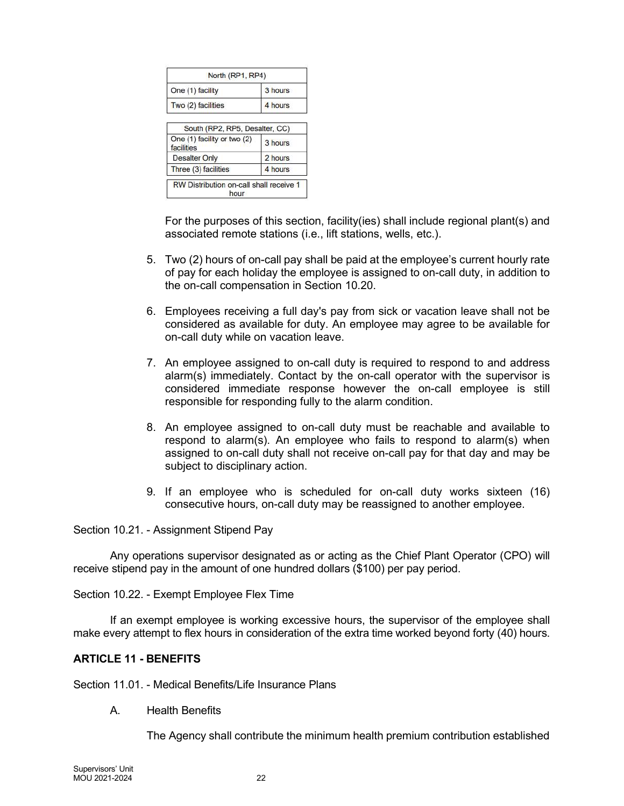| North (RP1, RP4)                          |         |
|-------------------------------------------|---------|
| One (1) facility                          | 3 hours |
| Two (2) facilities                        | 4 hours |
| South (RP2, RP5, Desalter, CC)            |         |
| One (1) facility or two (2)<br>facilities | 3 hours |
| <b>Desalter Only</b>                      | 2 hours |
| Three (3) facilities                      | 4 hours |

For the purposes of this section, facility(ies) shall include regional plant(s) and associated remote stations (i.e., lift stations, wells, etc.).

- 5. Two (2) hours of on-call pay shall be paid at the employee's current hourly rate of pay for each holiday the employee is assigned to on-call duty, in addition to the on-call compensation in Section 10.20.
- 6. Employees receiving a full day's pay from sick or vacation leave shall not be considered as available for duty. An employee may agree to be available for on-call duty while on vacation leave.
- 7. An employee assigned to on-call duty is required to respond to and address alarm(s) immediately. Contact by the on-call operator with the supervisor is considered immediate response however the on-call employee is still responsible for responding fully to the alarm condition.
- 8. An employee assigned to on-call duty must be reachable and available to respond to alarm(s). An employee who fails to respond to alarm(s) when assigned to on-call duty shall not receive on-call pay for that day and may be subject to disciplinary action.
- 9. If an employee who is scheduled for on-call duty works sixteen (16) consecutive hours, on-call duty may be reassigned to another employee.

Section 10.21. - Assignment Stipend Pay

Any operations supervisor designated as or acting as the Chief Plant Operator (CPO) will receive stipend pay in the amount of one hundred dollars (\$100) per pay period.

Section 10.22. - Exempt Employee Flex Time

If an exempt employee is working excessive hours, the supervisor of the employee shall make every attempt to flex hours in consideration of the extra time worked beyond forty (40) hours.

#### ARTICLE 11 - BENEFITS

Section 11.01. - Medical Benefits/Life Insurance Plans

A. Health Benefits

The Agency shall contribute the minimum health premium contribution established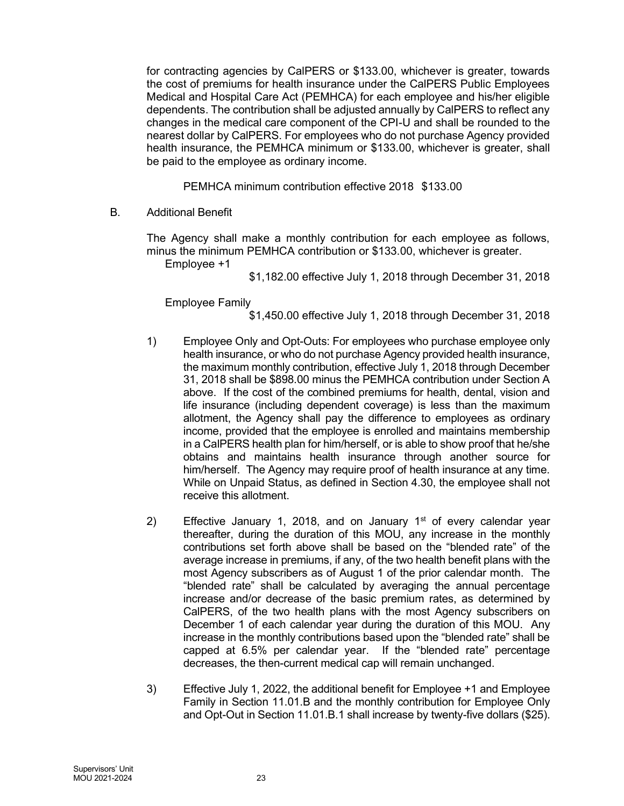for contracting agencies by CalPERS or \$133.00, whichever is greater, towards the cost of premiums for health insurance under the CalPERS Public Employees Medical and Hospital Care Act (PEMHCA) for each employee and his/her eligible dependents. The contribution shall be adjusted annually by CalPERS to reflect any changes in the medical care component of the CPI-U and shall be rounded to the nearest dollar by CalPERS. For employees who do not purchase Agency provided health insurance, the PEMHCA minimum or \$133.00, whichever is greater, shall be paid to the employee as ordinary income.

PEMHCA minimum contribution effective 2018 \$133.00

B. Additional Benefit

The Agency shall make a monthly contribution for each employee as follows, minus the minimum PEMHCA contribution or \$133.00, whichever is greater.

Employee +1

\$1,182.00 effective July 1, 2018 through December 31, 2018

Employee Family

\$1,450.00 effective July 1, 2018 through December 31, 2018

- 1) Employee Only and Opt-Outs: For employees who purchase employee only health insurance, or who do not purchase Agency provided health insurance, the maximum monthly contribution, effective July 1, 2018 through December 31, 2018 shall be \$898.00 minus the PEMHCA contribution under Section A above. If the cost of the combined premiums for health, dental, vision and life insurance (including dependent coverage) is less than the maximum allotment, the Agency shall pay the difference to employees as ordinary income, provided that the employee is enrolled and maintains membership in a CalPERS health plan for him/herself, or is able to show proof that he/she obtains and maintains health insurance through another source for him/herself. The Agency may require proof of health insurance at any time. While on Unpaid Status, as defined in Section 4.30, the employee shall not receive this allotment.
- 2) Effective January 1, 2018, and on January  $1<sup>st</sup>$  of every calendar year thereafter, during the duration of this MOU, any increase in the monthly contributions set forth above shall be based on the "blended rate" of the average increase in premiums, if any, of the two health benefit plans with the most Agency subscribers as of August 1 of the prior calendar month. The "blended rate" shall be calculated by averaging the annual percentage increase and/or decrease of the basic premium rates, as determined by CalPERS, of the two health plans with the most Agency subscribers on December 1 of each calendar year during the duration of this MOU. Any increase in the monthly contributions based upon the "blended rate" shall be capped at 6.5% per calendar year. If the "blended rate" percentage decreases, the then-current medical cap will remain unchanged.
- 3) Effective July 1, 2022, the additional benefit for Employee +1 and Employee Family in Section 11.01.B and the monthly contribution for Employee Only and Opt-Out in Section 11.01.B.1 shall increase by twenty-five dollars (\$25).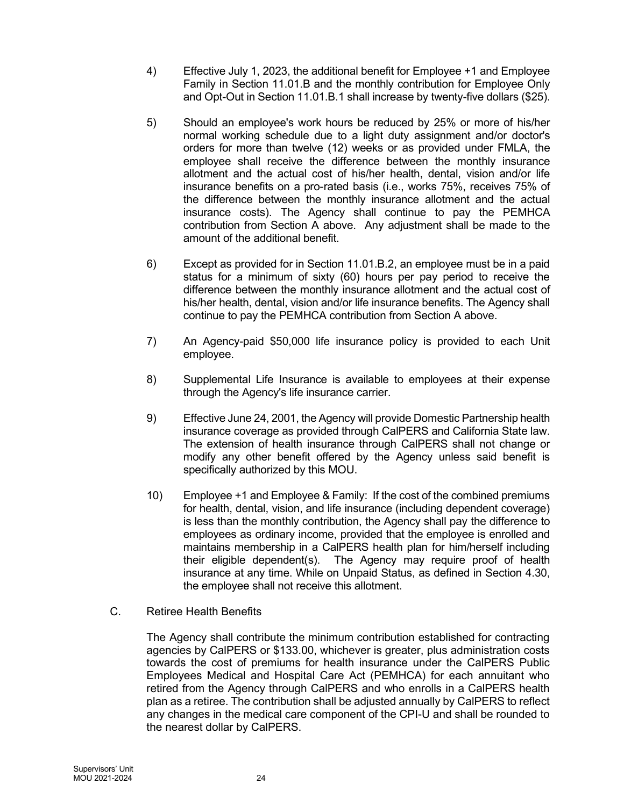- 4) Effective July 1, 2023, the additional benefit for Employee +1 and Employee Family in Section 11.01.B and the monthly contribution for Employee Only and Opt-Out in Section 11.01.B.1 shall increase by twenty-five dollars (\$25).
- 5) Should an employee's work hours be reduced by 25% or more of his/her normal working schedule due to a light duty assignment and/or doctor's orders for more than twelve (12) weeks or as provided under FMLA, the employee shall receive the difference between the monthly insurance allotment and the actual cost of his/her health, dental, vision and/or life insurance benefits on a pro-rated basis (i.e., works 75%, receives 75% of the difference between the monthly insurance allotment and the actual insurance costs). The Agency shall continue to pay the PEMHCA contribution from Section A above. Any adjustment shall be made to the amount of the additional benefit.
- 6) Except as provided for in Section 11.01.B.2, an employee must be in a paid status for a minimum of sixty (60) hours per pay period to receive the difference between the monthly insurance allotment and the actual cost of his/her health, dental, vision and/or life insurance benefits. The Agency shall continue to pay the PEMHCA contribution from Section A above.
- 7) An Agency-paid \$50,000 life insurance policy is provided to each Unit employee.
- 8) Supplemental Life Insurance is available to employees at their expense through the Agency's life insurance carrier.
- 9) Effective June 24, 2001, the Agency will provide Domestic Partnership health insurance coverage as provided through CalPERS and California State law. The extension of health insurance through CalPERS shall not change or modify any other benefit offered by the Agency unless said benefit is specifically authorized by this MOU.
- 10) Employee +1 and Employee & Family: If the cost of the combined premiums for health, dental, vision, and life insurance (including dependent coverage) is less than the monthly contribution, the Agency shall pay the difference to employees as ordinary income, provided that the employee is enrolled and maintains membership in a CalPERS health plan for him/herself including their eligible dependent(s). The Agency may require proof of health insurance at any time. While on Unpaid Status, as defined in Section 4.30, the employee shall not receive this allotment.
- C. Retiree Health Benefits

The Agency shall contribute the minimum contribution established for contracting agencies by CalPERS or \$133.00, whichever is greater, plus administration costs towards the cost of premiums for health insurance under the CalPERS Public Employees Medical and Hospital Care Act (PEMHCA) for each annuitant who retired from the Agency through CalPERS and who enrolls in a CalPERS health plan as a retiree. The contribution shall be adjusted annually by CalPERS to reflect any changes in the medical care component of the CPI-U and shall be rounded to the nearest dollar by CalPERS.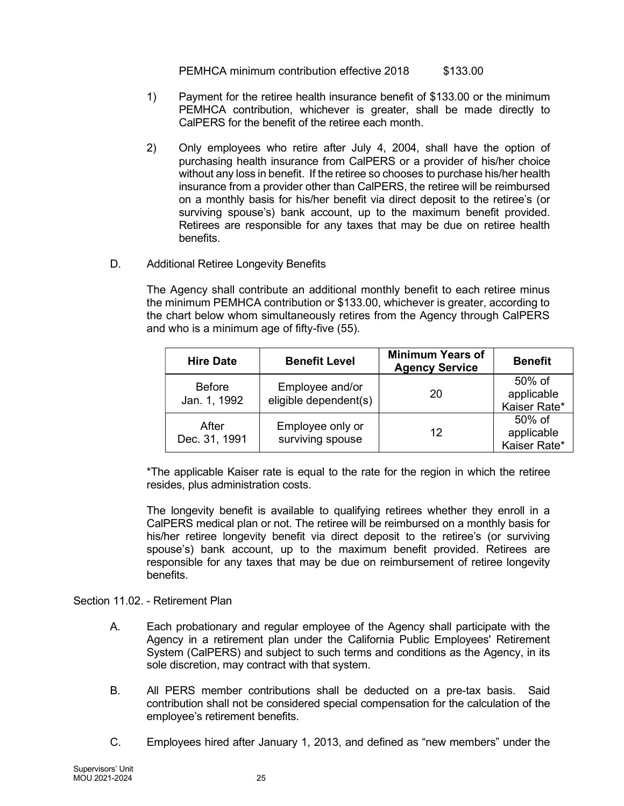PEMHCA minimum contribution effective 2018 \$133.00

- 1) Payment for the retiree health insurance benefit of \$133.00 or the minimum PEMHCA contribution, whichever is greater, shall be made directly to CalPERS for the benefit of the retiree each month.
- 2) Only employees who retire after July 4, 2004, shall have the option of purchasing health insurance from CalPERS or a provider of his/her choice without any loss in benefit. If the retiree so chooses to purchase his/her health insurance from a provider other than CalPERS, the retiree will be reimbursed on a monthly basis for his/her benefit via direct deposit to the retiree's (or surviving spouse's) bank account, up to the maximum benefit provided. Retirees are responsible for any taxes that may be due on retiree health benefits.
- D. Additional Retiree Longevity Benefits

The Agency shall contribute an additional monthly benefit to each retiree minus the minimum PEMHCA contribution or \$133.00, whichever is greater, according to the chart below whom simultaneously retires from the Agency through CalPERS and who is a minimum age of fifty-five (55).

| <b>Hire Date</b>              | <b>Benefit Level</b>                     | <b>Minimum Years of</b><br><b>Agency Service</b> | <b>Benefit</b>                          |
|-------------------------------|------------------------------------------|--------------------------------------------------|-----------------------------------------|
| <b>Before</b><br>Jan. 1, 1992 | Employee and/or<br>eligible dependent(s) | 20                                               | 50% of<br>applicable<br>Kaiser Rate*    |
| After<br>Dec. 31, 1991        | Employee only or<br>surviving spouse     | 12                                               | $50\%$ of<br>applicable<br>Kaiser Rate* |

\*The applicable Kaiser rate is equal to the rate for the region in which the retiree resides, plus administration costs.

The longevity benefit is available to qualifying retirees whether they enroll in a CalPERS medical plan or not. The retiree will be reimbursed on a monthly basis for his/her retiree longevity benefit via direct deposit to the retiree's (or surviving spouse's) bank account, up to the maximum benefit provided. Retirees are responsible for any taxes that may be due on reimbursement of retiree longevity benefits.

# Section 11.02. - Retirement Plan

- A. Each probationary and regular employee of the Agency shall participate with the Agency in a retirement plan under the California Public Employees' Retirement System (CalPERS) and subject to such terms and conditions as the Agency, in its sole discretion, may contract with that system.
- B. All PERS member contributions shall be deducted on a pre-tax basis. Said contribution shall not be considered special compensation for the calculation of the employee's retirement benefits.
- C. Employees hired after January 1, 2013, and defined as "new members" under the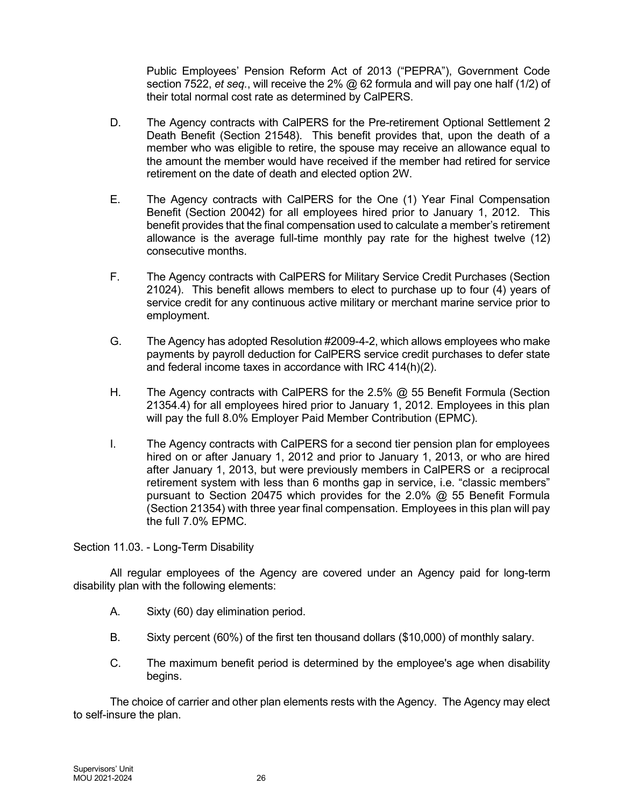Public Employees' Pension Reform Act of 2013 ("PEPRA"), Government Code section 7522, et seq., will receive the  $2\%$  @ 62 formula and will pay one half (1/2) of their total normal cost rate as determined by CalPERS.

- D. The Agency contracts with CalPERS for the Pre-retirement Optional Settlement 2 Death Benefit (Section 21548). This benefit provides that, upon the death of a member who was eligible to retire, the spouse may receive an allowance equal to the amount the member would have received if the member had retired for service retirement on the date of death and elected option 2W.
- E. The Agency contracts with CalPERS for the One (1) Year Final Compensation Benefit (Section 20042) for all employees hired prior to January 1, 2012. This benefit provides that the final compensation used to calculate a member's retirement allowance is the average full-time monthly pay rate for the highest twelve (12) consecutive months.
- F. The Agency contracts with CalPERS for Military Service Credit Purchases (Section 21024). This benefit allows members to elect to purchase up to four (4) years of service credit for any continuous active military or merchant marine service prior to employment.
- G. The Agency has adopted Resolution #2009-4-2, which allows employees who make payments by payroll deduction for CalPERS service credit purchases to defer state and federal income taxes in accordance with IRC 414(h)(2).
- H. The Agency contracts with CalPERS for the 2.5% @ 55 Benefit Formula (Section 21354.4) for all employees hired prior to January 1, 2012. Employees in this plan will pay the full 8.0% Employer Paid Member Contribution (EPMC).
- I. The Agency contracts with CalPERS for a second tier pension plan for employees hired on or after January 1, 2012 and prior to January 1, 2013, or who are hired after January 1, 2013, but were previously members in CalPERS or a reciprocal retirement system with less than 6 months gap in service, i.e. "classic members" pursuant to Section 20475 which provides for the 2.0% @ 55 Benefit Formula (Section 21354) with three year final compensation. Employees in this plan will pay the full 7.0% EPMC.

Section 11.03. - Long-Term Disability

All regular employees of the Agency are covered under an Agency paid for long-term disability plan with the following elements:

- A. Sixty (60) day elimination period.
- B. Sixty percent (60%) of the first ten thousand dollars (\$10,000) of monthly salary.
- C. The maximum benefit period is determined by the employee's age when disability begins.

The choice of carrier and other plan elements rests with the Agency. The Agency may elect to self-insure the plan.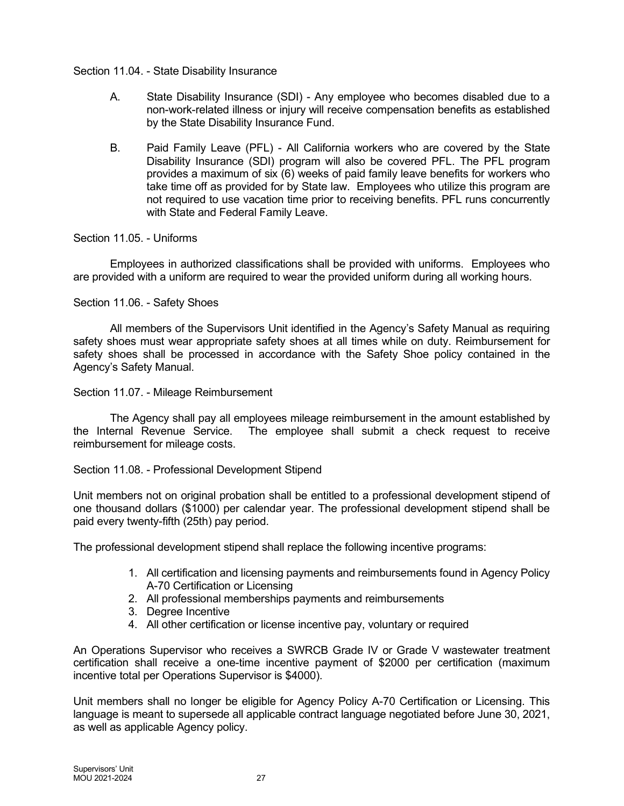## Section 11.04. - State Disability Insurance

- A. State Disability Insurance (SDI) Any employee who becomes disabled due to a non-work-related illness or injury will receive compensation benefits as established by the State Disability Insurance Fund.
- B. Paid Family Leave (PFL) All California workers who are covered by the State Disability Insurance (SDI) program will also be covered PFL. The PFL program provides a maximum of six (6) weeks of paid family leave benefits for workers who take time off as provided for by State law. Employees who utilize this program are not required to use vacation time prior to receiving benefits. PFL runs concurrently with State and Federal Family Leave.

## Section 11.05. - Uniforms

Employees in authorized classifications shall be provided with uniforms. Employees who are provided with a uniform are required to wear the provided uniform during all working hours.

## Section 11.06. - Safety Shoes

All members of the Supervisors Unit identified in the Agency's Safety Manual as requiring safety shoes must wear appropriate safety shoes at all times while on duty. Reimbursement for safety shoes shall be processed in accordance with the Safety Shoe policy contained in the Agency's Safety Manual.

#### Section 11.07. - Mileage Reimbursement

The Agency shall pay all employees mileage reimbursement in the amount established by the Internal Revenue Service. The employee shall submit a check request to receive reimbursement for mileage costs.

#### Section 11.08. - Professional Development Stipend

Unit members not on original probation shall be entitled to a professional development stipend of one thousand dollars (\$1000) per calendar year. The professional development stipend shall be paid every twenty-fifth (25th) pay period.

The professional development stipend shall replace the following incentive programs:

- 1. All certification and licensing payments and reimbursements found in Agency Policy A-70 Certification or Licensing
- 2. All professional memberships payments and reimbursements
- 3. Degree Incentive
- 4. All other certification or license incentive pay, voluntary or required

An Operations Supervisor who receives a SWRCB Grade IV or Grade V wastewater treatment certification shall receive a one-time incentive payment of \$2000 per certification (maximum incentive total per Operations Supervisor is \$4000).

Unit members shall no longer be eligible for Agency Policy A-70 Certification or Licensing. This language is meant to supersede all applicable contract language negotiated before June 30, 2021, as well as applicable Agency policy.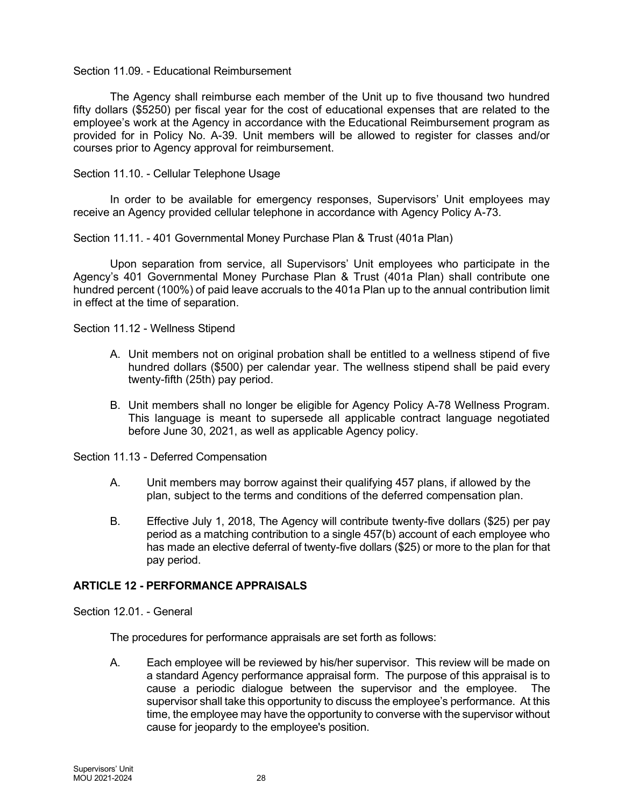#### Section 11.09. - Educational Reimbursement

The Agency shall reimburse each member of the Unit up to five thousand two hundred fifty dollars (\$5250) per fiscal year for the cost of educational expenses that are related to the employee's work at the Agency in accordance with the Educational Reimbursement program as provided for in Policy No. A-39. Unit members will be allowed to register for classes and/or courses prior to Agency approval for reimbursement.

Section 11.10. - Cellular Telephone Usage

In order to be available for emergency responses, Supervisors' Unit employees may receive an Agency provided cellular telephone in accordance with Agency Policy A-73.

Section 11.11. - 401 Governmental Money Purchase Plan & Trust (401a Plan)

Upon separation from service, all Supervisors' Unit employees who participate in the Agency's 401 Governmental Money Purchase Plan & Trust (401a Plan) shall contribute one hundred percent (100%) of paid leave accruals to the 401a Plan up to the annual contribution limit in effect at the time of separation.

Section 11.12 - Wellness Stipend

- A. Unit members not on original probation shall be entitled to a wellness stipend of five hundred dollars (\$500) per calendar year. The wellness stipend shall be paid every twenty-fifth (25th) pay period.
- B. Unit members shall no longer be eligible for Agency Policy A-78 Wellness Program. This language is meant to supersede all applicable contract language negotiated before June 30, 2021, as well as applicable Agency policy.

Section 11.13 - Deferred Compensation

- A. Unit members may borrow against their qualifying 457 plans, if allowed by the plan, subject to the terms and conditions of the deferred compensation plan.
- B. Effective July 1, 2018, The Agency will contribute twenty-five dollars (\$25) per pay period as a matching contribution to a single 457(b) account of each employee who has made an elective deferral of twenty-five dollars (\$25) or more to the plan for that pay period.

# ARTICLE 12 - PERFORMANCE APPRAISALS

Section 12.01. - General

The procedures for performance appraisals are set forth as follows:

A. Each employee will be reviewed by his/her supervisor. This review will be made on a standard Agency performance appraisal form. The purpose of this appraisal is to cause a periodic dialogue between the supervisor and the employee. The supervisor shall take this opportunity to discuss the employee's performance. At this time, the employee may have the opportunity to converse with the supervisor without cause for jeopardy to the employee's position.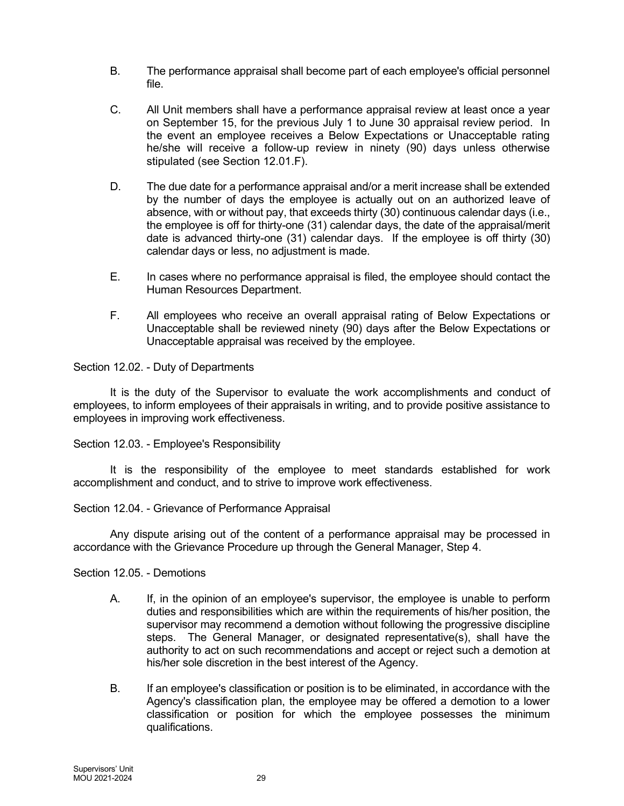- B. The performance appraisal shall become part of each employee's official personnel file.
- C. All Unit members shall have a performance appraisal review at least once a year on September 15, for the previous July 1 to June 30 appraisal review period. In the event an employee receives a Below Expectations or Unacceptable rating he/she will receive a follow-up review in ninety (90) days unless otherwise stipulated (see Section 12.01.F).
- D. The due date for a performance appraisal and/or a merit increase shall be extended by the number of days the employee is actually out on an authorized leave of absence, with or without pay, that exceeds thirty (30) continuous calendar days (i.e., the employee is off for thirty-one (31) calendar days, the date of the appraisal/merit date is advanced thirty-one (31) calendar days. If the employee is off thirty (30) calendar days or less, no adjustment is made.
- E. In cases where no performance appraisal is filed, the employee should contact the Human Resources Department.
- F. All employees who receive an overall appraisal rating of Below Expectations or Unacceptable shall be reviewed ninety (90) days after the Below Expectations or Unacceptable appraisal was received by the employee.

Section 12.02. - Duty of Departments

It is the duty of the Supervisor to evaluate the work accomplishments and conduct of employees, to inform employees of their appraisals in writing, and to provide positive assistance to employees in improving work effectiveness.

Section 12.03. - Employee's Responsibility

It is the responsibility of the employee to meet standards established for work accomplishment and conduct, and to strive to improve work effectiveness.

#### Section 12.04. - Grievance of Performance Appraisal

Any dispute arising out of the content of a performance appraisal may be processed in accordance with the Grievance Procedure up through the General Manager, Step 4.

#### Section 12.05. - Demotions

- A. If, in the opinion of an employee's supervisor, the employee is unable to perform duties and responsibilities which are within the requirements of his/her position, the supervisor may recommend a demotion without following the progressive discipline steps. The General Manager, or designated representative(s), shall have the authority to act on such recommendations and accept or reject such a demotion at his/her sole discretion in the best interest of the Agency.
- B. If an employee's classification or position is to be eliminated, in accordance with the Agency's classification plan, the employee may be offered a demotion to a lower classification or position for which the employee possesses the minimum qualifications.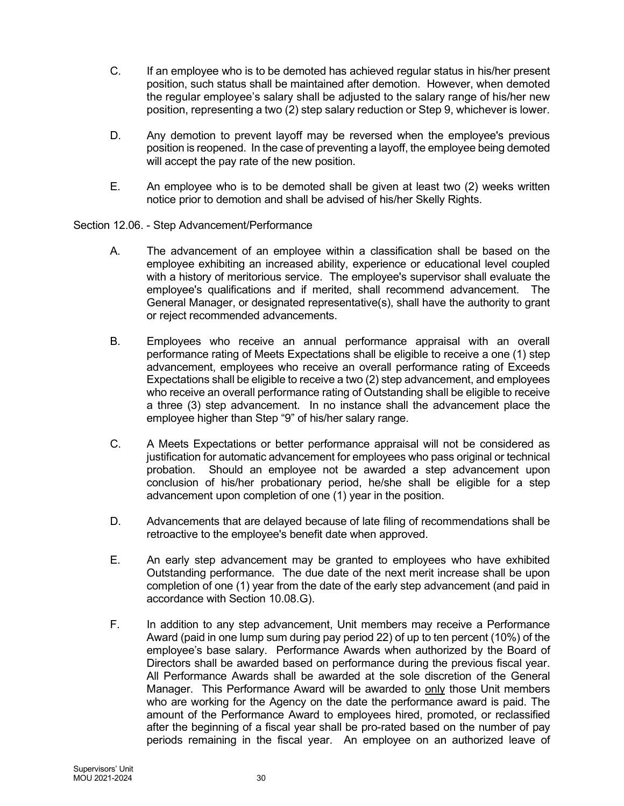- C. If an employee who is to be demoted has achieved regular status in his/her present position, such status shall be maintained after demotion. However, when demoted the regular employee's salary shall be adjusted to the salary range of his/her new position, representing a two (2) step salary reduction or Step 9, whichever is lower.
- D. Any demotion to prevent layoff may be reversed when the employee's previous position is reopened. In the case of preventing a layoff, the employee being demoted will accept the pay rate of the new position.
- E. An employee who is to be demoted shall be given at least two (2) weeks written notice prior to demotion and shall be advised of his/her Skelly Rights.

Section 12.06. - Step Advancement/Performance

- A. The advancement of an employee within a classification shall be based on the employee exhibiting an increased ability, experience or educational level coupled with a history of meritorious service. The employee's supervisor shall evaluate the employee's qualifications and if merited, shall recommend advancement. The General Manager, or designated representative(s), shall have the authority to grant or reject recommended advancements.
- B. Employees who receive an annual performance appraisal with an overall performance rating of Meets Expectations shall be eligible to receive a one (1) step advancement, employees who receive an overall performance rating of Exceeds Expectations shall be eligible to receive a two (2) step advancement, and employees who receive an overall performance rating of Outstanding shall be eligible to receive a three (3) step advancement. In no instance shall the advancement place the employee higher than Step "9" of his/her salary range.
- C. A Meets Expectations or better performance appraisal will not be considered as justification for automatic advancement for employees who pass original or technical probation. Should an employee not be awarded a step advancement upon conclusion of his/her probationary period, he/she shall be eligible for a step advancement upon completion of one (1) year in the position.
- D. Advancements that are delayed because of late filing of recommendations shall be retroactive to the employee's benefit date when approved.
- E. An early step advancement may be granted to employees who have exhibited Outstanding performance. The due date of the next merit increase shall be upon completion of one (1) year from the date of the early step advancement (and paid in accordance with Section 10.08.G).
- F. In addition to any step advancement, Unit members may receive a Performance Award (paid in one lump sum during pay period 22) of up to ten percent (10%) of the employee's base salary. Performance Awards when authorized by the Board of Directors shall be awarded based on performance during the previous fiscal year. All Performance Awards shall be awarded at the sole discretion of the General Manager. This Performance Award will be awarded to only those Unit members who are working for the Agency on the date the performance award is paid. The amount of the Performance Award to employees hired, promoted, or reclassified after the beginning of a fiscal year shall be pro-rated based on the number of pay periods remaining in the fiscal year. An employee on an authorized leave of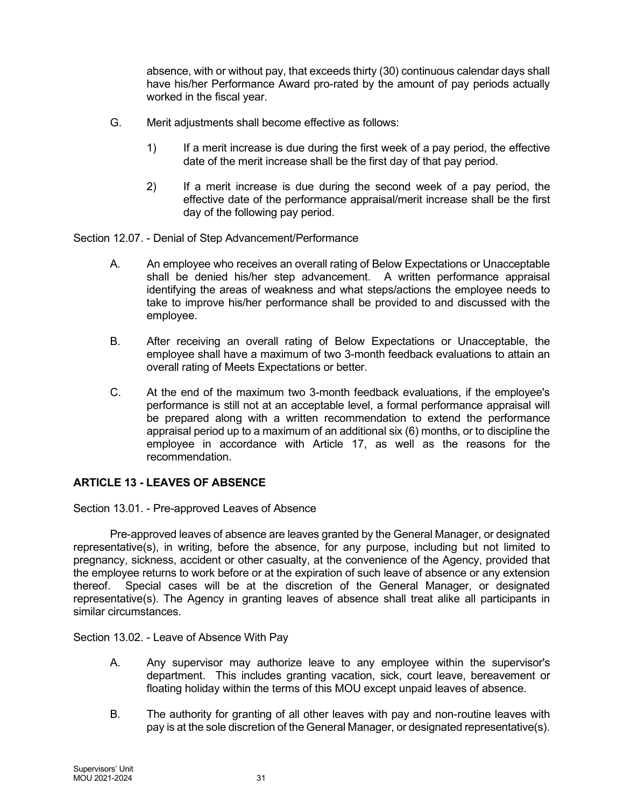absence, with or without pay, that exceeds thirty (30) continuous calendar days shall have his/her Performance Award pro-rated by the amount of pay periods actually worked in the fiscal year.

- G. Merit adjustments shall become effective as follows:
	- 1) If a merit increase is due during the first week of a pay period, the effective date of the merit increase shall be the first day of that pay period.
	- 2) If a merit increase is due during the second week of a pay period, the effective date of the performance appraisal/merit increase shall be the first day of the following pay period.

Section 12.07. - Denial of Step Advancement/Performance

- A. An employee who receives an overall rating of Below Expectations or Unacceptable shall be denied his/her step advancement. A written performance appraisal identifying the areas of weakness and what steps/actions the employee needs to take to improve his/her performance shall be provided to and discussed with the employee.
- B. After receiving an overall rating of Below Expectations or Unacceptable, the employee shall have a maximum of two 3-month feedback evaluations to attain an overall rating of Meets Expectations or better.
- C. At the end of the maximum two 3-month feedback evaluations, if the employee's performance is still not at an acceptable level, a formal performance appraisal will be prepared along with a written recommendation to extend the performance appraisal period up to a maximum of an additional six (6) months, or to discipline the employee in accordance with Article 17, as well as the reasons for the recommendation.

# ARTICLE 13 - LEAVES OF ABSENCE

Section 13.01. - Pre-approved Leaves of Absence

Pre-approved leaves of absence are leaves granted by the General Manager, or designated representative(s), in writing, before the absence, for any purpose, including but not limited to pregnancy, sickness, accident or other casualty, at the convenience of the Agency, provided that the employee returns to work before or at the expiration of such leave of absence or any extension thereof. Special cases will be at the discretion of the General Manager, or designated representative(s). The Agency in granting leaves of absence shall treat alike all participants in similar circumstances.

Section 13.02. - Leave of Absence With Pay

- A. Any supervisor may authorize leave to any employee within the supervisor's department. This includes granting vacation, sick, court leave, bereavement or floating holiday within the terms of this MOU except unpaid leaves of absence.
- B. The authority for granting of all other leaves with pay and non-routine leaves with pay is at the sole discretion of the General Manager, or designated representative(s).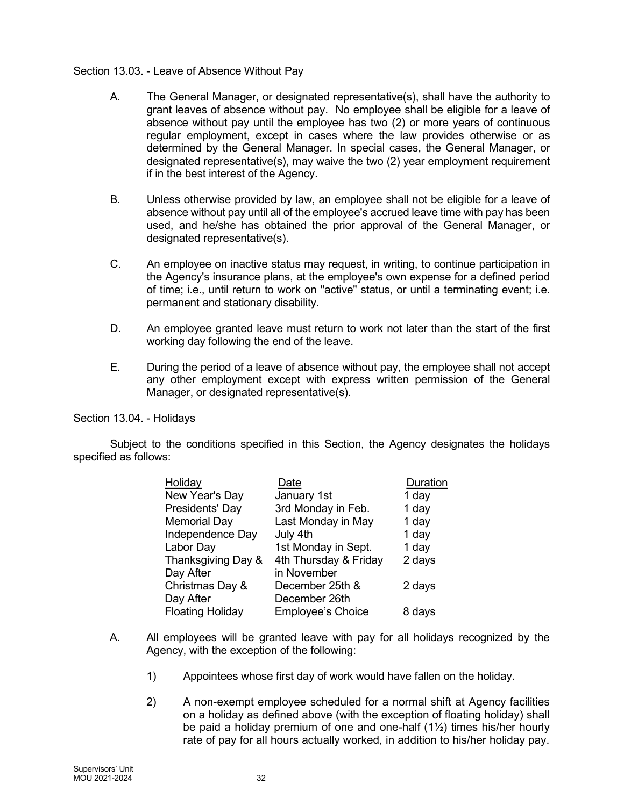## Section 13.03. - Leave of Absence Without Pay

- A. The General Manager, or designated representative(s), shall have the authority to grant leaves of absence without pay. No employee shall be eligible for a leave of absence without pay until the employee has two (2) or more years of continuous regular employment, except in cases where the law provides otherwise or as determined by the General Manager. In special cases, the General Manager, or designated representative(s), may waive the two (2) year employment requirement if in the best interest of the Agency.
- B. Unless otherwise provided by law, an employee shall not be eligible for a leave of absence without pay until all of the employee's accrued leave time with pay has been used, and he/she has obtained the prior approval of the General Manager, or designated representative(s).
- C. An employee on inactive status may request, in writing, to continue participation in the Agency's insurance plans, at the employee's own expense for a defined period of time; i.e., until return to work on "active" status, or until a terminating event; i.e. permanent and stationary disability.
- D. An employee granted leave must return to work not later than the start of the first working day following the end of the leave.
- E. During the period of a leave of absence without pay, the employee shall not accept any other employment except with express written permission of the General Manager, or designated representative(s).

Section 13.04. - Holidays

Subject to the conditions specified in this Section, the Agency designates the holidays specified as follows:

| Holiday                 | Date                     | Duration |
|-------------------------|--------------------------|----------|
| New Year's Day          | January 1st              | 1 day    |
| Presidents' Day         | 3rd Monday in Feb.       | 1 day    |
| <b>Memorial Day</b>     | Last Monday in May       | 1 day    |
| Independence Day        | July 4th                 | 1 day    |
| Labor Day               | 1st Monday in Sept.      | 1 day    |
| Thanksgiving Day &      | 4th Thursday & Friday    | 2 days   |
| Day After               | in November              |          |
| Christmas Day &         | December 25th &          | 2 days   |
| Day After               | December 26th            |          |
| <b>Floating Holiday</b> | <b>Employee's Choice</b> | 8 days   |

- A. All employees will be granted leave with pay for all holidays recognized by the Agency, with the exception of the following:
	- 1) Appointees whose first day of work would have fallen on the holiday.
	- 2) A non-exempt employee scheduled for a normal shift at Agency facilities on a holiday as defined above (with the exception of floating holiday) shall be paid a holiday premium of one and one-half (1½) times his/her hourly rate of pay for all hours actually worked, in addition to his/her holiday pay.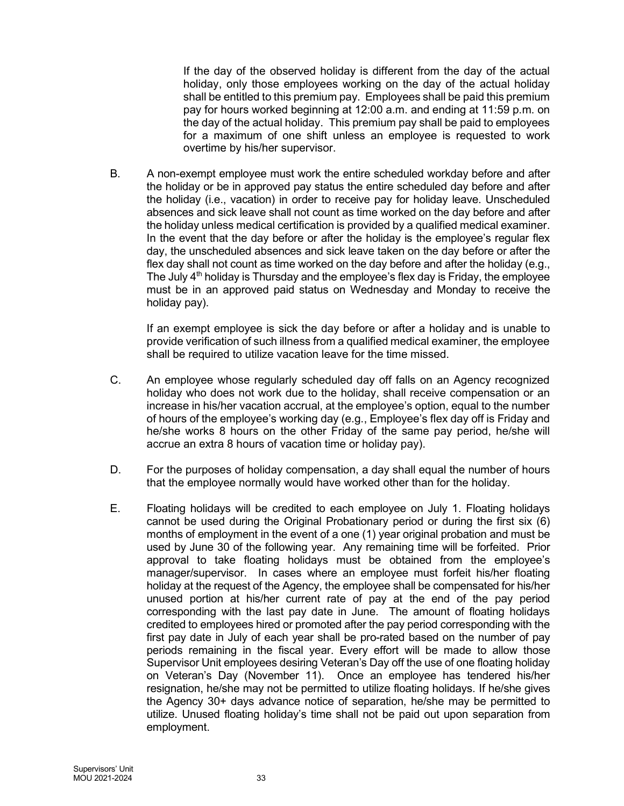If the day of the observed holiday is different from the day of the actual holiday, only those employees working on the day of the actual holiday shall be entitled to this premium pay. Employees shall be paid this premium pay for hours worked beginning at 12:00 a.m. and ending at 11:59 p.m. on the day of the actual holiday. This premium pay shall be paid to employees for a maximum of one shift unless an employee is requested to work overtime by his/her supervisor.

B. A non-exempt employee must work the entire scheduled workday before and after the holiday or be in approved pay status the entire scheduled day before and after the holiday (i.e., vacation) in order to receive pay for holiday leave. Unscheduled absences and sick leave shall not count as time worked on the day before and after the holiday unless medical certification is provided by a qualified medical examiner. In the event that the day before or after the holiday is the employee's regular flex day, the unscheduled absences and sick leave taken on the day before or after the flex day shall not count as time worked on the day before and after the holiday (e.g., The July  $4<sup>th</sup>$  holiday is Thursday and the employee's flex day is Friday, the employee must be in an approved paid status on Wednesday and Monday to receive the holiday pay).

If an exempt employee is sick the day before or after a holiday and is unable to provide verification of such illness from a qualified medical examiner, the employee shall be required to utilize vacation leave for the time missed.

- C. An employee whose regularly scheduled day off falls on an Agency recognized holiday who does not work due to the holiday, shall receive compensation or an increase in his/her vacation accrual, at the employee's option, equal to the number of hours of the employee's working day (e.g., Employee's flex day off is Friday and he/she works 8 hours on the other Friday of the same pay period, he/she will accrue an extra 8 hours of vacation time or holiday pay).
- D. For the purposes of holiday compensation, a day shall equal the number of hours that the employee normally would have worked other than for the holiday.
- E. Floating holidays will be credited to each employee on July 1. Floating holidays cannot be used during the Original Probationary period or during the first six (6) months of employment in the event of a one (1) year original probation and must be used by June 30 of the following year. Any remaining time will be forfeited. Prior approval to take floating holidays must be obtained from the employee's manager/supervisor. In cases where an employee must forfeit his/her floating holiday at the request of the Agency, the employee shall be compensated for his/her unused portion at his/her current rate of pay at the end of the pay period corresponding with the last pay date in June. The amount of floating holidays credited to employees hired or promoted after the pay period corresponding with the first pay date in July of each year shall be pro-rated based on the number of pay periods remaining in the fiscal year. Every effort will be made to allow those Supervisor Unit employees desiring Veteran's Day off the use of one floating holiday on Veteran's Day (November 11). Once an employee has tendered his/her resignation, he/she may not be permitted to utilize floating holidays. If he/she gives the Agency 30+ days advance notice of separation, he/she may be permitted to utilize. Unused floating holiday's time shall not be paid out upon separation from employment.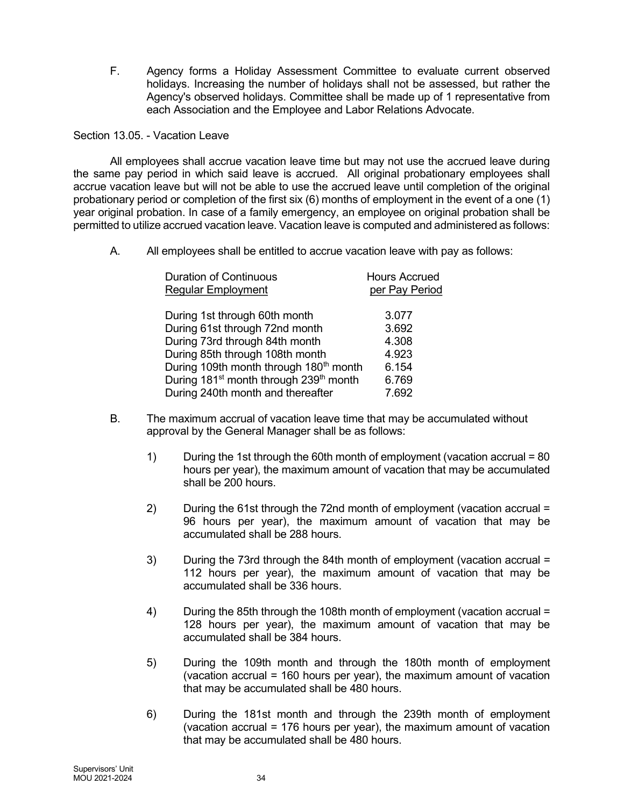F. Agency forms a Holiday Assessment Committee to evaluate current observed holidays. Increasing the number of holidays shall not be assessed, but rather the Agency's observed holidays. Committee shall be made up of 1 representative from each Association and the Employee and Labor Relations Advocate.

Section 13.05 - Vacation Leave

All employees shall accrue vacation leave time but may not use the accrued leave during the same pay period in which said leave is accrued. All original probationary employees shall accrue vacation leave but will not be able to use the accrued leave until completion of the original probationary period or completion of the first six (6) months of employment in the event of a one (1) year original probation. In case of a family emergency, an employee on original probation shall be permitted to utilize accrued vacation leave. Vacation leave is computed and administered as follows:

A. All employees shall be entitled to accrue vacation leave with pay as follows:

| <b>Duration of Continuous</b>                                  | <b>Hours Accrued</b> |
|----------------------------------------------------------------|----------------------|
| <b>Regular Employment</b>                                      | per Pay Period       |
| During 1st through 60th month                                  | 3.077                |
| During 61st through 72nd month                                 | 3.692                |
| During 73rd through 84th month                                 | 4.308                |
| During 85th through 108th month                                | 4.923                |
| During 109th month through 180 <sup>th</sup> month             | 6.154                |
| During 181 <sup>st</sup> month through 239 <sup>th</sup> month | 6.769                |
| During 240th month and thereafter                              | 7.692                |

- B. The maximum accrual of vacation leave time that may be accumulated without approval by the General Manager shall be as follows:
	- 1) During the 1st through the 60th month of employment (vacation accrual = 80 hours per year), the maximum amount of vacation that may be accumulated shall be 200 hours.
	- 2) During the 61st through the 72nd month of employment (vacation accrual = 96 hours per year), the maximum amount of vacation that may be accumulated shall be 288 hours.
	- 3) During the 73rd through the 84th month of employment (vacation accrual = 112 hours per year), the maximum amount of vacation that may be accumulated shall be 336 hours.
	- 4) During the 85th through the 108th month of employment (vacation accrual = 128 hours per year), the maximum amount of vacation that may be accumulated shall be 384 hours.
	- 5) During the 109th month and through the 180th month of employment (vacation accrual = 160 hours per year), the maximum amount of vacation that may be accumulated shall be 480 hours.
	- 6) During the 181st month and through the 239th month of employment (vacation accrual = 176 hours per year), the maximum amount of vacation that may be accumulated shall be 480 hours.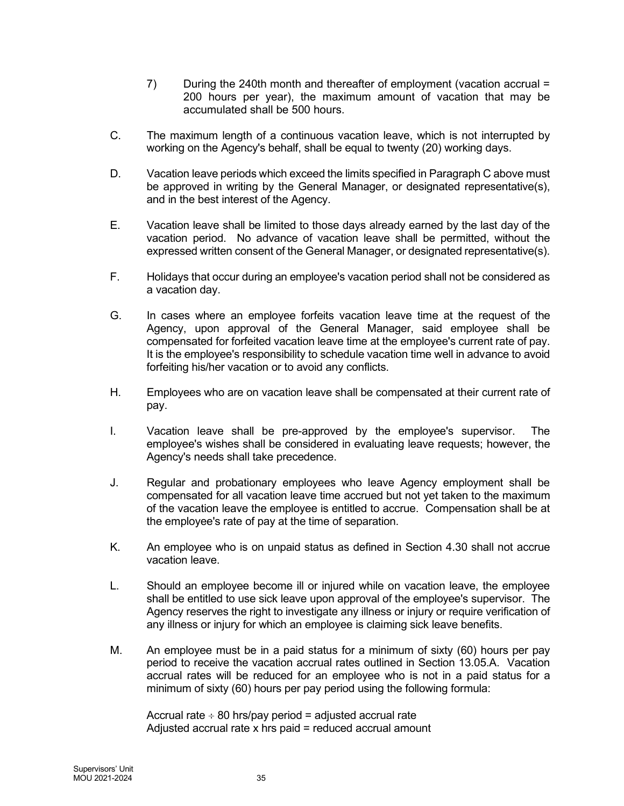- 7) During the 240th month and thereafter of employment (vacation accrual = 200 hours per year), the maximum amount of vacation that may be accumulated shall be 500 hours.
- C. The maximum length of a continuous vacation leave, which is not interrupted by working on the Agency's behalf, shall be equal to twenty (20) working days.
- D. Vacation leave periods which exceed the limits specified in Paragraph C above must be approved in writing by the General Manager, or designated representative(s), and in the best interest of the Agency.
- E. Vacation leave shall be limited to those days already earned by the last day of the vacation period. No advance of vacation leave shall be permitted, without the expressed written consent of the General Manager, or designated representative(s).
- F. Holidays that occur during an employee's vacation period shall not be considered as a vacation day.
- G. In cases where an employee forfeits vacation leave time at the request of the Agency, upon approval of the General Manager, said employee shall be compensated for forfeited vacation leave time at the employee's current rate of pay. It is the employee's responsibility to schedule vacation time well in advance to avoid forfeiting his/her vacation or to avoid any conflicts.
- H. Employees who are on vacation leave shall be compensated at their current rate of pay.
- I. Vacation leave shall be pre-approved by the employee's supervisor. The employee's wishes shall be considered in evaluating leave requests; however, the Agency's needs shall take precedence.
- J. Regular and probationary employees who leave Agency employment shall be compensated for all vacation leave time accrued but not yet taken to the maximum of the vacation leave the employee is entitled to accrue. Compensation shall be at the employee's rate of pay at the time of separation.
- K. An employee who is on unpaid status as defined in Section 4.30 shall not accrue vacation leave.
- L. Should an employee become ill or injured while on vacation leave, the employee shall be entitled to use sick leave upon approval of the employee's supervisor. The Agency reserves the right to investigate any illness or injury or require verification of any illness or injury for which an employee is claiming sick leave benefits.
- M. An employee must be in a paid status for a minimum of sixty (60) hours per pay period to receive the vacation accrual rates outlined in Section 13.05.A. Vacation accrual rates will be reduced for an employee who is not in a paid status for a minimum of sixty (60) hours per pay period using the following formula:

Accrual rate  $\div$  80 hrs/pay period = adjusted accrual rate Adjusted accrual rate x hrs paid = reduced accrual amount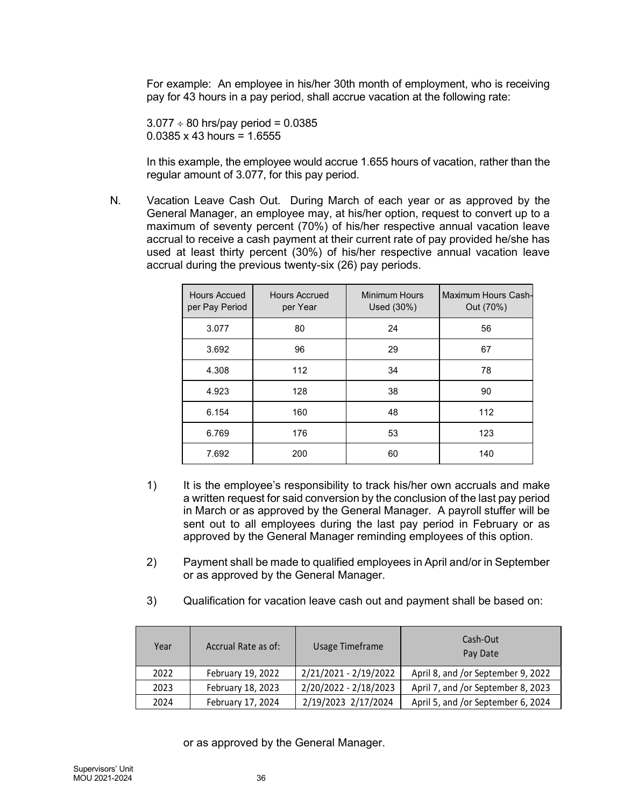For example: An employee in his/her 30th month of employment, who is receiving pay for 43 hours in a pay period, shall accrue vacation at the following rate:

 $3.077 \div 80$  hrs/pay period = 0.0385  $0.0385 \times 43$  hours = 1.6555

In this example, the employee would accrue 1.655 hours of vacation, rather than the regular amount of 3.077, for this pay period.

N. Vacation Leave Cash Out. During March of each year or as approved by the General Manager, an employee may, at his/her option, request to convert up to a maximum of seventy percent (70%) of his/her respective annual vacation leave accrual to receive a cash payment at their current rate of pay provided he/she has used at least thirty percent (30%) of his/her respective annual vacation leave accrual during the previous twenty-six (26) pay periods.

|                                                            | 43 hours in a pay period, shall accrue vacation at the following rate: |                             | ample: An employee in his/her 30th month of employment, who is receiving                                                                                                                                                                                                                                                                                                                 |
|------------------------------------------------------------|------------------------------------------------------------------------|-----------------------------|------------------------------------------------------------------------------------------------------------------------------------------------------------------------------------------------------------------------------------------------------------------------------------------------------------------------------------------------------------------------------------------|
| $\div$ 80 hrs/pay period = 0.0385<br>$x$ 43 hours = 1.6555 |                                                                        |                             |                                                                                                                                                                                                                                                                                                                                                                                          |
|                                                            | amount of 3.077, for this pay period.                                  |                             | example, the employee would accrue 1.655 hours of vacation, rather than the                                                                                                                                                                                                                                                                                                              |
|                                                            | I during the previous twenty-six (26) pay periods.                     |                             | on Leave Cash Out. During March of each year or as approved by the<br>al Manager, an employee may, at his/her option, request to convert up to a<br>um of seventy percent (70%) of his/her respective annual vacation leave<br>I to receive a cash payment at their current rate of pay provided he/she has<br>at least thirty percent (30%) of his/her respective annual vacation leave |
| <b>Hours Accued</b><br>per Pay Period                      | <b>Hours Accrued</b><br>per Year                                       | Minimum Hours<br>Used (30%) | Maximum Hours Cash-<br>Out (70%)                                                                                                                                                                                                                                                                                                                                                         |
| 3.077                                                      | 80                                                                     | 24                          | 56                                                                                                                                                                                                                                                                                                                                                                                       |
| 3.692                                                      | 96                                                                     | 29                          | 67                                                                                                                                                                                                                                                                                                                                                                                       |
| 4.308                                                      | 112                                                                    | 34                          | 78                                                                                                                                                                                                                                                                                                                                                                                       |
| 4.923                                                      | 128                                                                    | 38                          | 90                                                                                                                                                                                                                                                                                                                                                                                       |
| 6.154                                                      | 160                                                                    | 48                          | 112                                                                                                                                                                                                                                                                                                                                                                                      |
|                                                            | 176                                                                    | 53                          | 123                                                                                                                                                                                                                                                                                                                                                                                      |
| 6.769                                                      |                                                                        |                             |                                                                                                                                                                                                                                                                                                                                                                                          |

- 1) It is the employee's responsibility to track his/her own accruals and make a written request for said conversion by the conclusion of the last pay period in March or as approved by the General Manager. A payroll stuffer will be sent out to all employees during the last pay period in February or as approved by the General Manager reminding employees of this option.
- 2) Payment shall be made to qualified employees in April and/or in September or as approved by the General Manager.
- 3) Qualification for vacation leave cash out and payment shall be based on:

| 6.154<br>160<br>48<br>112<br>6.769<br>53<br>123<br>176<br>7.692<br>200<br>60<br>140                                                                                                                                                                                                                                                                                                              |
|--------------------------------------------------------------------------------------------------------------------------------------------------------------------------------------------------------------------------------------------------------------------------------------------------------------------------------------------------------------------------------------------------|
|                                                                                                                                                                                                                                                                                                                                                                                                  |
|                                                                                                                                                                                                                                                                                                                                                                                                  |
|                                                                                                                                                                                                                                                                                                                                                                                                  |
| 1)<br>It is the employee's responsibility to track his/her own accruals and make<br>a written request for said conversion by the conclusion of the last pay period<br>in March or as approved by the General Manager. A payroll stuffer will be<br>sent out to all employees during the last pay period in February or as<br>approved by the General Manager reminding employees of this option. |
| 2)<br>Payment shall be made to qualified employees in April and/or in September<br>or as approved by the General Manager.                                                                                                                                                                                                                                                                        |
| 3)<br>Qualification for vacation leave cash out and payment shall be based on:                                                                                                                                                                                                                                                                                                                   |
| Cash-Out<br>Accrual Rate as of:<br>Usage Timeframe<br>Year<br>Pay Date                                                                                                                                                                                                                                                                                                                           |
| April 8, and /or September 9, 2022<br>2022<br>February 19, 2022<br>2/21/2021 - 2/19/2022                                                                                                                                                                                                                                                                                                         |
| 2/20/2022 - 2/18/2023<br>February 18, 2023<br>April 7, and /or September 8, 2023<br>2023                                                                                                                                                                                                                                                                                                         |
| 2024<br>February 17, 2024<br>2/19/2023 2/17/2024<br>April 5, and /or September 6, 2024                                                                                                                                                                                                                                                                                                           |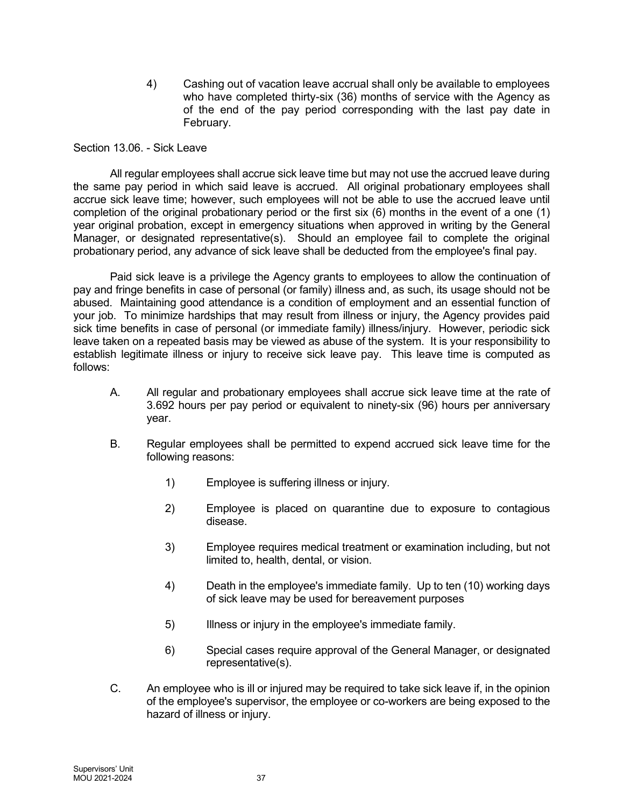4) Cashing out of vacation leave accrual shall only be available to employees who have completed thirty-six (36) months of service with the Agency as of the end of the pay period corresponding with the last pay date in February.

Section 13.06. - Sick Leave

All regular employees shall accrue sick leave time but may not use the accrued leave during the same pay period in which said leave is accrued. All original probationary employees shall accrue sick leave time; however, such employees will not be able to use the accrued leave until completion of the original probationary period or the first six (6) months in the event of a one (1) year original probation, except in emergency situations when approved in writing by the General Manager, or designated representative(s). Should an employee fail to complete the original probationary period, any advance of sick leave shall be deducted from the employee's final pay.

Paid sick leave is a privilege the Agency grants to employees to allow the continuation of pay and fringe benefits in case of personal (or family) illness and, as such, its usage should not be abused. Maintaining good attendance is a condition of employment and an essential function of your job. To minimize hardships that may result from illness or injury, the Agency provides paid sick time benefits in case of personal (or immediate family) illness/injury. However, periodic sick leave taken on a repeated basis may be viewed as abuse of the system. It is your responsibility to establish legitimate illness or injury to receive sick leave pay. This leave time is computed as follows:

- A. All regular and probationary employees shall accrue sick leave time at the rate of 3.692 hours per pay period or equivalent to ninety-six (96) hours per anniversary year.
- B. Regular employees shall be permitted to expend accrued sick leave time for the following reasons:
	- 1) Employee is suffering illness or injury.
	- 2) Employee is placed on quarantine due to exposure to contagious disease.
	- 3) Employee requires medical treatment or examination including, but not limited to, health, dental, or vision.
	- 4) Death in the employee's immediate family. Up to ten (10) working days of sick leave may be used for bereavement purposes
	- 5) Illness or injury in the employee's immediate family.
	- 6) Special cases require approval of the General Manager, or designated representative(s).
- C. An employee who is ill or injured may be required to take sick leave if, in the opinion of the employee's supervisor, the employee or co-workers are being exposed to the hazard of illness or injury.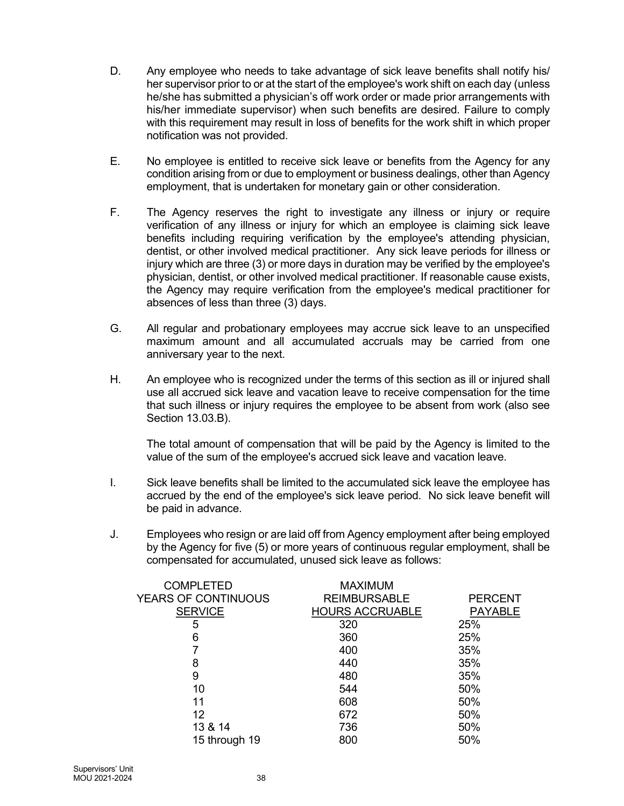- D. Any employee who needs to take advantage of sick leave benefits shall notify his/ her supervisor prior to or at the start of the employee's work shift on each day (unless he/she has submitted a physician's off work order or made prior arrangements with his/her immediate supervisor) when such benefits are desired. Failure to comply with this requirement may result in loss of benefits for the work shift in which proper notification was not provided.
- E. No employee is entitled to receive sick leave or benefits from the Agency for any condition arising from or due to employment or business dealings, other than Agency employment, that is undertaken for monetary gain or other consideration.
- F. The Agency reserves the right to investigate any illness or injury or require verification of any illness or injury for which an employee is claiming sick leave benefits including requiring verification by the employee's attending physician, dentist, or other involved medical practitioner. Any sick leave periods for illness or injury which are three (3) or more days in duration may be verified by the employee's physician, dentist, or other involved medical practitioner. If reasonable cause exists, the Agency may require verification from the employee's medical practitioner for absences of less than three (3) days.
- G. All regular and probationary employees may accrue sick leave to an unspecified maximum amount and all accumulated accruals may be carried from one anniversary year to the next.
- H. An employee who is recognized under the terms of this section as ill or injured shall use all accrued sick leave and vacation leave to receive compensation for the time that such illness or injury requires the employee to be absent from work (also see Section 13.03.B).

The total amount of compensation that will be paid by the Agency is limited to the value of the sum of the employee's accrued sick leave and vacation leave.

- I. Sick leave benefits shall be limited to the accumulated sick leave the employee has accrued by the end of the employee's sick leave period. No sick leave benefit will be paid in advance.
- J. Employees who resign or are laid off from Agency employment after being employed by the Agency for five (5) or more years of continuous regular employment, shall be compensated for accumulated, unused sick leave as follows:

| <b>COMPLETED</b>    | <b>MAXIMUM</b>         |                |
|---------------------|------------------------|----------------|
| YEARS OF CONTINUOUS | <b>REIMBURSABLE</b>    | <b>PERCENT</b> |
| <b>SERVICE</b>      | <b>HOURS ACCRUABLE</b> | <b>PAYABLE</b> |
| 5                   | 320                    | 25%            |
| 6                   | 360                    | 25%            |
|                     | 400                    | 35%            |
| 8                   | 440                    | 35%            |
| 9                   | 480                    | 35%            |
| 10                  | 544                    | 50%            |
| 11                  | 608                    | 50%            |
| 12                  | 672                    | 50%            |
| 13 & 14             | 736                    | 50%            |
| 15 through 19       | 800                    | 50%            |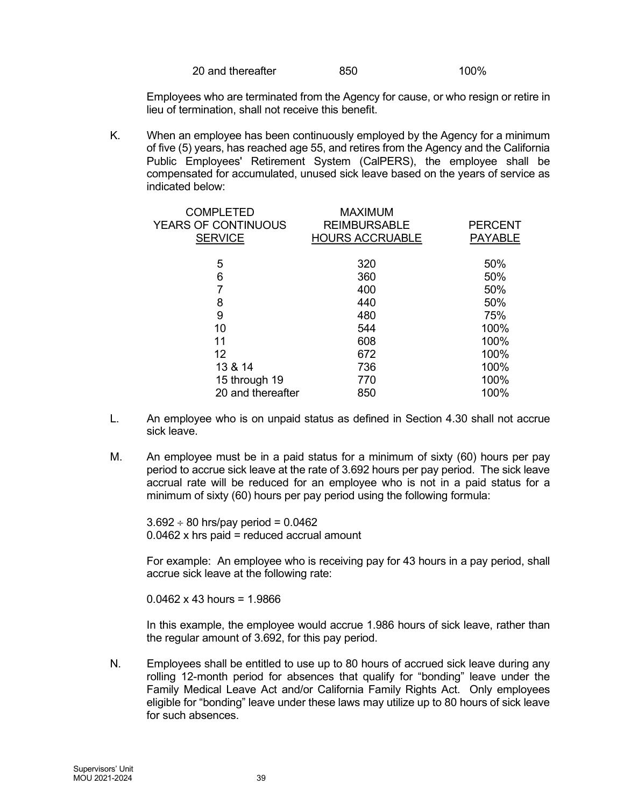| 20 and thereafter | 850 | 100% |
|-------------------|-----|------|
|                   |     |      |

Employees who are terminated from the Agency for cause, or who resign or retire in lieu of termination, shall not receive this benefit.

K. When an employee has been continuously employed by the Agency for a minimum of five (5) years, has reached age 55, and retires from the Agency and the California Public Employees' Retirement System (CalPERS), the employee shall be compensated for accumulated, unused sick leave based on the years of service as indicated below:

| <b>COMPLETED</b><br><b>YEARS OF CONTINUOUS</b><br><b>SERVICE</b> | <b>MAXIMUM</b><br><b>REIMBURSABLE</b><br><b>HOURS ACCRUABLE</b> | <b>PERCENT</b><br><b>PAYABLE</b> |
|------------------------------------------------------------------|-----------------------------------------------------------------|----------------------------------|
| 5                                                                | 320                                                             | 50%                              |
| 6                                                                | 360                                                             | 50%                              |
|                                                                  | 400                                                             | 50%                              |
| 8                                                                | 440                                                             | 50%                              |
| 9                                                                | 480                                                             | 75%                              |
| 10                                                               | 544                                                             | 100%                             |
| 11                                                               | 608                                                             | 100%                             |
| 12                                                               | 672                                                             | 100%                             |
| 13 & 14                                                          | 736                                                             | 100%                             |
| 15 through 19                                                    | 770                                                             | 100%                             |
| 20 and thereafter                                                | 850                                                             | 100%                             |
|                                                                  |                                                                 |                                  |

- L. An employee who is on unpaid status as defined in Section 4.30 shall not accrue sick leave.
- M. An employee must be in a paid status for a minimum of sixty (60) hours per pay period to accrue sick leave at the rate of 3.692 hours per pay period. The sick leave accrual rate will be reduced for an employee who is not in a paid status for a minimum of sixty (60) hours per pay period using the following formula:

 $3.692 \div 80$  hrs/pay period = 0.0462 0.0462 x hrs paid = reduced accrual amount

For example: An employee who is receiving pay for 43 hours in a pay period, shall accrue sick leave at the following rate:

 $0.0462 \times 43$  hours = 1.9866

In this example, the employee would accrue 1.986 hours of sick leave, rather than the regular amount of 3.692, for this pay period.

N. Employees shall be entitled to use up to 80 hours of accrued sick leave during any rolling 12-month period for absences that qualify for "bonding" leave under the Family Medical Leave Act and/or California Family Rights Act. Only employees eligible for "bonding" leave under these laws may utilize up to 80 hours of sick leave for such absences.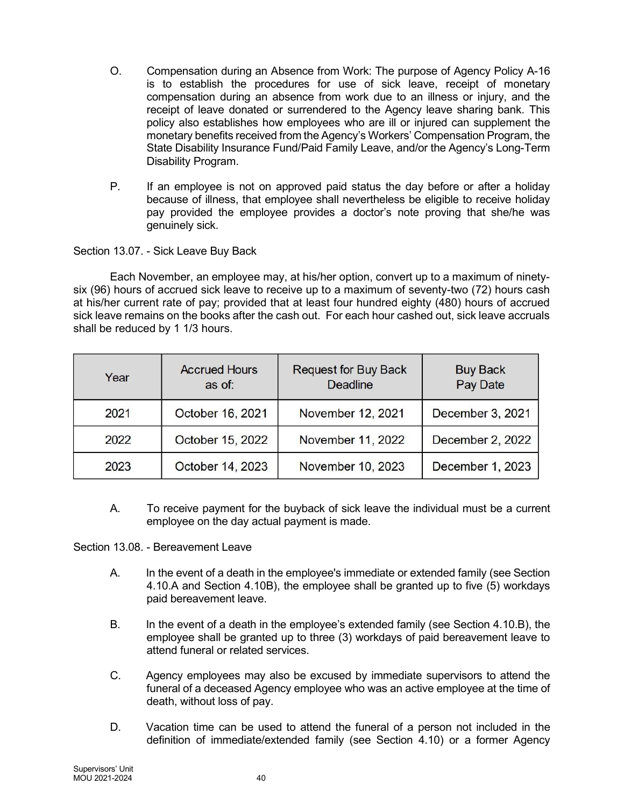- O. Compensation during an Absence from Work: The purpose of Agency Policy A-16 is to establish the procedures for use of sick leave, receipt of monetary compensation during an absence from work due to an illness or injury, and the receipt of leave donated or surrendered to the Agency leave sharing bank. This policy also establishes how employees who are ill or injured can supplement the monetary benefits received from the Agency's Workers' Compensation Program, the State Disability Insurance Fund/Paid Family Leave, and/or the Agency's Long-Term Disability Program.
- P. If an employee is not on approved paid status the day before or after a holiday because of illness, that employee shall nevertheless be eligible to receive holiday pay provided the employee provides a doctor's note proving that she/he was genuinely sick.

# Section 13.07. - Sick Leave Buy Back

Each November, an employee may, at his/her option, convert up to a maximum of ninetysix (96) hours of accrued sick leave to receive up to a maximum of seventy-two (72) hours cash at his/her current rate of pay; provided that at least four hundred eighty (480) hours of accrued sick leave remains on the books after the cash out. For each hour cashed out, sick leave accruals shall be reduced by 1 1/3 hours.

| Year | <b>Accrued Hours</b><br>as of: | <b>Request for Buy Back</b><br><b>Deadline</b> | <b>Buy Back</b><br>Pay Date |
|------|--------------------------------|------------------------------------------------|-----------------------------|
| 2021 | October 16, 2021               | November 12, 2021                              | December 3, 2021            |
| 2022 | October 15, 2022               | November 11, 2022                              | December 2, 2022            |
| 2023 | October 14, 2023               | November 10, 2023                              | December 1, 2023            |

A. To receive payment for the buyback of sick leave the individual must be a current employee on the day actual payment is made.

Section 13.08. - Bereavement Leave

- A. In the event of a death in the employee's immediate or extended family (see Section 4.10.A and Section 4.10B), the employee shall be granted up to five (5) workdays paid bereavement leave.
- B. In the event of a death in the employee's extended family (see Section 4.10.B), the employee shall be granted up to three (3) workdays of paid bereavement leave to attend funeral or related services.
- C. Agency employees may also be excused by immediate supervisors to attend the funeral of a deceased Agency employee who was an active employee at the time of death, without loss of pay.
- D. Vacation time can be used to attend the funeral of a person not included in the definition of immediate/extended family (see Section 4.10) or a former Agency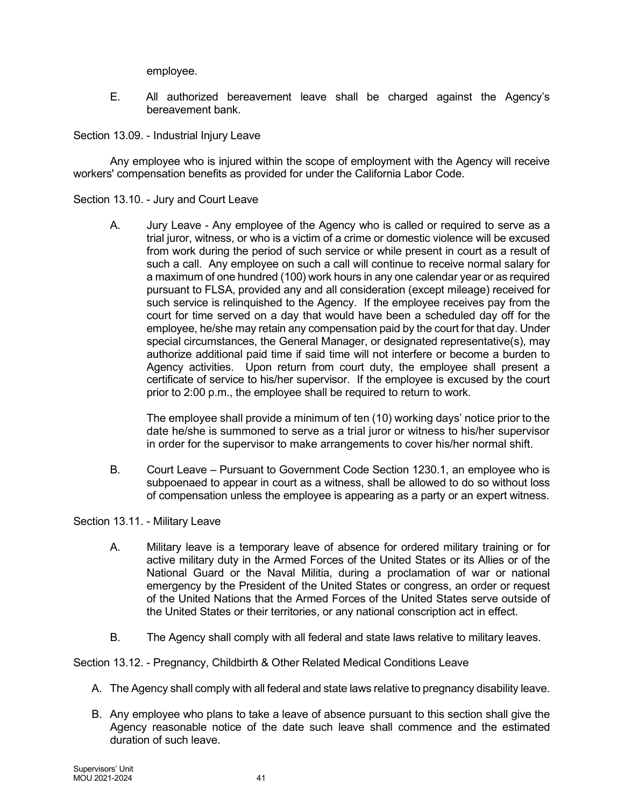employee.

E. All authorized bereavement leave shall be charged against the Agency's bereavement bank.

Section 13.09. - Industrial Injury Leave

Any employee who is injured within the scope of employment with the Agency will receive workers' compensation benefits as provided for under the California Labor Code.

Section 13.10. - Jury and Court Leave

A. Jury Leave - Any employee of the Agency who is called or required to serve as a trial juror, witness, or who is a victim of a crime or domestic violence will be excused from work during the period of such service or while present in court as a result of such a call. Any employee on such a call will continue to receive normal salary for a maximum of one hundred (100) work hours in any one calendar year or as required pursuant to FLSA, provided any and all consideration (except mileage) received for such service is relinquished to the Agency. If the employee receives pay from the court for time served on a day that would have been a scheduled day off for the employee, he/she may retain any compensation paid by the court for that day. Under special circumstances, the General Manager, or designated representative(s), may authorize additional paid time if said time will not interfere or become a burden to Agency activities. Upon return from court duty, the employee shall present a certificate of service to his/her supervisor. If the employee is excused by the court prior to 2:00 p.m., the employee shall be required to return to work.

The employee shall provide a minimum of ten (10) working days' notice prior to the date he/she is summoned to serve as a trial juror or witness to his/her supervisor in order for the supervisor to make arrangements to cover his/her normal shift.

B. Court Leave – Pursuant to Government Code Section 1230.1, an employee who is subpoenaed to appear in court as a witness, shall be allowed to do so without loss of compensation unless the employee is appearing as a party or an expert witness.

Section 13.11. - Military Leave

- A. Military leave is a temporary leave of absence for ordered military training or for active military duty in the Armed Forces of the United States or its Allies or of the National Guard or the Naval Militia, during a proclamation of war or national emergency by the President of the United States or congress, an order or request of the United Nations that the Armed Forces of the United States serve outside of the United States or their territories, or any national conscription act in effect.
- B. The Agency shall comply with all federal and state laws relative to military leaves.

Section 13.12. - Pregnancy, Childbirth & Other Related Medical Conditions Leave

- A. The Agency shall comply with all federal and state laws relative to pregnancy disability leave.
- B. Any employee who plans to take a leave of absence pursuant to this section shall give the Agency reasonable notice of the date such leave shall commence and the estimated duration of such leave.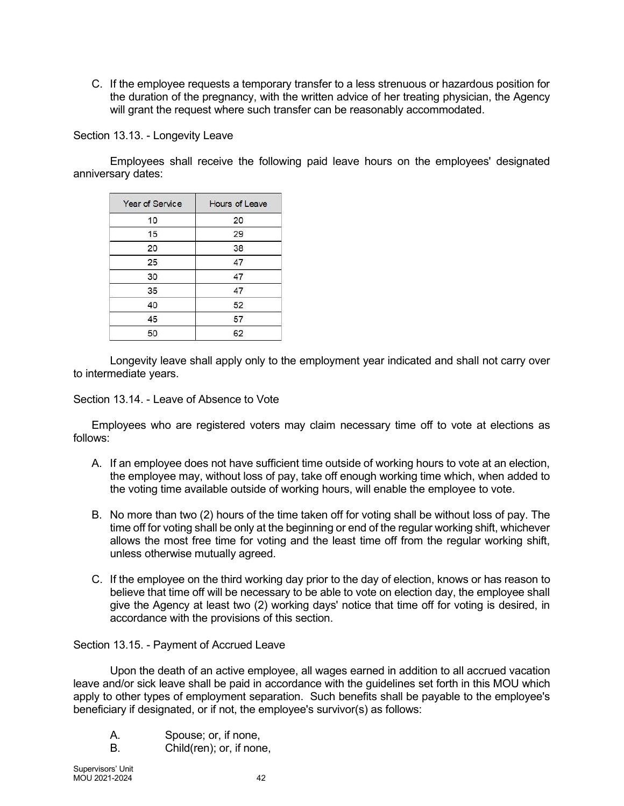C. If the employee requests a temporary transfer to a less strenuous or hazardous position for the duration of the pregnancy, with the written advice of her treating physician, the Agency will grant the request where such transfer can be reasonably accommodated.

Section 13.13. - Longevity Leave

Employees shall receive the following paid leave hours on the employees' designated anniversary dates:

| Year of Service | Hours of Leave |
|-----------------|----------------|
| 10              | 20             |
| 15              | 29             |
| 20              | 38             |
| 25              | 47             |
| 30              | 47             |
| 35              | 47             |
| 40              | 52             |
| 45              | 57             |
| 50              | 62             |

Longevity leave shall apply only to the employment year indicated and shall not carry over to intermediate years.

Section 13.14. - Leave of Absence to Vote

Employees who are registered voters may claim necessary time off to vote at elections as follows:

- A. If an employee does not have sufficient time outside of working hours to vote at an election, the employee may, without loss of pay, take off enough working time which, when added to the voting time available outside of working hours, will enable the employee to vote.
- B. No more than two (2) hours of the time taken off for voting shall be without loss of pay. The time off for voting shall be only at the beginning or end of the regular working shift, whichever allows the most free time for voting and the least time off from the regular working shift, unless otherwise mutually agreed.
- C. If the employee on the third working day prior to the day of election, knows or has reason to believe that time off will be necessary to be able to vote on election day, the employee shall give the Agency at least two (2) working days' notice that time off for voting is desired, in accordance with the provisions of this section.

Section 13.15. - Payment of Accrued Leave

Upon the death of an active employee, all wages earned in addition to all accrued vacation leave and/or sick leave shall be paid in accordance with the guidelines set forth in this MOU which apply to other types of employment separation. Such benefits shall be payable to the employee's beneficiary if designated, or if not, the employee's survivor(s) as follows:

- A. Spouse; or, if none,
- B. Child(ren); or, if none,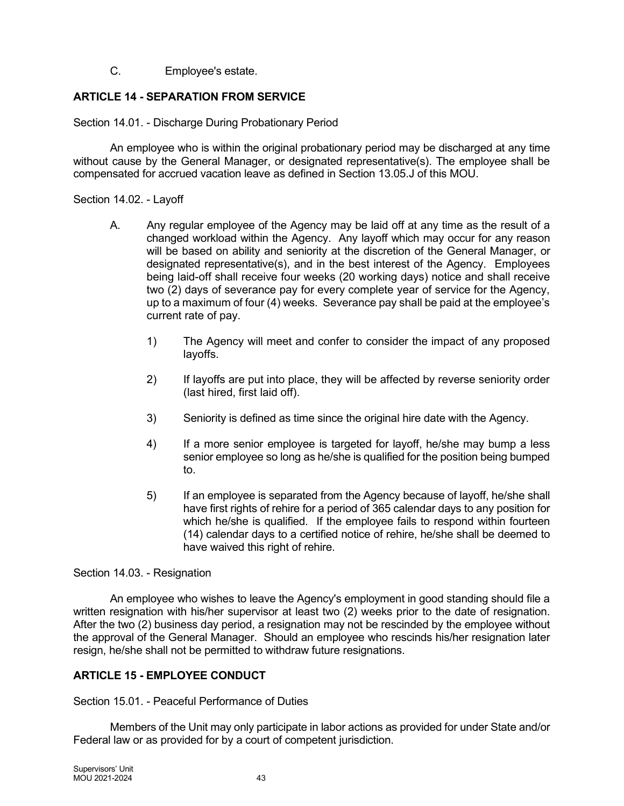C. Employee's estate.

# ARTICLE 14 - SEPARATION FROM SERVICE

Section 14.01. - Discharge During Probationary Period

An employee who is within the original probationary period may be discharged at any time without cause by the General Manager, or designated representative(s). The employee shall be compensated for accrued vacation leave as defined in Section 13.05.J of this MOU.

Section 14.02. - Layoff

- A. Any regular employee of the Agency may be laid off at any time as the result of a changed workload within the Agency. Any layoff which may occur for any reason will be based on ability and seniority at the discretion of the General Manager, or designated representative(s), and in the best interest of the Agency. Employees being laid-off shall receive four weeks (20 working days) notice and shall receive two (2) days of severance pay for every complete year of service for the Agency, up to a maximum of four (4) weeks. Severance pay shall be paid at the employee's current rate of pay.
	- 1) The Agency will meet and confer to consider the impact of any proposed layoffs.
	- 2) If layoffs are put into place, they will be affected by reverse seniority order (last hired, first laid off).
	- 3) Seniority is defined as time since the original hire date with the Agency.
	- 4) If a more senior employee is targeted for layoff, he/she may bump a less senior employee so long as he/she is qualified for the position being bumped to.
	- 5) If an employee is separated from the Agency because of layoff, he/she shall have first rights of rehire for a period of 365 calendar days to any position for which he/she is qualified. If the employee fails to respond within fourteen (14) calendar days to a certified notice of rehire, he/she shall be deemed to have waived this right of rehire.

# Section 14.03. - Resignation

An employee who wishes to leave the Agency's employment in good standing should file a written resignation with his/her supervisor at least two (2) weeks prior to the date of resignation. After the two (2) business day period, a resignation may not be rescinded by the employee without the approval of the General Manager. Should an employee who rescinds his/her resignation later resign, he/she shall not be permitted to withdraw future resignations.

# ARTICLE 15 - EMPLOYEE CONDUCT

Section 15.01. - Peaceful Performance of Duties

Members of the Unit may only participate in labor actions as provided for under State and/or Federal law or as provided for by a court of competent jurisdiction.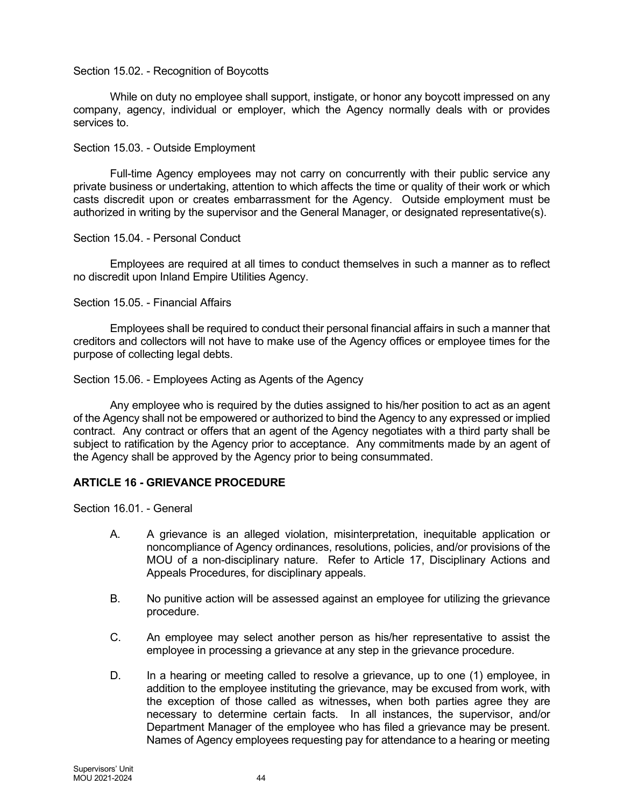#### Section 15.02. - Recognition of Boycotts

While on duty no employee shall support, instigate, or honor any boycott impressed on any company, agency, individual or employer, which the Agency normally deals with or provides services to.

#### Section 15.03. - Outside Employment

Full-time Agency employees may not carry on concurrently with their public service any private business or undertaking, attention to which affects the time or quality of their work or which casts discredit upon or creates embarrassment for the Agency. Outside employment must be authorized in writing by the supervisor and the General Manager, or designated representative(s).

#### Section 15.04. - Personal Conduct

Employees are required at all times to conduct themselves in such a manner as to reflect no discredit upon Inland Empire Utilities Agency.

#### Section 15.05. - Financial Affairs

Employees shall be required to conduct their personal financial affairs in such a manner that creditors and collectors will not have to make use of the Agency offices or employee times for the purpose of collecting legal debts.

#### Section 15.06. - Employees Acting as Agents of the Agency

Any employee who is required by the duties assigned to his/her position to act as an agent of the Agency shall not be empowered or authorized to bind the Agency to any expressed or implied contract. Any contract or offers that an agent of the Agency negotiates with a third party shall be subject to ratification by the Agency prior to acceptance. Any commitments made by an agent of the Agency shall be approved by the Agency prior to being consummated.

## ARTICLE 16 - GRIEVANCE PROCEDURE

Section 16.01 - General

- A. A grievance is an alleged violation, misinterpretation, inequitable application or noncompliance of Agency ordinances, resolutions, policies, and/or provisions of the MOU of a non-disciplinary nature. Refer to Article 17, Disciplinary Actions and Appeals Procedures, for disciplinary appeals.
- B. No punitive action will be assessed against an employee for utilizing the grievance procedure.
- C. An employee may select another person as his/her representative to assist the employee in processing a grievance at any step in the grievance procedure.
- D. In a hearing or meeting called to resolve a grievance, up to one (1) employee, in addition to the employee instituting the grievance, may be excused from work, with the exception of those called as witnesses, when both parties agree they are necessary to determine certain facts. In all instances, the supervisor, and/or Department Manager of the employee who has filed a grievance may be present. Names of Agency employees requesting pay for attendance to a hearing or meeting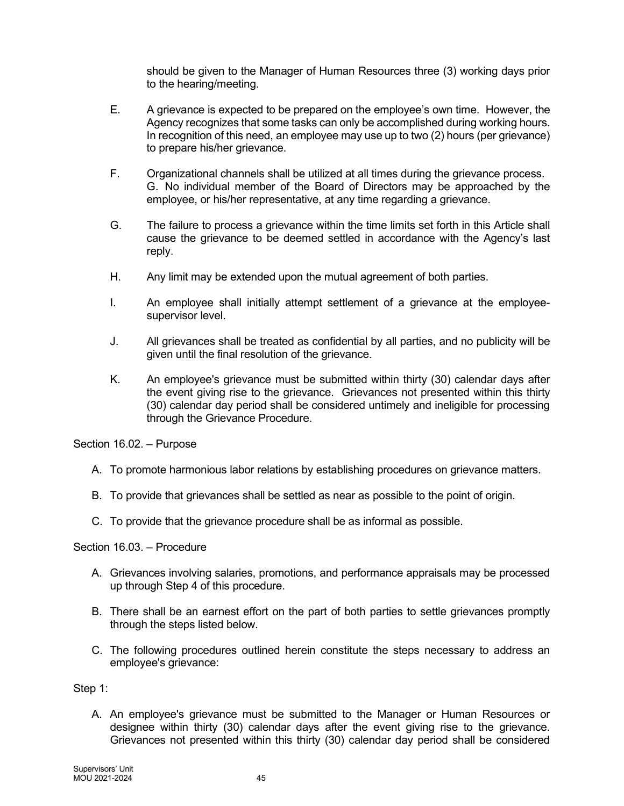should be given to the Manager of Human Resources three (3) working days prior to the hearing/meeting.

- E. A grievance is expected to be prepared on the employee's own time. However, the Agency recognizes that some tasks can only be accomplished during working hours. In recognition of this need, an employee may use up to two (2) hours (per grievance) to prepare his/her grievance.
- F. Organizational channels shall be utilized at all times during the grievance process. G. No individual member of the Board of Directors may be approached by the employee, or his/her representative, at any time regarding a grievance.
- G. The failure to process a grievance within the time limits set forth in this Article shall cause the grievance to be deemed settled in accordance with the Agency's last reply.
- H. Any limit may be extended upon the mutual agreement of both parties.
- I. An employee shall initially attempt settlement of a grievance at the employeesupervisor level.
- J. All grievances shall be treated as confidential by all parties, and no publicity will be given until the final resolution of the grievance.
- K. An employee's grievance must be submitted within thirty (30) calendar days after the event giving rise to the grievance. Grievances not presented within this thirty (30) calendar day period shall be considered untimely and ineligible for processing through the Grievance Procedure.

Section 16.02. – Purpose

- A. To promote harmonious labor relations by establishing procedures on grievance matters.
- B. To provide that grievances shall be settled as near as possible to the point of origin.
- C. To provide that the grievance procedure shall be as informal as possible.

Section 16.03. – Procedure

- A. Grievances involving salaries, promotions, and performance appraisals may be processed up through Step 4 of this procedure.
- B. There shall be an earnest effort on the part of both parties to settle grievances promptly through the steps listed below.
- C. The following procedures outlined herein constitute the steps necessary to address an employee's grievance:

Step 1:

A. An employee's grievance must be submitted to the Manager or Human Resources or designee within thirty (30) calendar days after the event giving rise to the grievance. Grievances not presented within this thirty (30) calendar day period shall be considered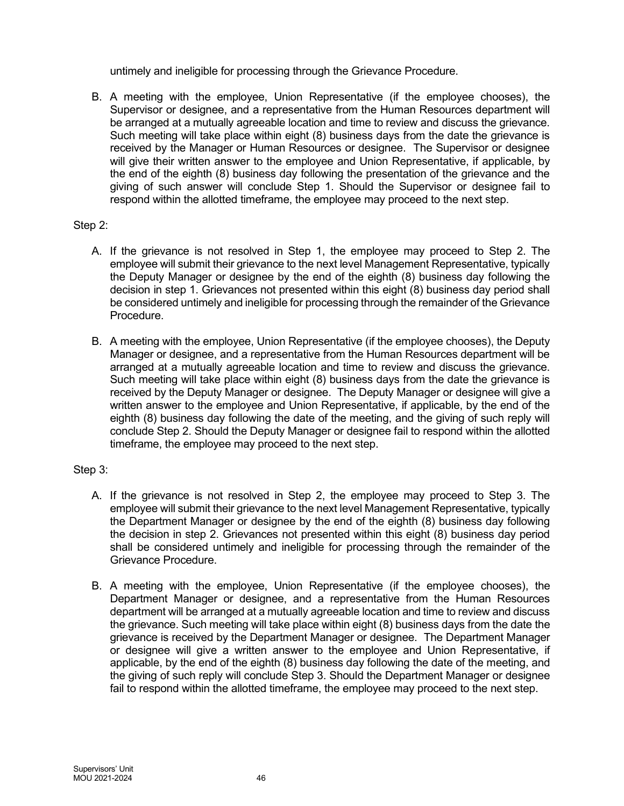untimely and ineligible for processing through the Grievance Procedure.

B. A meeting with the employee, Union Representative (if the employee chooses), the Supervisor or designee, and a representative from the Human Resources department will be arranged at a mutually agreeable location and time to review and discuss the grievance. Such meeting will take place within eight (8) business days from the date the grievance is received by the Manager or Human Resources or designee. The Supervisor or designee will give their written answer to the employee and Union Representative, if applicable, by the end of the eighth (8) business day following the presentation of the grievance and the giving of such answer will conclude Step 1. Should the Supervisor or designee fail to respond within the allotted timeframe, the employee may proceed to the next step.

## Step 2:

- A. If the grievance is not resolved in Step 1, the employee may proceed to Step 2. The employee will submit their grievance to the next level Management Representative, typically the Deputy Manager or designee by the end of the eighth (8) business day following the decision in step 1. Grievances not presented within this eight (8) business day period shall be considered untimely and ineligible for processing through the remainder of the Grievance Procedure.
- B. A meeting with the employee, Union Representative (if the employee chooses), the Deputy Manager or designee, and a representative from the Human Resources department will be arranged at a mutually agreeable location and time to review and discuss the grievance. Such meeting will take place within eight (8) business days from the date the grievance is received by the Deputy Manager or designee. The Deputy Manager or designee will give a written answer to the employee and Union Representative, if applicable, by the end of the eighth (8) business day following the date of the meeting, and the giving of such reply will conclude Step 2. Should the Deputy Manager or designee fail to respond within the allotted timeframe, the employee may proceed to the next step.

#### Step 3:

- A. If the grievance is not resolved in Step 2, the employee may proceed to Step 3. The employee will submit their grievance to the next level Management Representative, typically the Department Manager or designee by the end of the eighth (8) business day following the decision in step 2. Grievances not presented within this eight (8) business day period shall be considered untimely and ineligible for processing through the remainder of the Grievance Procedure.
- B. A meeting with the employee, Union Representative (if the employee chooses), the Department Manager or designee, and a representative from the Human Resources department will be arranged at a mutually agreeable location and time to review and discuss the grievance. Such meeting will take place within eight (8) business days from the date the grievance is received by the Department Manager or designee. The Department Manager or designee will give a written answer to the employee and Union Representative, if applicable, by the end of the eighth (8) business day following the date of the meeting, and the giving of such reply will conclude Step 3. Should the Department Manager or designee fail to respond within the allotted timeframe, the employee may proceed to the next step.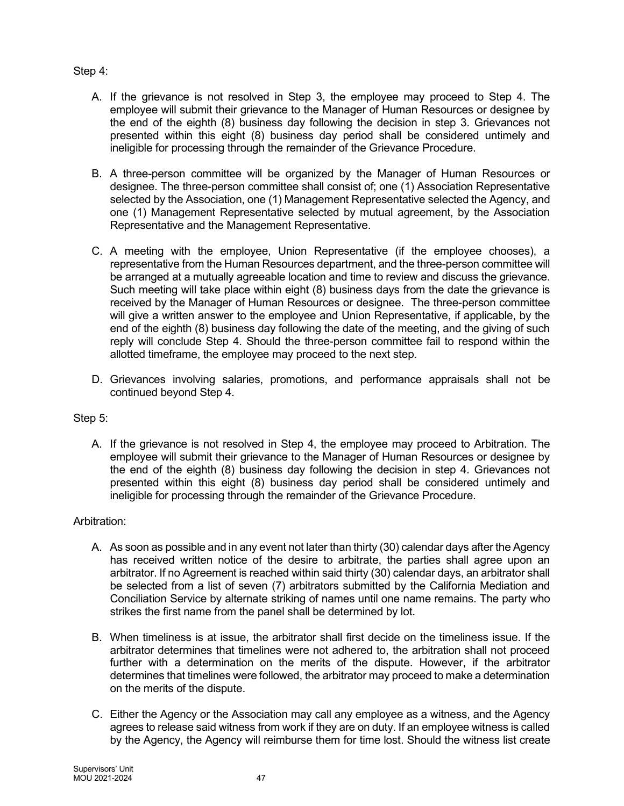# Step 4:

- A. If the grievance is not resolved in Step 3, the employee may proceed to Step 4. The employee will submit their grievance to the Manager of Human Resources or designee by the end of the eighth (8) business day following the decision in step 3. Grievances not presented within this eight (8) business day period shall be considered untimely and ineligible for processing through the remainder of the Grievance Procedure.
- B. A three-person committee will be organized by the Manager of Human Resources or designee. The three-person committee shall consist of; one (1) Association Representative selected by the Association, one (1) Management Representative selected the Agency, and one (1) Management Representative selected by mutual agreement, by the Association Representative and the Management Representative.
- C. A meeting with the employee, Union Representative (if the employee chooses), a representative from the Human Resources department, and the three-person committee will be arranged at a mutually agreeable location and time to review and discuss the grievance. Such meeting will take place within eight (8) business days from the date the grievance is received by the Manager of Human Resources or designee. The three-person committee will give a written answer to the employee and Union Representative, if applicable, by the end of the eighth (8) business day following the date of the meeting, and the giving of such reply will conclude Step 4. Should the three-person committee fail to respond within the allotted timeframe, the employee may proceed to the next step.
- D. Grievances involving salaries, promotions, and performance appraisals shall not be continued beyond Step 4.

# Step 5:

A. If the grievance is not resolved in Step 4, the employee may proceed to Arbitration. The employee will submit their grievance to the Manager of Human Resources or designee by the end of the eighth (8) business day following the decision in step 4. Grievances not presented within this eight (8) business day period shall be considered untimely and ineligible for processing through the remainder of the Grievance Procedure.

# Arbitration:

- A. As soon as possible and in any event not later than thirty (30) calendar days after the Agency has received written notice of the desire to arbitrate, the parties shall agree upon an arbitrator. If no Agreement is reached within said thirty (30) calendar days, an arbitrator shall be selected from a list of seven (7) arbitrators submitted by the California Mediation and Conciliation Service by alternate striking of names until one name remains. The party who strikes the first name from the panel shall be determined by lot.
- B. When timeliness is at issue, the arbitrator shall first decide on the timeliness issue. If the arbitrator determines that timelines were not adhered to, the arbitration shall not proceed further with a determination on the merits of the dispute. However, if the arbitrator determines that timelines were followed, the arbitrator may proceed to make a determination on the merits of the dispute.
- C. Either the Agency or the Association may call any employee as a witness, and the Agency agrees to release said witness from work if they are on duty. If an employee witness is called by the Agency, the Agency will reimburse them for time lost. Should the witness list create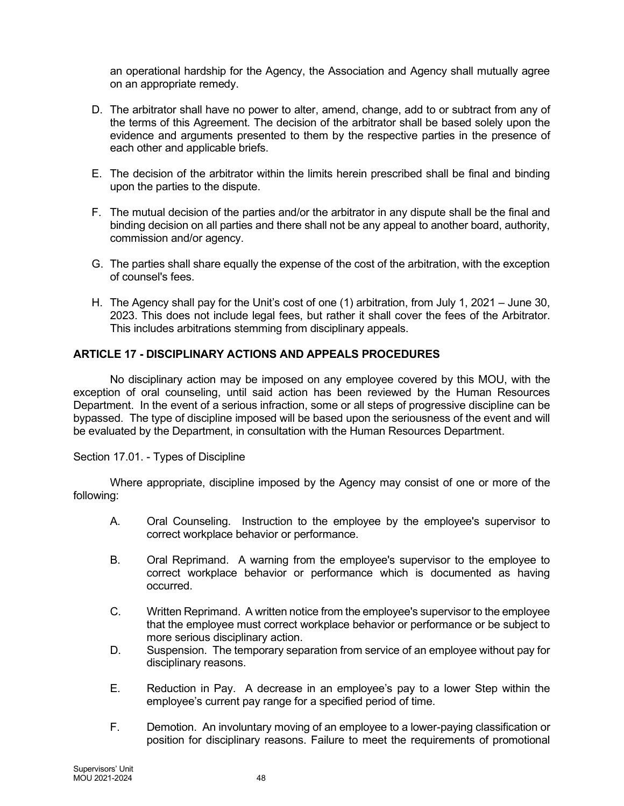an operational hardship for the Agency, the Association and Agency shall mutually agree on an appropriate remedy.

- D. The arbitrator shall have no power to alter, amend, change, add to or subtract from any of the terms of this Agreement. The decision of the arbitrator shall be based solely upon the evidence and arguments presented to them by the respective parties in the presence of each other and applicable briefs.
- E. The decision of the arbitrator within the limits herein prescribed shall be final and binding upon the parties to the dispute.
- F. The mutual decision of the parties and/or the arbitrator in any dispute shall be the final and binding decision on all parties and there shall not be any appeal to another board, authority, commission and/or agency.
- G. The parties shall share equally the expense of the cost of the arbitration, with the exception of counsel's fees.
- H. The Agency shall pay for the Unit's cost of one (1) arbitration, from July 1, 2021 June 30, 2023. This does not include legal fees, but rather it shall cover the fees of the Arbitrator. This includes arbitrations stemming from disciplinary appeals.

# ARTICLE 17 - DISCIPLINARY ACTIONS AND APPEALS PROCEDURES

No disciplinary action may be imposed on any employee covered by this MOU, with the exception of oral counseling, until said action has been reviewed by the Human Resources Department. In the event of a serious infraction, some or all steps of progressive discipline can be bypassed. The type of discipline imposed will be based upon the seriousness of the event and will be evaluated by the Department, in consultation with the Human Resources Department.

Section 17.01. - Types of Discipline

Where appropriate, discipline imposed by the Agency may consist of one or more of the following:

- A. Oral Counseling. Instruction to the employee by the employee's supervisor to correct workplace behavior or performance.
- B. Oral Reprimand. A warning from the employee's supervisor to the employee to correct workplace behavior or performance which is documented as having occurred.
- C. Written Reprimand. A written notice from the employee's supervisor to the employee that the employee must correct workplace behavior or performance or be subject to more serious disciplinary action.
- D. Suspension. The temporary separation from service of an employee without pay for disciplinary reasons.
- E. Reduction in Pay. A decrease in an employee's pay to a lower Step within the employee's current pay range for a specified period of time.
- F. Demotion. An involuntary moving of an employee to a lower-paying classification or position for disciplinary reasons. Failure to meet the requirements of promotional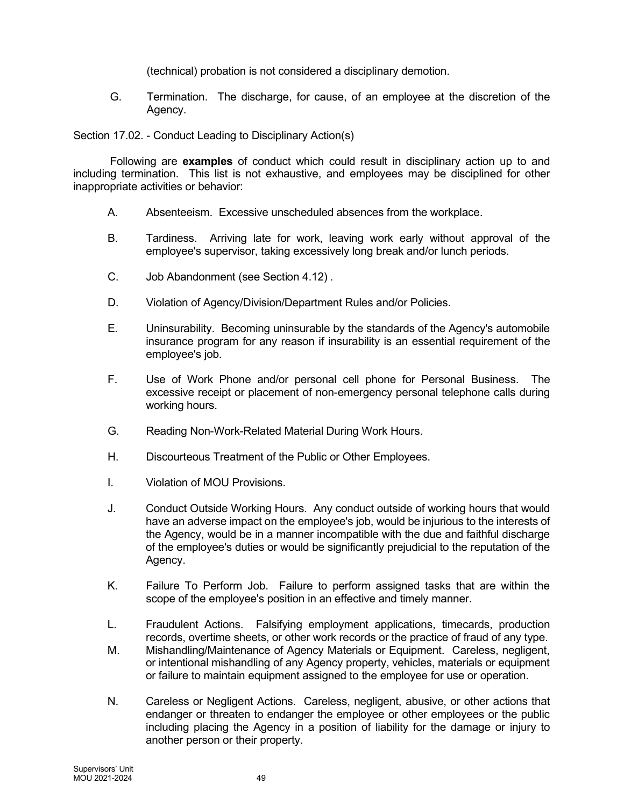(technical) probation is not considered a disciplinary demotion.

G. Termination. The discharge, for cause, of an employee at the discretion of the Agency.

Section 17.02. - Conduct Leading to Disciplinary Action(s)

Following are **examples** of conduct which could result in disciplinary action up to and including termination. This list is not exhaustive, and employees may be disciplined for other inappropriate activities or behavior:

- A. Absenteeism. Excessive unscheduled absences from the workplace.
- B. Tardiness. Arriving late for work, leaving work early without approval of the employee's supervisor, taking excessively long break and/or lunch periods.
- C. Job Abandonment (see Section 4.12) .
- D. Violation of Agency/Division/Department Rules and/or Policies.
- E. Uninsurability. Becoming uninsurable by the standards of the Agency's automobile insurance program for any reason if insurability is an essential requirement of the employee's job.
- F. Use of Work Phone and/or personal cell phone for Personal Business. The excessive receipt or placement of non-emergency personal telephone calls during working hours.
- G. Reading Non-Work-Related Material During Work Hours.
- H. Discourteous Treatment of the Public or Other Employees.
- I. Violation of MOU Provisions.
- J. Conduct Outside Working Hours. Any conduct outside of working hours that would have an adverse impact on the employee's job, would be injurious to the interests of the Agency, would be in a manner incompatible with the due and faithful discharge of the employee's duties or would be significantly prejudicial to the reputation of the Agency.
- K. Failure To Perform Job. Failure to perform assigned tasks that are within the scope of the employee's position in an effective and timely manner.
- L. Fraudulent Actions. Falsifying employment applications, timecards, production records, overtime sheets, or other work records or the practice of fraud of any type.
- M. Mishandling/Maintenance of Agency Materials or Equipment. Careless, negligent, or intentional mishandling of any Agency property, vehicles, materials or equipment or failure to maintain equipment assigned to the employee for use or operation.
- N. Careless or Negligent Actions. Careless, negligent, abusive, or other actions that endanger or threaten to endanger the employee or other employees or the public including placing the Agency in a position of liability for the damage or injury to another person or their property.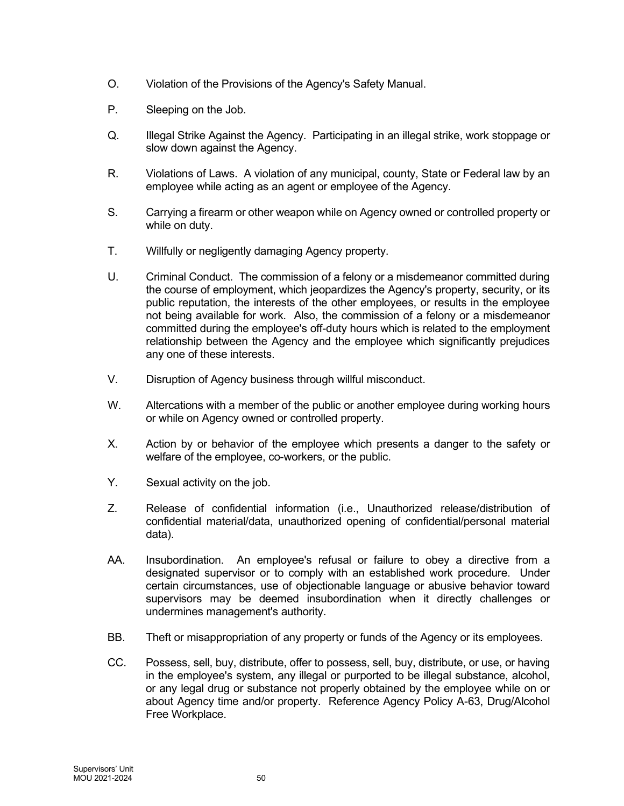- O. Violation of the Provisions of the Agency's Safety Manual.
- P. Sleeping on the Job.
- Q. Illegal Strike Against the Agency. Participating in an illegal strike, work stoppage or slow down against the Agency.
- R. Violations of Laws. A violation of any municipal, county, State or Federal law by an employee while acting as an agent or employee of the Agency.
- S. Carrying a firearm or other weapon while on Agency owned or controlled property or while on duty.
- T. Willfully or negligently damaging Agency property.
- U. Criminal Conduct. The commission of a felony or a misdemeanor committed during the course of employment, which jeopardizes the Agency's property, security, or its public reputation, the interests of the other employees, or results in the employee not being available for work. Also, the commission of a felony or a misdemeanor committed during the employee's off-duty hours which is related to the employment relationship between the Agency and the employee which significantly prejudices any one of these interests.
- V. Disruption of Agency business through willful misconduct.
- W. Altercations with a member of the public or another employee during working hours or while on Agency owned or controlled property.
- X. Action by or behavior of the employee which presents a danger to the safety or welfare of the employee, co-workers, or the public.
- Y. Sexual activity on the job.
- Z. Release of confidential information (i.e., Unauthorized release/distribution of confidential material/data, unauthorized opening of confidential/personal material data).
- AA. Insubordination. An employee's refusal or failure to obey a directive from a designated supervisor or to comply with an established work procedure. Under certain circumstances, use of objectionable language or abusive behavior toward supervisors may be deemed insubordination when it directly challenges or undermines management's authority.
- BB. Theft or misappropriation of any property or funds of the Agency or its employees.
- CC. Possess, sell, buy, distribute, offer to possess, sell, buy, distribute, or use, or having in the employee's system, any illegal or purported to be illegal substance, alcohol, or any legal drug or substance not properly obtained by the employee while on or about Agency time and/or property. Reference Agency Policy A-63, Drug/Alcohol Free Workplace.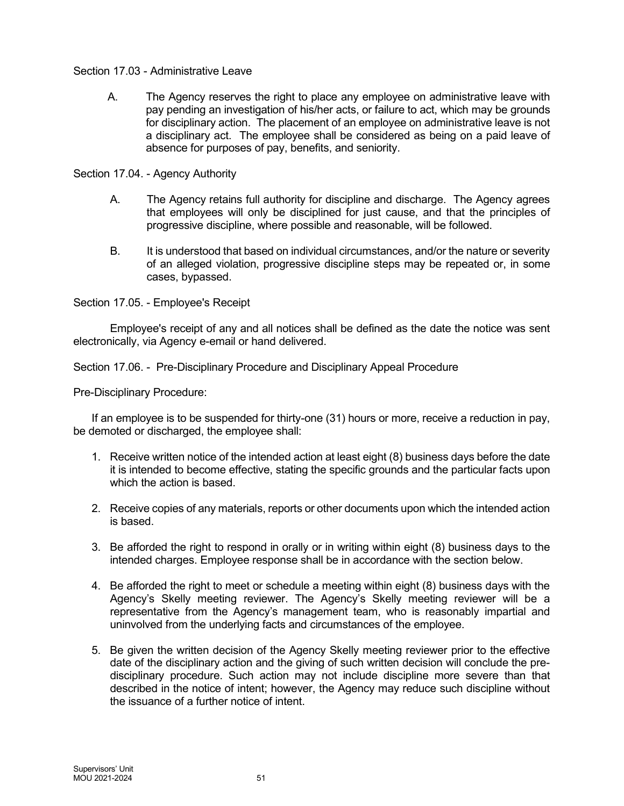## Section 17.03 - Administrative Leave

A. The Agency reserves the right to place any employee on administrative leave with pay pending an investigation of his/her acts, or failure to act, which may be grounds for disciplinary action. The placement of an employee on administrative leave is not a disciplinary act. The employee shall be considered as being on a paid leave of absence for purposes of pay, benefits, and seniority.

Section 17.04. - Agency Authority

- A. The Agency retains full authority for discipline and discharge. The Agency agrees that employees will only be disciplined for just cause, and that the principles of progressive discipline, where possible and reasonable, will be followed.
- B. It is understood that based on individual circumstances, and/or the nature or severity of an alleged violation, progressive discipline steps may be repeated or, in some cases, bypassed.

Section 17.05. - Employee's Receipt

Employee's receipt of any and all notices shall be defined as the date the notice was sent electronically, via Agency e-email or hand delivered.

Section 17.06. - Pre-Disciplinary Procedure and Disciplinary Appeal Procedure

Pre-Disciplinary Procedure:

If an employee is to be suspended for thirty-one (31) hours or more, receive a reduction in pay, be demoted or discharged, the employee shall:

- 1. Receive written notice of the intended action at least eight (8) business days before the date it is intended to become effective, stating the specific grounds and the particular facts upon which the action is based.
- 2. Receive copies of any materials, reports or other documents upon which the intended action is based.
- 3. Be afforded the right to respond in orally or in writing within eight (8) business days to the intended charges. Employee response shall be in accordance with the section below.
- 4. Be afforded the right to meet or schedule a meeting within eight (8) business days with the Agency's Skelly meeting reviewer. The Agency's Skelly meeting reviewer will be a representative from the Agency's management team, who is reasonably impartial and uninvolved from the underlying facts and circumstances of the employee.
- 5. Be given the written decision of the Agency Skelly meeting reviewer prior to the effective date of the disciplinary action and the giving of such written decision will conclude the predisciplinary procedure. Such action may not include discipline more severe than that described in the notice of intent; however, the Agency may reduce such discipline without the issuance of a further notice of intent.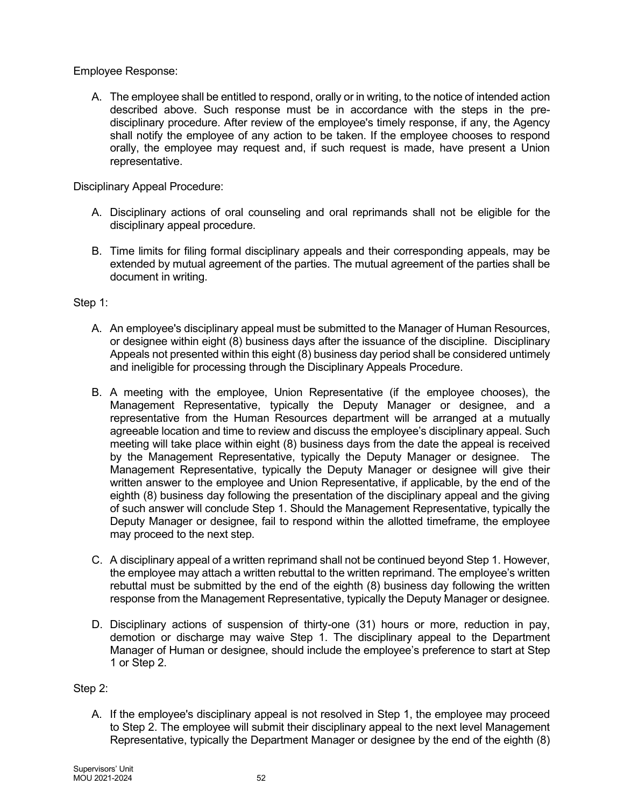Employee Response:

A. The employee shall be entitled to respond, orally or in writing, to the notice of intended action described above. Such response must be in accordance with the steps in the predisciplinary procedure. After review of the employee's timely response, if any, the Agency shall notify the employee of any action to be taken. If the employee chooses to respond orally, the employee may request and, if such request is made, have present a Union representative.

Disciplinary Appeal Procedure:

- A. Disciplinary actions of oral counseling and oral reprimands shall not be eligible for the disciplinary appeal procedure.
- B. Time limits for filing formal disciplinary appeals and their corresponding appeals, may be extended by mutual agreement of the parties. The mutual agreement of the parties shall be document in writing.

Step 1:

- A. An employee's disciplinary appeal must be submitted to the Manager of Human Resources, or designee within eight (8) business days after the issuance of the discipline. Disciplinary Appeals not presented within this eight (8) business day period shall be considered untimely and ineligible for processing through the Disciplinary Appeals Procedure.
- B. A meeting with the employee, Union Representative (if the employee chooses), the Management Representative, typically the Deputy Manager or designee, and a representative from the Human Resources department will be arranged at a mutually agreeable location and time to review and discuss the employee's disciplinary appeal. Such meeting will take place within eight (8) business days from the date the appeal is received by the Management Representative, typically the Deputy Manager or designee. The Management Representative, typically the Deputy Manager or designee will give their written answer to the employee and Union Representative, if applicable, by the end of the eighth (8) business day following the presentation of the disciplinary appeal and the giving of such answer will conclude Step 1. Should the Management Representative, typically the Deputy Manager or designee, fail to respond within the allotted timeframe, the employee may proceed to the next step.
- C. A disciplinary appeal of a written reprimand shall not be continued beyond Step 1. However, the employee may attach a written rebuttal to the written reprimand. The employee's written rebuttal must be submitted by the end of the eighth (8) business day following the written response from the Management Representative, typically the Deputy Manager or designee.
- D. Disciplinary actions of suspension of thirty-one (31) hours or more, reduction in pay, demotion or discharge may waive Step 1. The disciplinary appeal to the Department Manager of Human or designee, should include the employee's preference to start at Step 1 or Step 2.

# Step 2:

A. If the employee's disciplinary appeal is not resolved in Step 1, the employee may proceed to Step 2. The employee will submit their disciplinary appeal to the next level Management Representative, typically the Department Manager or designee by the end of the eighth (8)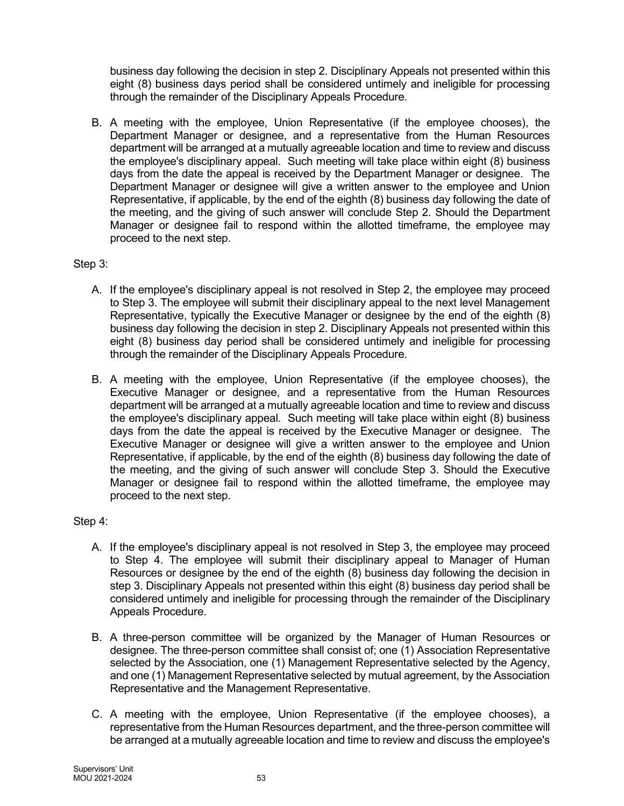business day following the decision in step 2. Disciplinary Appeals not presented within this eight (8) business days period shall be considered untimely and ineligible for processing through the remainder of the Disciplinary Appeals Procedure.

B. A meeting with the employee, Union Representative (if the employee chooses), the Department Manager or designee, and a representative from the Human Resources department will be arranged at a mutually agreeable location and time to review and discuss the employee's disciplinary appeal. Such meeting will take place within eight (8) business days from the date the appeal is received by the Department Manager or designee. The Department Manager or designee will give a written answer to the employee and Union Representative, if applicable, by the end of the eighth (8) business day following the date of the meeting, and the giving of such answer will conclude Step 2. Should the Department Manager or designee fail to respond within the allotted timeframe, the employee may proceed to the next step.

# Step 3:

- A. If the employee's disciplinary appeal is not resolved in Step 2, the employee may proceed to Step 3. The employee will submit their disciplinary appeal to the next level Management Representative, typically the Executive Manager or designee by the end of the eighth (8) business day following the decision in step 2. Disciplinary Appeals not presented within this eight (8) business day period shall be considered untimely and ineligible for processing through the remainder of the Disciplinary Appeals Procedure.
- B. A meeting with the employee, Union Representative (if the employee chooses), the Executive Manager or designee, and a representative from the Human Resources department will be arranged at a mutually agreeable location and time to review and discuss the employee's disciplinary appeal. Such meeting will take place within eight (8) business days from the date the appeal is received by the Executive Manager or designee. The Executive Manager or designee will give a written answer to the employee and Union Representative, if applicable, by the end of the eighth (8) business day following the date of the meeting, and the giving of such answer will conclude Step 3. Should the Executive Manager or designee fail to respond within the allotted timeframe, the employee may proceed to the next step.

# Step 4:

- A. If the employee's disciplinary appeal is not resolved in Step 3, the employee may proceed to Step 4. The employee will submit their disciplinary appeal to Manager of Human Resources or designee by the end of the eighth (8) business day following the decision in step 3. Disciplinary Appeals not presented within this eight (8) business day period shall be considered untimely and ineligible for processing through the remainder of the Disciplinary Appeals Procedure.
- B. A three-person committee will be organized by the Manager of Human Resources or designee. The three-person committee shall consist of; one (1) Association Representative selected by the Association, one (1) Management Representative selected by the Agency, and one (1) Management Representative selected by mutual agreement, by the Association Representative and the Management Representative.
- C. A meeting with the employee, Union Representative (if the employee chooses), a representative from the Human Resources department, and the three-person committee will be arranged at a mutually agreeable location and time to review and discuss the employee's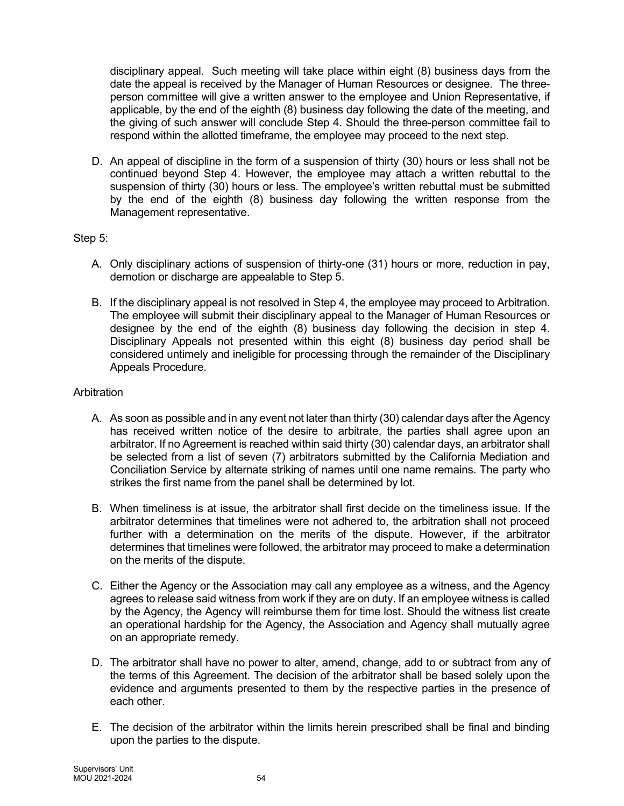disciplinary appeal. Such meeting will take place within eight (8) business days from the date the appeal is received by the Manager of Human Resources or designee. The threeperson committee will give a written answer to the employee and Union Representative, if applicable, by the end of the eighth (8) business day following the date of the meeting, and the giving of such answer will conclude Step 4. Should the three-person committee fail to respond within the allotted timeframe, the employee may proceed to the next step.

D. An appeal of discipline in the form of a suspension of thirty (30) hours or less shall not be continued beyond Step 4. However, the employee may attach a written rebuttal to the suspension of thirty (30) hours or less. The employee's written rebuttal must be submitted by the end of the eighth (8) business day following the written response from the Management representative.

# Step 5:

- A. Only disciplinary actions of suspension of thirty-one (31) hours or more, reduction in pay, demotion or discharge are appealable to Step 5.
- B. If the disciplinary appeal is not resolved in Step 4, the employee may proceed to Arbitration. The employee will submit their disciplinary appeal to the Manager of Human Resources or designee by the end of the eighth (8) business day following the decision in step 4. Disciplinary Appeals not presented within this eight (8) business day period shall be considered untimely and ineligible for processing through the remainder of the Disciplinary Appeals Procedure.

# Arbitration

- A. As soon as possible and in any event not later than thirty (30) calendar days after the Agency has received written notice of the desire to arbitrate, the parties shall agree upon an arbitrator. If no Agreement is reached within said thirty (30) calendar days, an arbitrator shall be selected from a list of seven (7) arbitrators submitted by the California Mediation and Conciliation Service by alternate striking of names until one name remains. The party who strikes the first name from the panel shall be determined by lot.
- B. When timeliness is at issue, the arbitrator shall first decide on the timeliness issue. If the arbitrator determines that timelines were not adhered to, the arbitration shall not proceed further with a determination on the merits of the dispute. However, if the arbitrator determines that timelines were followed, the arbitrator may proceed to make a determination on the merits of the dispute.
- C. Either the Agency or the Association may call any employee as a witness, and the Agency agrees to release said witness from work if they are on duty. If an employee witness is called by the Agency, the Agency will reimburse them for time lost. Should the witness list create an operational hardship for the Agency, the Association and Agency shall mutually agree on an appropriate remedy.
- D. The arbitrator shall have no power to alter, amend, change, add to or subtract from any of the terms of this Agreement. The decision of the arbitrator shall be based solely upon the evidence and arguments presented to them by the respective parties in the presence of each other.
- E. The decision of the arbitrator within the limits herein prescribed shall be final and binding upon the parties to the dispute.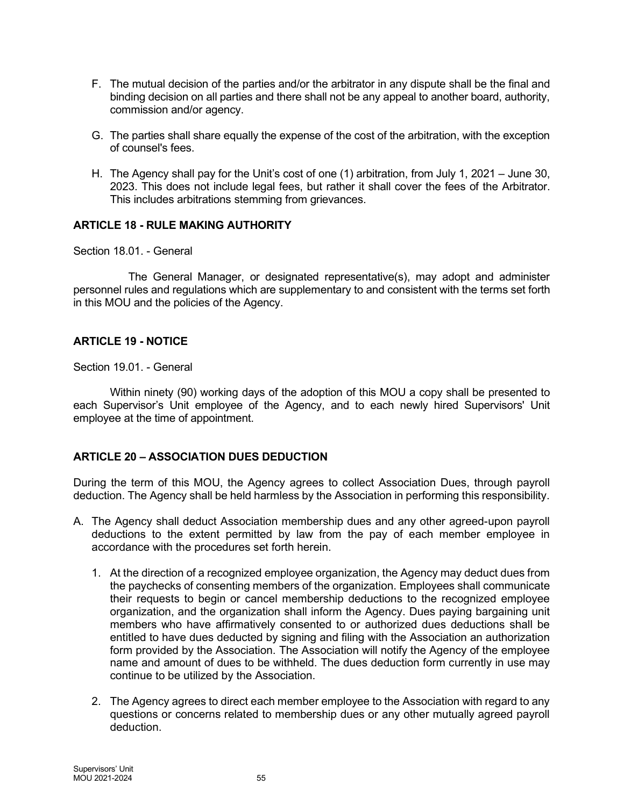- F. The mutual decision of the parties and/or the arbitrator in any dispute shall be the final and binding decision on all parties and there shall not be any appeal to another board, authority, commission and/or agency.
- G. The parties shall share equally the expense of the cost of the arbitration, with the exception of counsel's fees.
- H. The Agency shall pay for the Unit's cost of one (1) arbitration, from July 1, 2021 June 30, 2023. This does not include legal fees, but rather it shall cover the fees of the Arbitrator. This includes arbitrations stemming from grievances.

## ARTICLE 18 - RULE MAKING AUTHORITY

Section 18.01. - General

The General Manager, or designated representative(s), may adopt and administer personnel rules and regulations which are supplementary to and consistent with the terms set forth in this MOU and the policies of the Agency.

## ARTICLE 19 - NOTICE

Section 19.01. - General

Within ninety (90) working days of the adoption of this MOU a copy shall be presented to each Supervisor's Unit employee of the Agency, and to each newly hired Supervisors' Unit employee at the time of appointment.

# ARTICLE 20 – ASSOCIATION DUES DEDUCTION

During the term of this MOU, the Agency agrees to collect Association Dues, through payroll deduction. The Agency shall be held harmless by the Association in performing this responsibility.

- A. The Agency shall deduct Association membership dues and any other agreed-upon payroll deductions to the extent permitted by law from the pay of each member employee in accordance with the procedures set forth herein.
	- 1. At the direction of a recognized employee organization, the Agency may deduct dues from the paychecks of consenting members of the organization. Employees shall communicate their requests to begin or cancel membership deductions to the recognized employee organization, and the organization shall inform the Agency. Dues paying bargaining unit members who have affirmatively consented to or authorized dues deductions shall be entitled to have dues deducted by signing and filing with the Association an authorization form provided by the Association. The Association will notify the Agency of the employee name and amount of dues to be withheld. The dues deduction form currently in use may continue to be utilized by the Association.
	- 2. The Agency agrees to direct each member employee to the Association with regard to any questions or concerns related to membership dues or any other mutually agreed payroll deduction.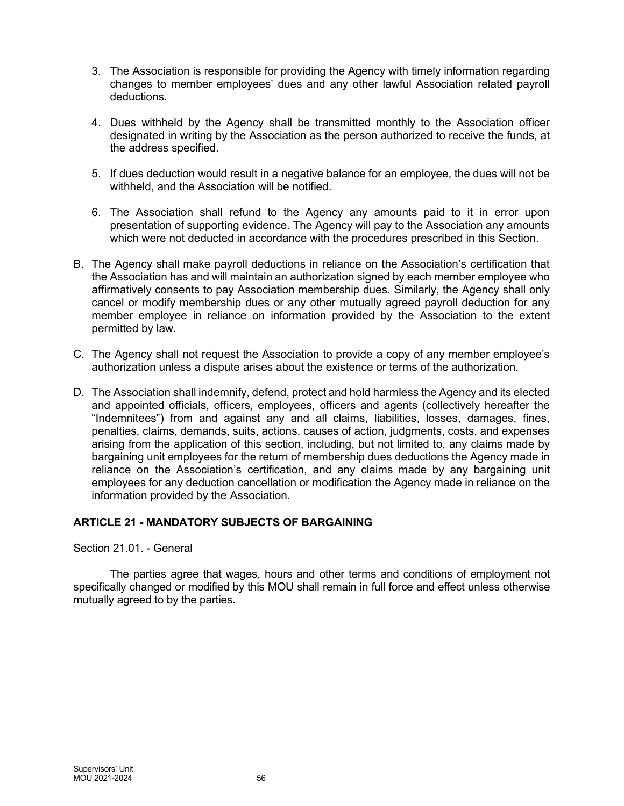- 3. The Association is responsible for providing the Agency with timely information regarding changes to member employees' dues and any other lawful Association related payroll deductions.
- 4. Dues withheld by the Agency shall be transmitted monthly to the Association officer designated in writing by the Association as the person authorized to receive the funds, at the address specified.
- 5. If dues deduction would result in a negative balance for an employee, the dues will not be withheld, and the Association will be notified.
- 6. The Association shall refund to the Agency any amounts paid to it in error upon presentation of supporting evidence. The Agency will pay to the Association any amounts which were not deducted in accordance with the procedures prescribed in this Section.
- B. The Agency shall make payroll deductions in reliance on the Association's certification that the Association has and will maintain an authorization signed by each member employee who affirmatively consents to pay Association membership dues. Similarly, the Agency shall only cancel or modify membership dues or any other mutually agreed payroll deduction for any member employee in reliance on information provided by the Association to the extent permitted by law.
- C. The Agency shall not request the Association to provide a copy of any member employee's authorization unless a dispute arises about the existence or terms of the authorization.
- D. The Association shall indemnify, defend, protect and hold harmless the Agency and its elected and appointed officials, officers, employees, officers and agents (collectively hereafter the "Indemnitees") from and against any and all claims, liabilities, losses, damages, fines, penalties, claims, demands, suits, actions, causes of action, judgments, costs, and expenses arising from the application of this section, including, but not limited to, any claims made by bargaining unit employees for the return of membership dues deductions the Agency made in reliance on the Association's certification, and any claims made by any bargaining unit employees for any deduction cancellation or modification the Agency made in reliance on the information provided by the Association.

# ARTICLE 21 - MANDATORY SUBJECTS OF BARGAINING

Section 21.01. - General

The parties agree that wages, hours and other terms and conditions of employment not specifically changed or modified by this MOU shall remain in full force and effect unless otherwise mutually agreed to by the parties.